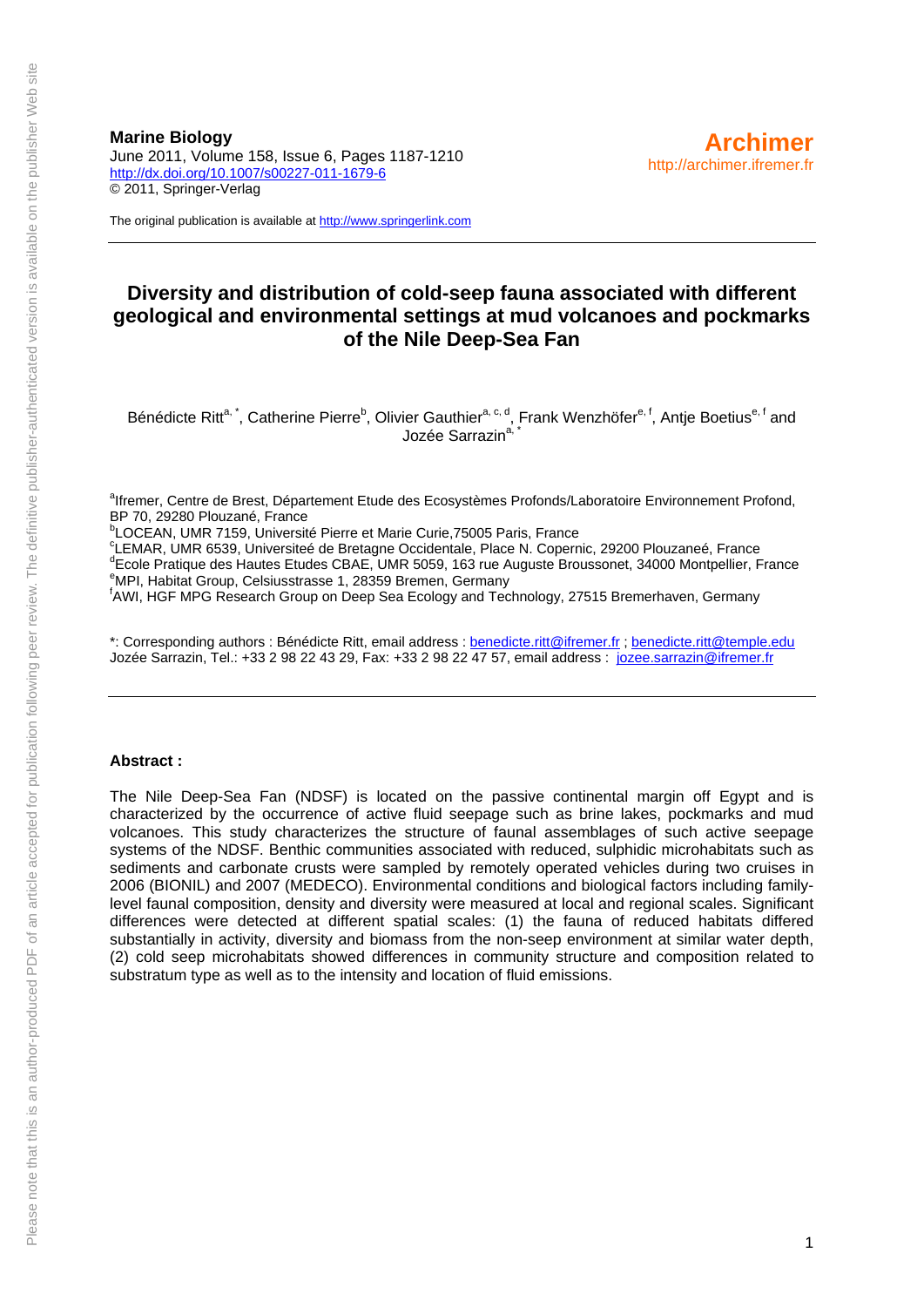**Marine Biology**  June 2011, Volume 158, Issue 6, Pages 1187-1210 <http://dx.doi.org/10.1007/s00227-011-1679-6> © 2011, Springer-Verlag

The original publication is available at [http://www.springerlink.com](http://www.springerlink.com/)

# **Diversity and distribution of cold-seep fauna associated with different geological and environmental settings at mud volcanoes and pockmarks of the Nile Deep-Sea Fan**

Bénédicte Ritt<sup>a, \*</sup>, Catherine Pierre<sup>b</sup>, Olivier Gauthier<sup>a, c, d</sup>, Frank Wenzhöfer<sup>e, f</sup>, Antje Boetius<sup>e, f</sup> and Jozée Sarrazin<sup>a,</sup>

<sup>a</sup>lfremer, Centre de Brest, Département Etude des Ecosystèmes Profonds/Laboratoire Environnement Profond, BP 70, 29280 Plouzané, France

<sup>b</sup>LOCEAN, UMR 7159, Université Pierre et Marie Curie, 75005 Paris, France

<sup>c</sup>LEMAR, UMR 6539, Universiteé de Bretagne Occidentale, Place N. Copernic, 29200 Plouzaneé, France<br><sup>d</sup>Eecle Pretique des Houtes Etudes CRAE, UMB 5050, 163 rue Auguste Preugenet, 34000 Montpellier, E <sup>d</sup>Ecole Pratique des Hautes Etudes CBAE, UMR 5059, 163 rue Auguste Broussonet, 34000 Montpellier, France MPI, Habitat Group, Celsiusstrasse 1, 28359 Bremen, Germany

f AWI, HGF MPG Research Group on Deep Sea Ecology and Technology, 27515 Bremerhaven, Germany

\*: Corresponding authors : Bénédicte Ritt, email address : [benedicte.ritt@ifremer.fr](mailto:benedicte.ritt@ifremer.fr) ; [benedicte.ritt@temple.edu](mailto:benedicte.ritt@temple.edu) Jozée Sarrazin, Tel.: +33 2 98 22 43 29, Fax: +33 2 98 22 47 57, email address : [jozee.sarrazin@ifremer.fr](mailto:jozee.sarrazin@ifremer.fr)

#### **Abstract :**

The Nile Deep-Sea Fan (NDSF) is located on the passive continental margin off Egypt and is characterized by the occurrence of active fluid seepage such as brine lakes, pockmarks and mud volcanoes. This study characterizes the structure of faunal assemblages of such active seepage systems of the NDSF. Benthic communities associated with reduced, sulphidic microhabitats such as sediments and carbonate crusts were sampled by remotely operated vehicles during two cruises in 2006 (BIONIL) and 2007 (MEDECO). Environmental conditions and biological factors including familylevel faunal composition, density and diversity were measured at local and regional scales. Significant differences were detected at different spatial scales: (1) the fauna of reduced habitats differed substantially in activity, diversity and biomass from the non-seep environment at similar water depth, (2) cold seep microhabitats showed differences in community structure and composition related to substratum type as well as to the intensity and location of fluid emissions.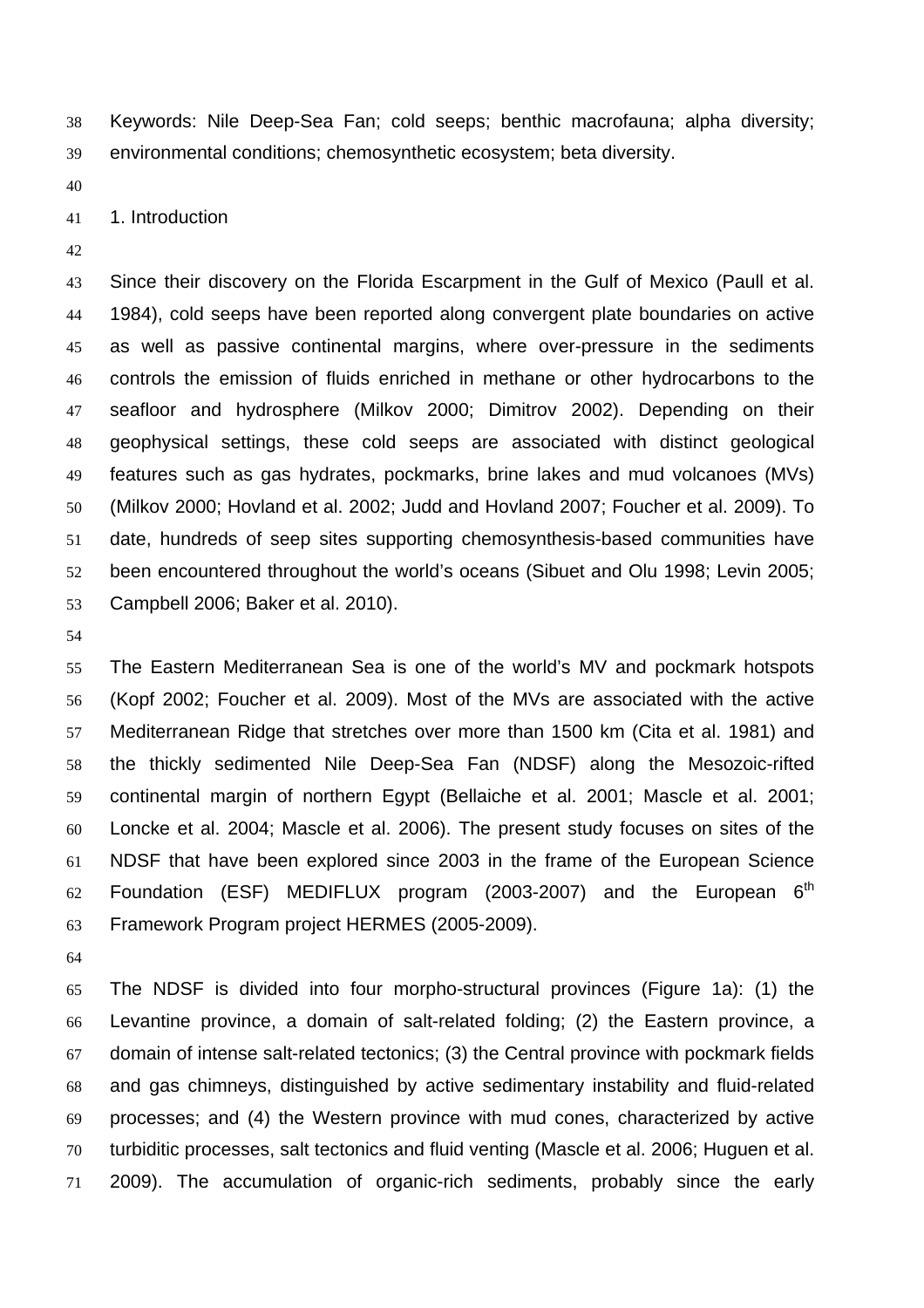Keywords: Nile Deep-Sea Fan; cold seeps; benthic macrofauna; alpha diversity; environmental conditions; chemosynthetic ecosystem; beta diversity.

41 1. Introduction

Since their discovery on the Florida Escarpment in the Gulf of Mexico (Paull et al. 1984), cold seeps have been reported along convergent plate boundaries on active as well as passive continental margins, where over-pressure in the sediments controls the emission of fluids enriched in methane or other hydrocarbons to the seafloor and hydrosphere (Milkov 2000; Dimitrov 2002). Depending on their geophysical settings, these cold seeps are associated with distinct geological features such as gas hydrates, pockmarks, brine lakes and mud volcanoes (MVs) (Milkov 2000; Hovland et al. 2002; Judd and Hovland 2007; Foucher et al. 2009). To date, hundreds of seep sites supporting chemosynthesis-based communities have been encountered throughout the world's oceans (Sibuet and Olu 1998; Levin 2005; Campbell 2006; Baker et al. 2010).

The Eastern Mediterranean Sea is one of the world's MV and pockmark hotspots (Kopf 2002; Foucher et al. 2009). Most of the MVs are associated with the active Mediterranean Ridge that stretches over more than 1500 km (Cita et al. 1981) and the thickly sedimented Nile Deep-Sea Fan (NDSF) along the Mesozoic-rifted continental margin of northern Egypt (Bellaiche et al. 2001; Mascle et al. 2001; Loncke et al. 2004; Mascle et al. 2006). The present study focuses on sites of the NDSF that have been explored since 2003 in the frame of the European Science 62 Foundation (ESF) MEDIFLUX program (2003-2007) and the European  $6<sup>th</sup>$ Framework Program project HERMES (2005-2009).

The NDSF is divided into four morpho-structural provinces (Figure 1a): (1) the Levantine province, a domain of salt-related folding; (2) the Eastern province, a domain of intense salt-related tectonics; (3) the Central province with pockmark fields and gas chimneys, distinguished by active sedimentary instability and fluid-related processes; and (4) the Western province with mud cones, characterized by active turbiditic processes, salt tectonics and fluid venting (Mascle et al. 2006; Huguen et al. 2009). The accumulation of organic-rich sediments, probably since the early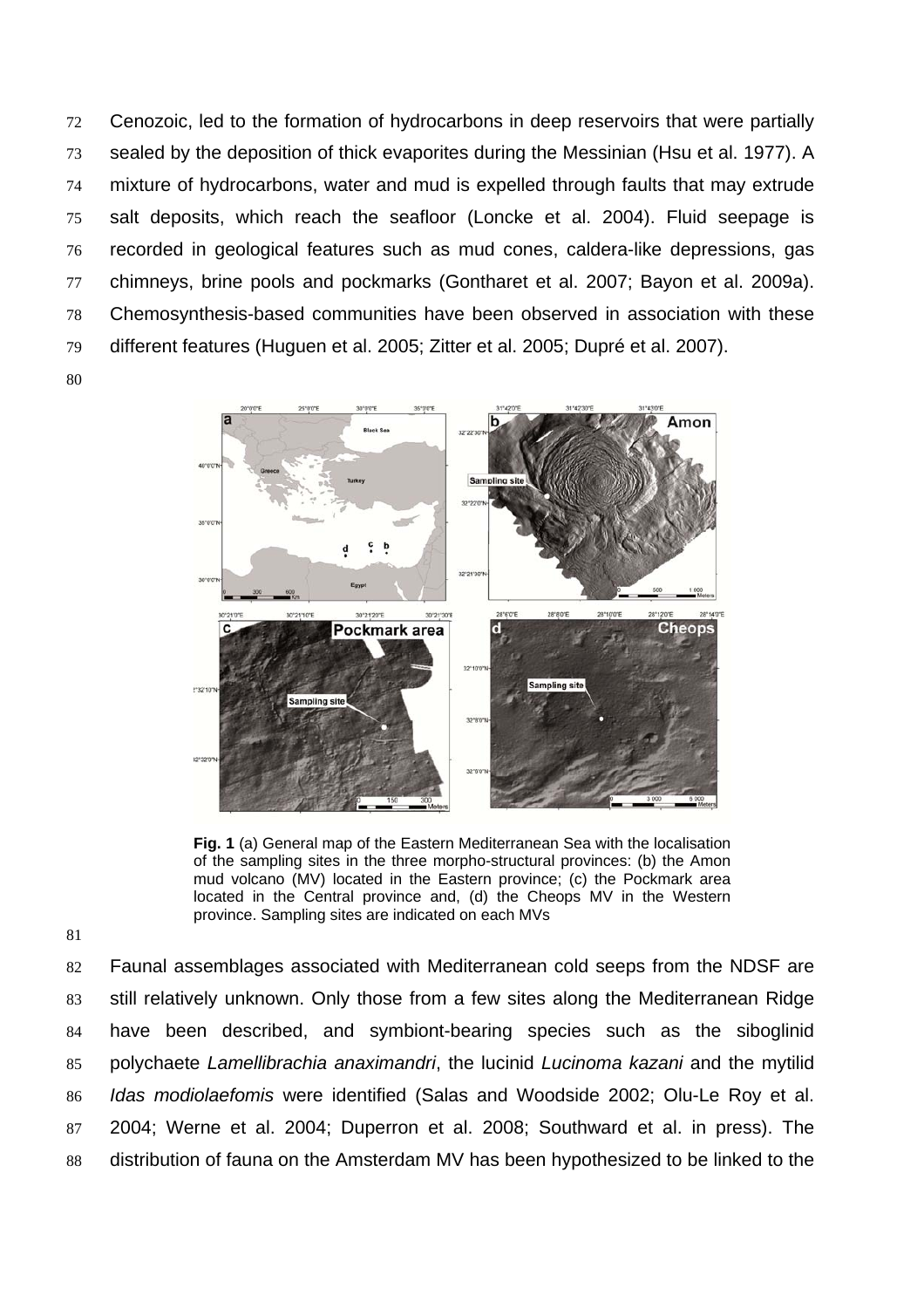72 Cenozoic, led to the formation of hydrocarbons in deep reservoirs that were partially sealed by the deposition of thick evaporites during the Messinian (Hsu et al. 1977). A mixture of hydrocarbons, water and mud is expelled through faults that may extrude salt deposits, which reach the seafloor (Loncke et al. 2004). Fluid seepage is recorded in geological features such as mud cones, caldera-like depressions, gas chimneys, brine pools and pockmarks (Gontharet et al. 2007; Bayon et al. 2009a). Chemosynthesis-based communities have been observed in association with these different features (Huguen et al. 2005; Zitter et al. 2005; Dupré et al. 2007). 



**Fig. 1** (a) General map of the Eastern Mediterranean Sea with the localisation of the sampling sites in the three morpho-structural provinces: (b) the Amon mud volcano (MV) located in the Eastern province; (c) the Pockmark area located in the Central province and, (d) the Cheops MV in the Western province. Sampling sites are indicated on each MVs

Faunal assemblages associated with Mediterranean cold seeps from the NDSF are still relatively unknown. Only those from a few sites along the Mediterranean Ridge have been described, and symbiont-bearing species such as the siboglinid polychaete *Lamellibrachia anaximandri*, the lucinid *Lucinoma kazani* and the mytilid *Idas modiolaefomis* were identified (Salas and Woodside 2002; Olu-Le Roy et al. 2004; Werne et al. 2004; Duperron et al. 2008; Southward et al. in press). The distribution of fauna on the Amsterdam MV has been hypothesized to be linked to the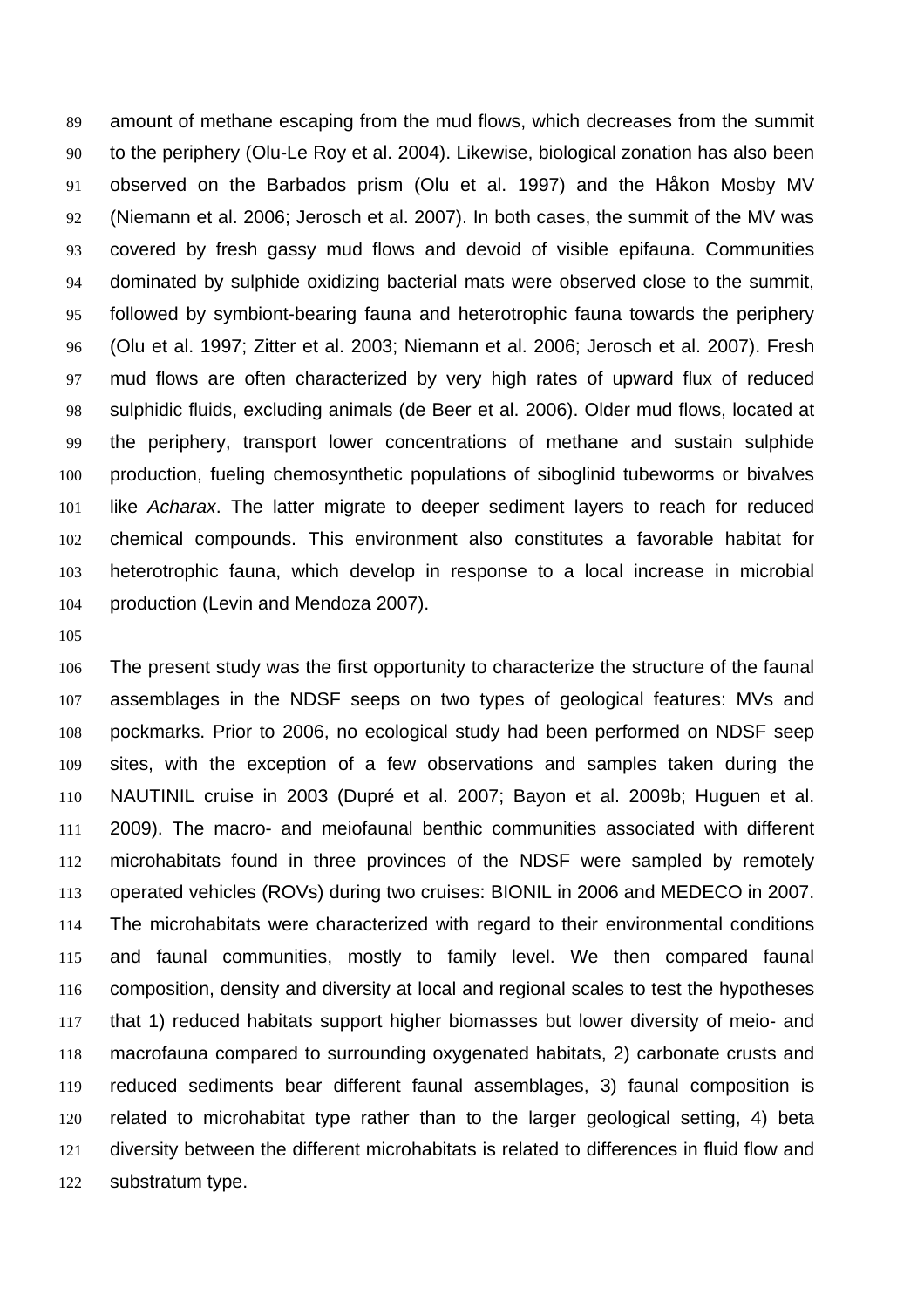amount of methane escaping from the mud flows, which decreases from the summit to the periphery (Olu-Le Roy et al. 2004). Likewise, biological zonation has also been observed on the Barbados prism (Olu et al. 1997) and the Håkon Mosby MV (Niemann et al. 2006; Jerosch et al. 2007). In both cases, the summit of the MV was covered by fresh gassy mud flows and devoid of visible epifauna. Communities dominated by sulphide oxidizing bacterial mats were observed close to the summit, followed by symbiont-bearing fauna and heterotrophic fauna towards the periphery (Olu et al. 1997; Zitter et al. 2003; Niemann et al. 2006; Jerosch et al. 2007). Fresh mud flows are often characterized by very high rates of upward flux of reduced sulphidic fluids, excluding animals (de Beer et al. 2006). Older mud flows, located at the periphery, transport lower concentrations of methane and sustain sulphide production, fueling chemosynthetic populations of siboglinid tubeworms or bivalves like *Acharax*. The latter migrate to deeper sediment layers to reach for reduced chemical compounds. This environment also constitutes a favorable habitat for heterotrophic fauna, which develop in response to a local increase in microbial production (Levin and Mendoza 2007).

The present study was the first opportunity to characterize the structure of the faunal assemblages in the NDSF seeps on two types of geological features: MVs and pockmarks. Prior to 2006, no ecological study had been performed on NDSF seep sites, with the exception of a few observations and samples taken during the NAUTINIL cruise in 2003 (Dupré et al. 2007; Bayon et al. 2009b; Huguen et al. 2009). The macro- and meiofaunal benthic communities associated with different microhabitats found in three provinces of the NDSF were sampled by remotely operated vehicles (ROVs) during two cruises: BIONIL in 2006 and MEDECO in 2007. The microhabitats were characterized with regard to their environmental conditions and faunal communities, mostly to family level. We then compared faunal composition, density and diversity at local and regional scales to test the hypotheses that 1) reduced habitats support higher biomasses but lower diversity of meio- and macrofauna compared to surrounding oxygenated habitats, 2) carbonate crusts and reduced sediments bear different faunal assemblages, 3) faunal composition is related to microhabitat type rather than to the larger geological setting, 4) beta diversity between the different microhabitats is related to differences in fluid flow and substratum type.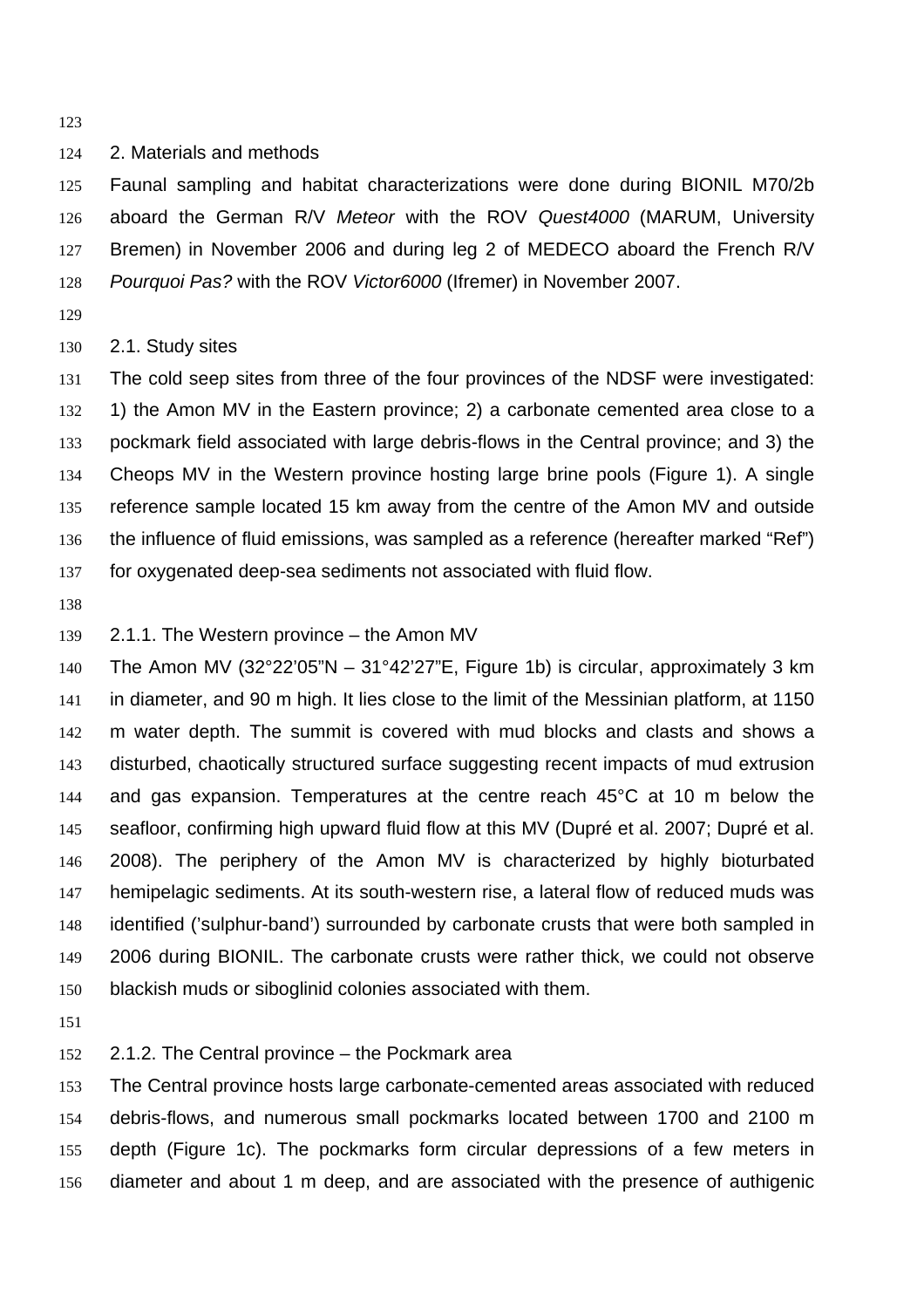2. Materials and methods

Faunal sampling and habitat characterizations were done during BIONIL M70/2b aboard the German R/V *Meteor* with the ROV *Quest4000* (MARUM, University Bremen) in November 2006 and during leg 2 of MEDECO aboard the French R/V *Pourquoi Pas?* with the ROV *Victor6000* (Ifremer) in November 2007.

### 2.1. Study sites

The cold seep sites from three of the four provinces of the NDSF were investigated: 1) the Amon MV in the Eastern province; 2) a carbonate cemented area close to a pockmark field associated with large debris-flows in the Central province; and 3) the Cheops MV in the Western province hosting large brine pools (Figure 1). A single reference sample located 15 km away from the centre of the Amon MV and outside the influence of fluid emissions, was sampled as a reference (hereafter marked "Ref") for oxygenated deep-sea sediments not associated with fluid flow.

### 2.1.1. The Western province – the Amon MV

140 The Amon MV (32°22'05"N - 31°42'27"E, Figure 1b) is circular, approximately 3 km in diameter, and 90 m high. It lies close to the limit of the Messinian platform, at 1150 m water depth. The summit is covered with mud blocks and clasts and shows a disturbed, chaotically structured surface suggesting recent impacts of mud extrusion and gas expansion. Temperatures at the centre reach 45°C at 10 m below the seafloor, confirming high upward fluid flow at this MV (Dupré et al. 2007; Dupré et al. 2008). The periphery of the Amon MV is characterized by highly bioturbated hemipelagic sediments. At its south-western rise, a lateral flow of reduced muds was identified ('sulphur-band') surrounded by carbonate crusts that were both sampled in 2006 during BIONIL. The carbonate crusts were rather thick, we could not observe blackish muds or siboglinid colonies associated with them.

# 2.1.2. The Central province – the Pockmark area

The Central province hosts large carbonate-cemented areas associated with reduced debris-flows, and numerous small pockmarks located between 1700 and 2100 m depth (Figure 1c). The pockmarks form circular depressions of a few meters in diameter and about 1 m deep, and are associated with the presence of authigenic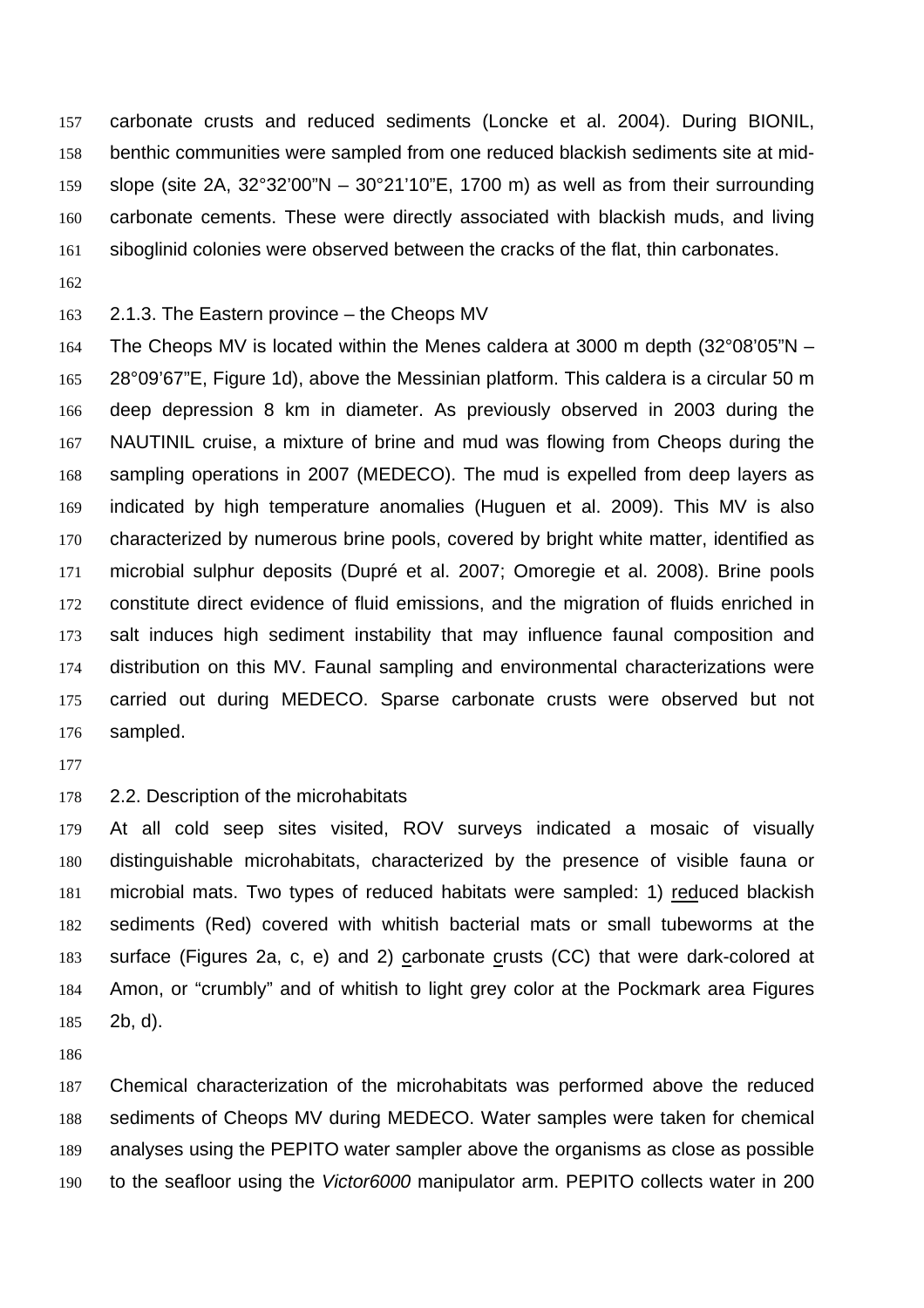carbonate crusts and reduced sediments (Loncke et al. 2004). During BIONIL, benthic communities were sampled from one reduced blackish sediments site at mid-slope (site 2A, 32°32'00"N – 30°21'10"E, 1700 m) as well as from their surrounding carbonate cements. These were directly associated with blackish muds, and living siboglinid colonies were observed between the cracks of the flat, thin carbonates.

### 2.1.3. The Eastern province – the Cheops MV

The Cheops MV is located within the Menes caldera at 3000 m depth (32°08'05"N – 28°09'67"E, Figure 1d), above the Messinian platform. This caldera is a circular 50 m deep depression 8 km in diameter. As previously observed in 2003 during the NAUTINIL cruise, a mixture of brine and mud was flowing from Cheops during the sampling operations in 2007 (MEDECO). The mud is expelled from deep layers as indicated by high temperature anomalies (Huguen et al. 2009). This MV is also characterized by numerous brine pools, covered by bright white matter, identified as microbial sulphur deposits (Dupré et al. 2007; Omoregie et al. 2008). Brine pools constitute direct evidence of fluid emissions, and the migration of fluids enriched in salt induces high sediment instability that may influence faunal composition and distribution on this MV. Faunal sampling and environmental characterizations were carried out during MEDECO. Sparse carbonate crusts were observed but not sampled.

#### 2.2. Description of the microhabitats

At all cold seep sites visited, ROV surveys indicated a mosaic of visually distinguishable microhabitats, characterized by the presence of visible fauna or microbial mats. Two types of reduced habitats were sampled: 1) reduced blackish sediments (Red) covered with whitish bacterial mats or small tubeworms at the surface (Figures 2a, c, e) and 2) carbonate crusts (CC) that were dark-colored at Amon, or "crumbly" and of whitish to light grey color at the Pockmark area Figures 2b, d).

Chemical characterization of the microhabitats was performed above the reduced sediments of Cheops MV during MEDECO. Water samples were taken for chemical analyses using the PEPITO water sampler above the organisms as close as possible to the seafloor using the *Victor6000* manipulator arm. PEPITO collects water in 200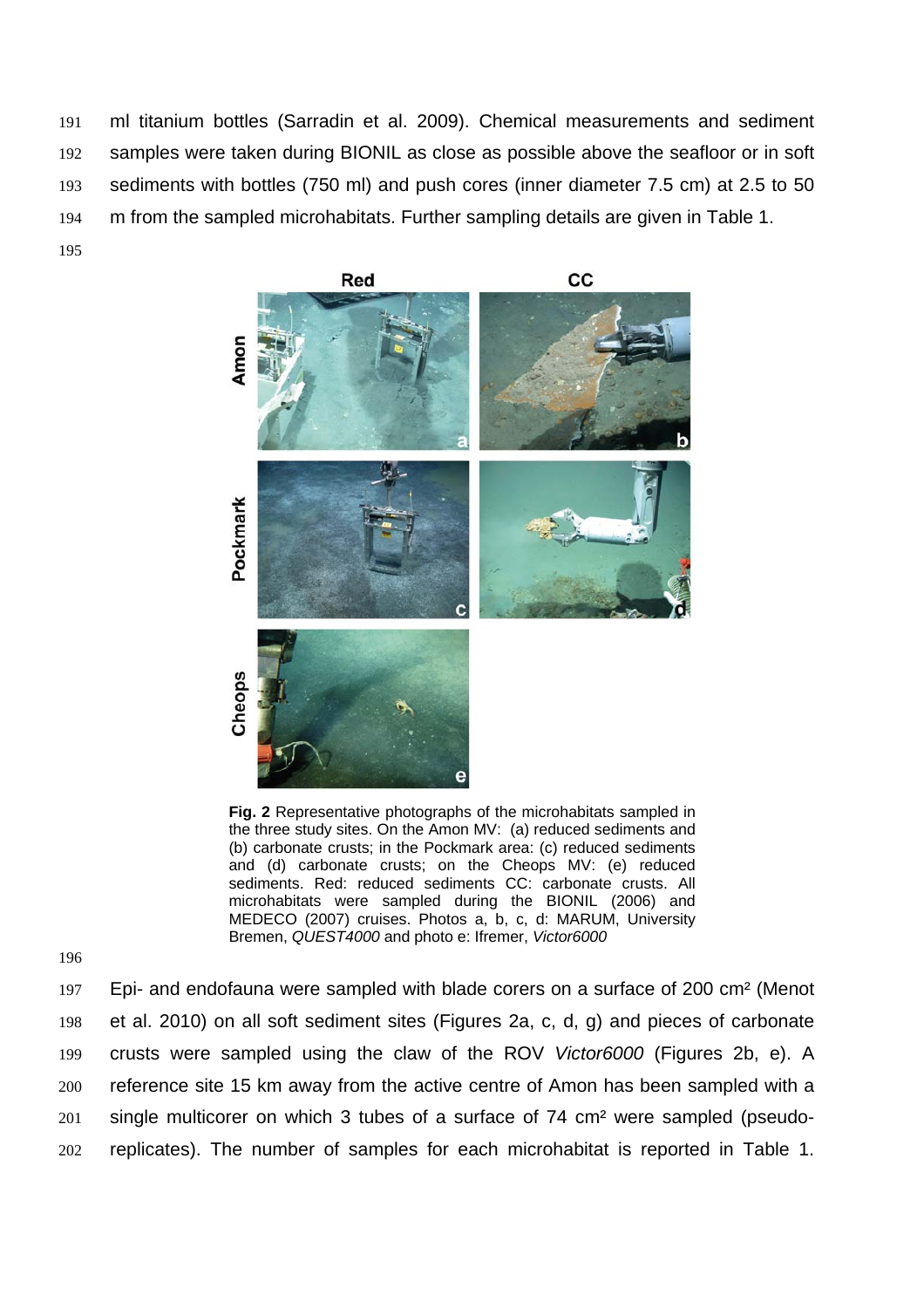ml titanium bottles (Sarradin et al. 2009). Chemical measurements and sediment 192 samples were taken during BIONIL as close as possible above the seafloor or in soft sediments with bottles (750 ml) and push cores (inner diameter 7.5 cm) at 2.5 to 50 m from the sampled microhabitats. Further sampling details are given in Table 1.





**Fig. 2** Representative photographs of the microhabitats sampled in the three study sites. On the Amon MV: (a) reduced sediments and (b) carbonate crusts; in the Pockmark area: (c) reduced sediments and (d) carbonate crusts; on the Cheops MV: (e) reduced sediments. Red: reduced sediments CC: carbonate crusts. All microhabitats were sampled during the BIONIL (2006) and MEDECO (2007) cruises. Photos a, b, c, d: MARUM, University Bremen, *QUEST4000* and photo e: Ifremer, *Victor6000*

196

Epi- and endofauna were sampled with blade corers on a surface of 200 cm² (Menot et al. 2010) on all soft sediment sites (Figures 2a, c, d, g) and pieces of carbonate crusts were sampled using the claw of the ROV *Victor6000* (Figures 2b, e). A reference site 15 km away from the active centre of Amon has been sampled with a single multicorer on which 3 tubes of a surface of 74 cm² were sampled (pseudo-replicates). The number of samples for each microhabitat is reported in Table 1.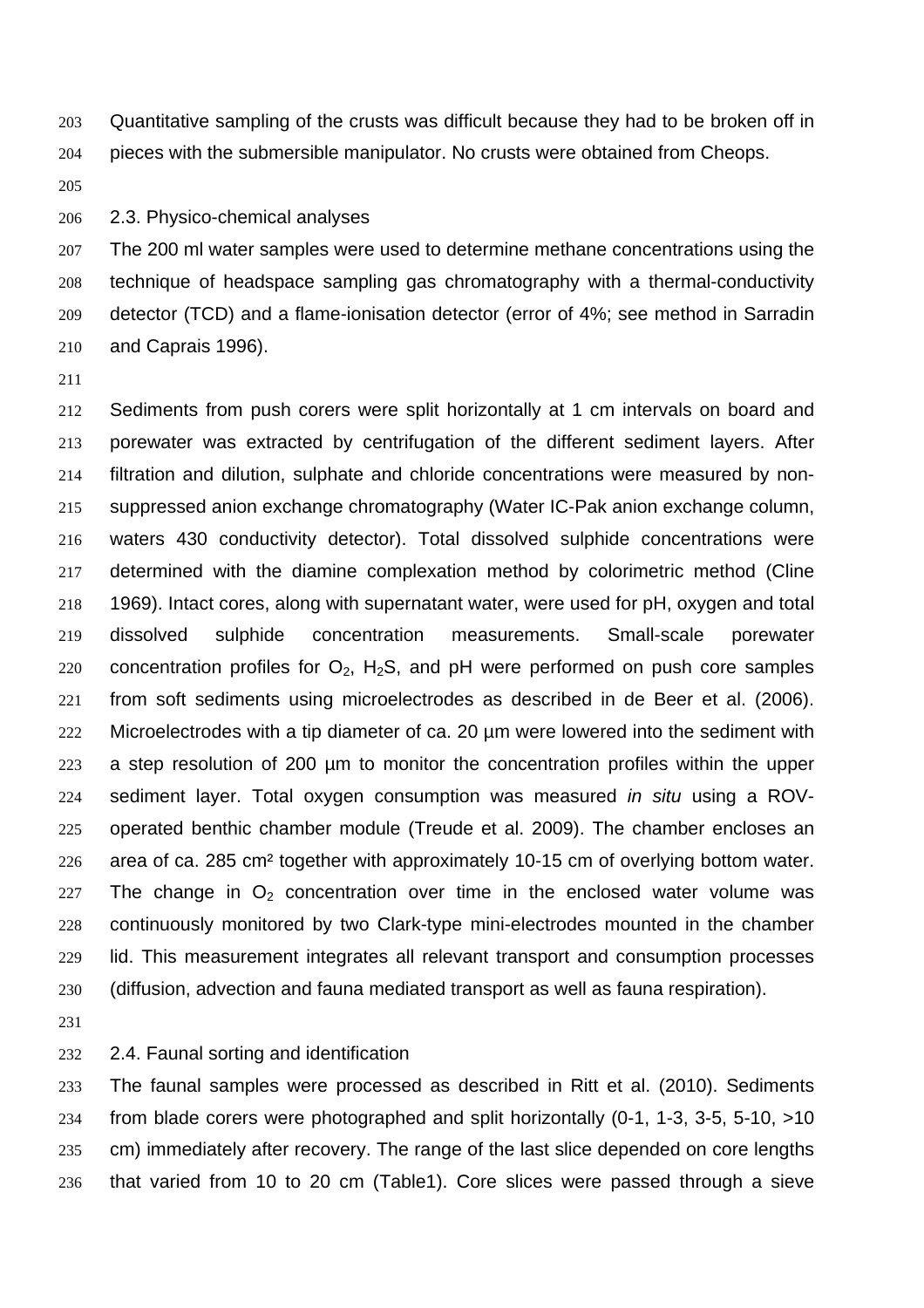Quantitative sampling of the crusts was difficult because they had to be broken off in pieces with the submersible manipulator. No crusts were obtained from Cheops.

2.3. Physico-chemical analyses

The 200 ml water samples were used to determine methane concentrations using the technique of headspace sampling gas chromatography with a thermal-conductivity detector (TCD) and a flame-ionisation detector (error of 4%; see method in Sarradin and Caprais 1996).

Sediments from push corers were split horizontally at 1 cm intervals on board and porewater was extracted by centrifugation of the different sediment layers. After filtration and dilution, sulphate and chloride concentrations were measured by non-suppressed anion exchange chromatography (Water IC-Pak anion exchange column, waters 430 conductivity detector). Total dissolved sulphide concentrations were determined with the diamine complexation method by colorimetric method (Cline 1969). Intact cores, along with supernatant water, were used for pH, oxygen and total dissolved sulphide concentration measurements. Small-scale porewater 220 concentration profiles for  $O_2$ ,  $H_2S$ , and pH were performed on push core samples from soft sediments using microelectrodes as described in de Beer et al. (2006). Microelectrodes with a tip diameter of ca. 20 µm were lowered into the sediment with a step resolution of 200 µm to monitor the concentration profiles within the upper sediment layer. Total oxygen consumption was measured *in situ* using a ROV-operated benthic chamber module (Treude et al. 2009). The chamber encloses an area of ca. 285 cm² together with approximately 10-15 cm of overlying bottom water. 227 The change in  $O<sub>2</sub>$  concentration over time in the enclosed water volume was continuously monitored by two Clark-type mini-electrodes mounted in the chamber lid. This measurement integrates all relevant transport and consumption processes (diffusion, advection and fauna mediated transport as well as fauna respiration).

2.4. Faunal sorting and identification

The faunal samples were processed as described in Ritt et al. (2010). Sediments from blade corers were photographed and split horizontally (0-1, 1-3, 3-5, 5-10, >10 cm) immediately after recovery. The range of the last slice depended on core lengths that varied from 10 to 20 cm (Table1). Core slices were passed through a sieve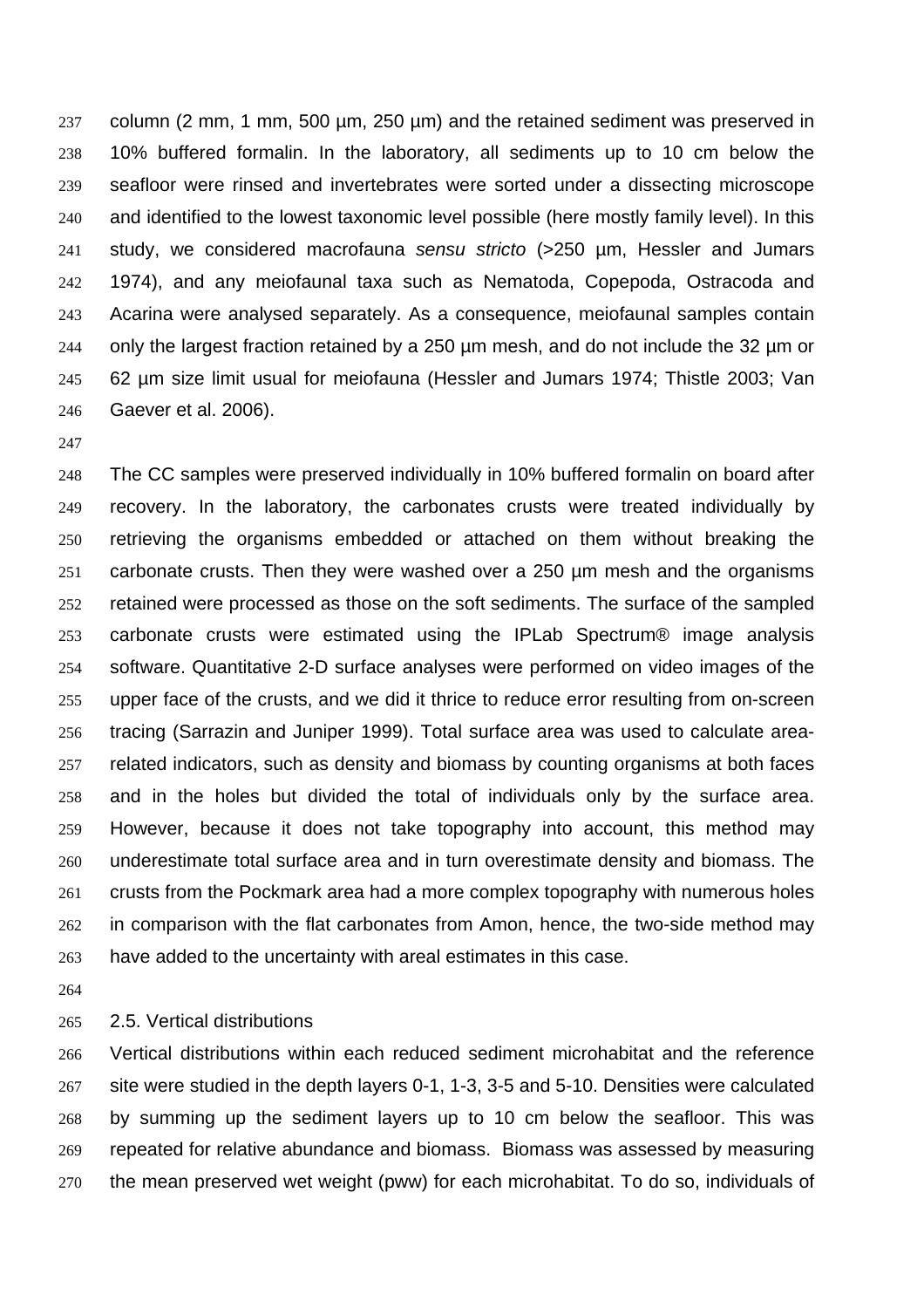column (2 mm, 1 mm, 500 µm, 250 µm) and the retained sediment was preserved in 10% buffered formalin. In the laboratory, all sediments up to 10 cm below the seafloor were rinsed and invertebrates were sorted under a dissecting microscope and identified to the lowest taxonomic level possible (here mostly family level). In this study, we considered macrofauna *sensu stricto* (>250 µm, Hessler and Jumars 1974), and any meiofaunal taxa such as Nematoda, Copepoda, Ostracoda and Acarina were analysed separately. As a consequence, meiofaunal samples contain 244 only the largest fraction retained by a 250  $\mu$ m mesh, and do not include the 32  $\mu$ m or 62 µm size limit usual for meiofauna (Hessler and Jumars 1974; Thistle 2003; Van Gaever et al. 2006).

The CC samples were preserved individually in 10% buffered formalin on board after recovery. In the laboratory, the carbonates crusts were treated individually by retrieving the organisms embedded or attached on them without breaking the carbonate crusts. Then they were washed over a 250 µm mesh and the organisms retained were processed as those on the soft sediments. The surface of the sampled carbonate crusts were estimated using the IPLab Spectrum® image analysis software. Quantitative 2-D surface analyses were performed on video images of the upper face of the crusts, and we did it thrice to reduce error resulting from on-screen tracing (Sarrazin and Juniper 1999). Total surface area was used to calculate area-related indicators, such as density and biomass by counting organisms at both faces and in the holes but divided the total of individuals only by the surface area. However, because it does not take topography into account, this method may underestimate total surface area and in turn overestimate density and biomass. The crusts from the Pockmark area had a more complex topography with numerous holes in comparison with the flat carbonates from Amon, hence, the two-side method may have added to the uncertainty with areal estimates in this case.

2.5. Vertical distributions

Vertical distributions within each reduced sediment microhabitat and the reference site were studied in the depth layers 0-1, 1-3, 3-5 and 5-10. Densities were calculated by summing up the sediment layers up to 10 cm below the seafloor. This was repeated for relative abundance and biomass. Biomass was assessed by measuring the mean preserved wet weight (pww) for each microhabitat. To do so, individuals of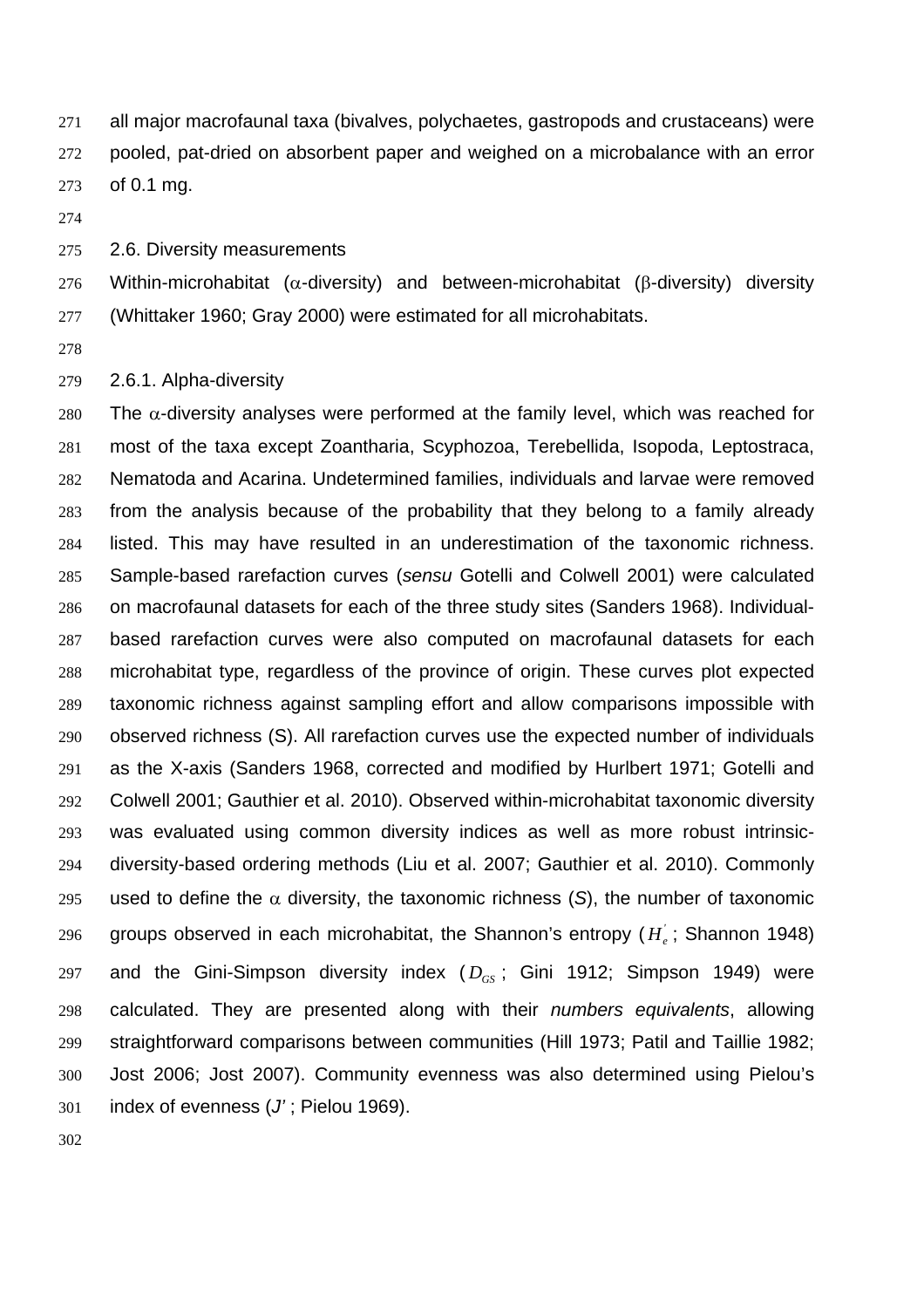all major macrofaunal taxa (bivalves, polychaetes, gastropods and crustaceans) were pooled, pat-dried on absorbent paper and weighed on a microbalance with an error of 0.1 mg.

2.6. Diversity measurements

Within-microhabitat (α-diversity) and between-microhabitat (β-diversity) diversity (Whittaker 1960; Gray 2000) were estimated for all microhabitats.

2.6.1. Alpha-diversity

280 The  $\alpha$ -diversity analyses were performed at the family level, which was reached for most of the taxa except Zoantharia, Scyphozoa, Terebellida, Isopoda, Leptostraca, Nematoda and Acarina. Undetermined families, individuals and larvae were removed from the analysis because of the probability that they belong to a family already listed. This may have resulted in an underestimation of the taxonomic richness. Sample-based rarefaction curves (*sensu* Gotelli and Colwell 2001) were calculated on macrofaunal datasets for each of the three study sites (Sanders 1968). Individual-based rarefaction curves were also computed on macrofaunal datasets for each microhabitat type, regardless of the province of origin. These curves plot expected taxonomic richness against sampling effort and allow comparisons impossible with observed richness (S). All rarefaction curves use the expected number of individuals as the X-axis (Sanders 1968, corrected and modified by Hurlbert 1971; Gotelli and Colwell 2001; Gauthier et al. 2010). Observed within-microhabitat taxonomic diversity was evaluated using common diversity indices as well as more robust intrinsic-diversity-based ordering methods (Liu et al. 2007; Gauthier et al. 2010). Commonly 295 used to define the  $\alpha$  diversity, the taxonomic richness (S), the number of taxonomic groups observed in each microhabitat, the Shannon's entropy  $(H_{\alpha})$ ; Shannon 1948) 297 and the Gini-Simpson diversity index  $(D_{GS})$ ; Gini 1912; Simpson 1949) were calculated. They are presented along with their *numbers equivalents*, allowing straightforward comparisons between communities (Hill 1973; Patil and Taillie 1982; Jost 2006; Jost 2007). Community evenness was also determined using Pielou's index of evenness (*J'* ; Pielou 1969).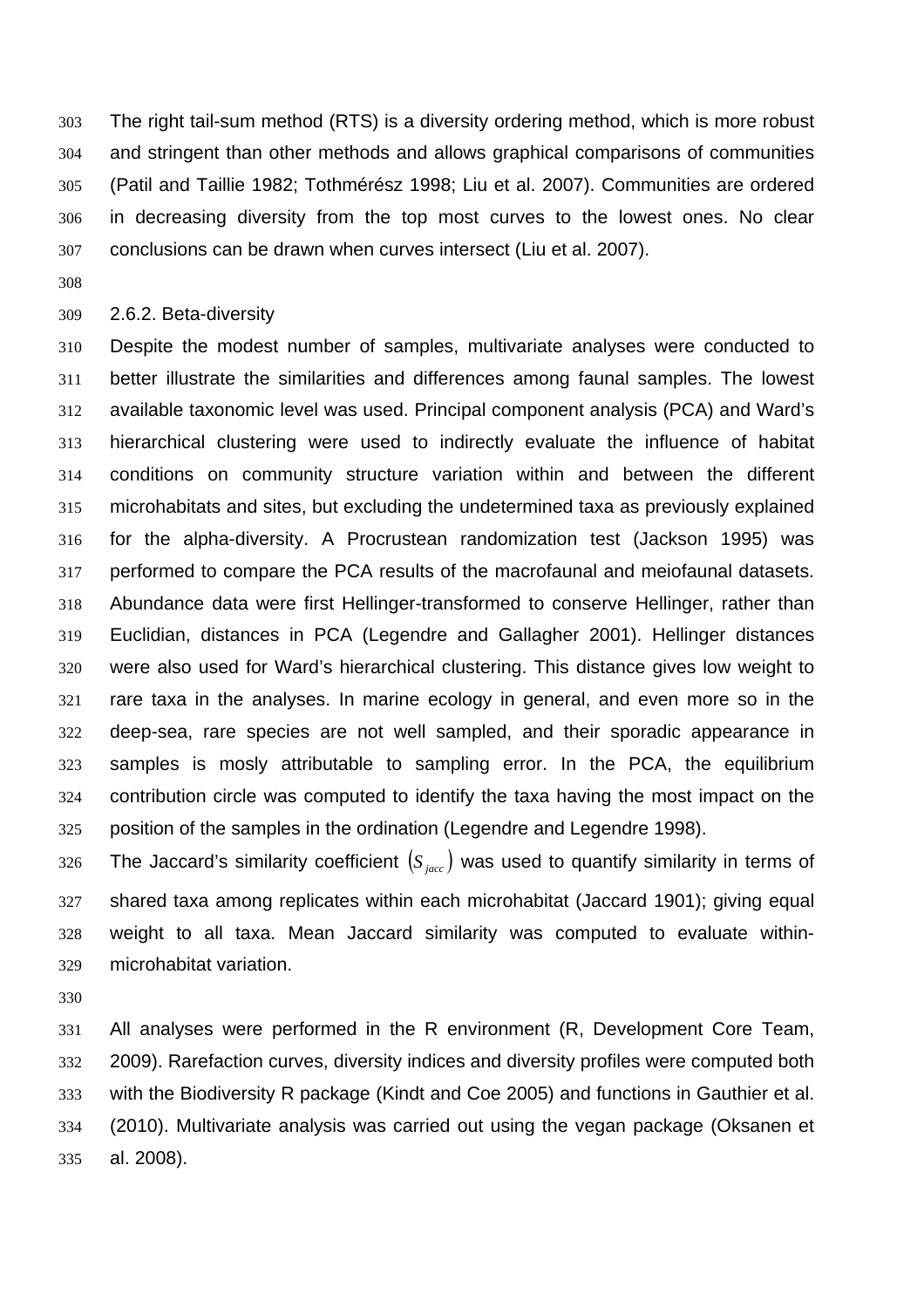The right tail-sum method (RTS) is a diversity ordering method, which is more robust and stringent than other methods and allows graphical comparisons of communities (Patil and Taillie 1982; Tothmérész 1998; Liu et al. 2007). Communities are ordered in decreasing diversity from the top most curves to the lowest ones. No clear conclusions can be drawn when curves intersect (Liu et al. 2007).

#### 2.6.2. Beta-diversity

Despite the modest number of samples, multivariate analyses were conducted to better illustrate the similarities and differences among faunal samples. The lowest available taxonomic level was used. Principal component analysis (PCA) and Ward's hierarchical clustering were used to indirectly evaluate the influence of habitat conditions on community structure variation within and between the different microhabitats and sites, but excluding the undetermined taxa as previously explained for the alpha-diversity. A Procrustean randomization test (Jackson 1995) was performed to compare the PCA results of the macrofaunal and meiofaunal datasets. Abundance data were first Hellinger-transformed to conserve Hellinger, rather than Euclidian, distances in PCA (Legendre and Gallagher 2001). Hellinger distances were also used for Ward's hierarchical clustering. This distance gives low weight to rare taxa in the analyses. In marine ecology in general, and even more so in the deep-sea, rare species are not well sampled, and their sporadic appearance in samples is mosly attributable to sampling error. In the PCA, the equilibrium contribution circle was computed to identify the taxa having the most impact on the position of the samples in the ordination (Legendre and Legendre 1998).

326 The Jaccard's similarity coefficient  $(S_{\text{sec}})$  was used to quantify similarity in terms of shared taxa among replicates within each microhabitat (Jaccard 1901); giving equal weight to all taxa. Mean Jaccard similarity was computed to evaluate within-microhabitat variation.

All analyses were performed in the R environment (R, Development Core Team, 2009). Rarefaction curves, diversity indices and diversity profiles were computed both with the Biodiversity R package (Kindt and Coe 2005) and functions in Gauthier et al. (2010). Multivariate analysis was carried out using the vegan package (Oksanen et al. 2008).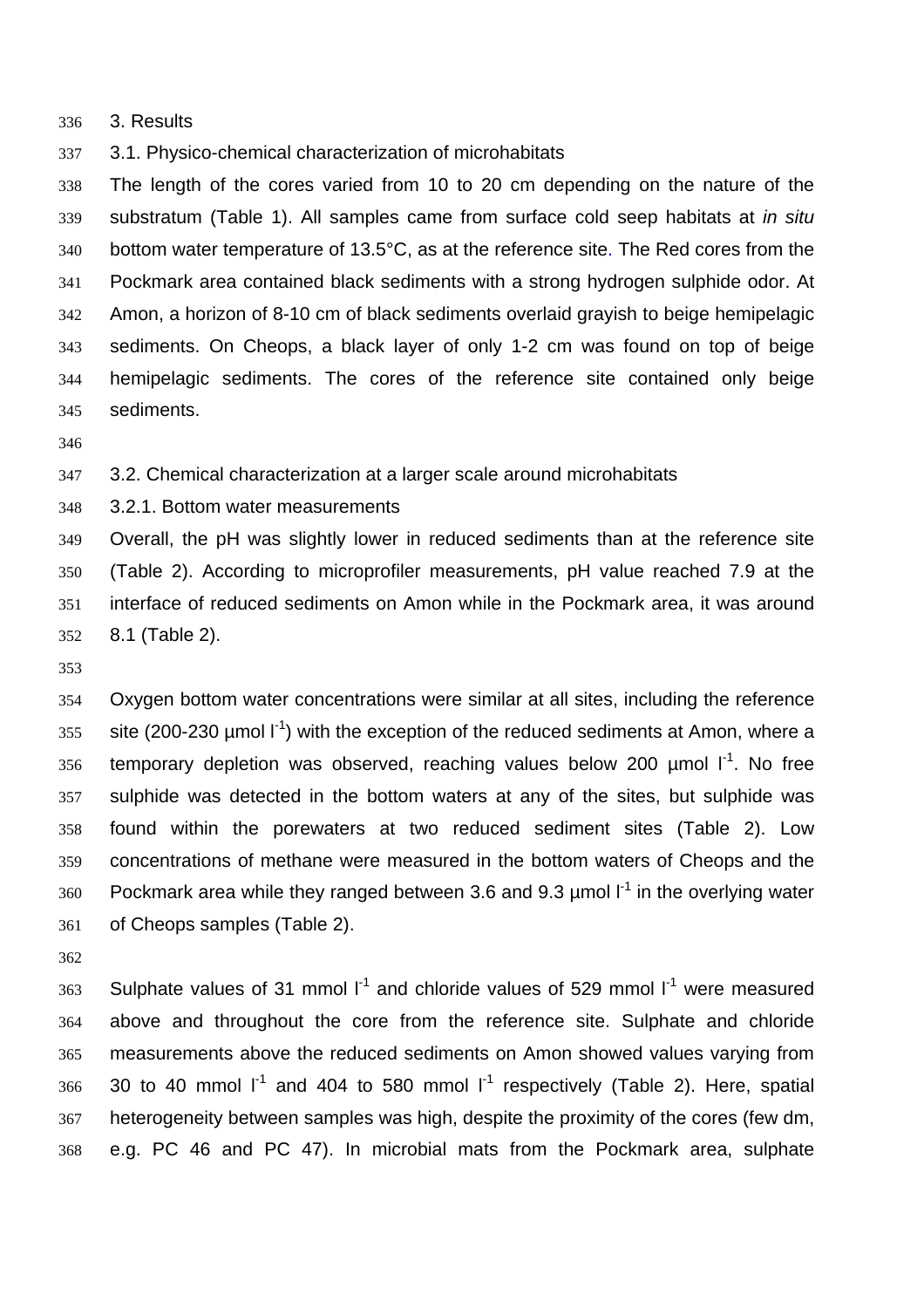3. Results

3.1. Physico-chemical characterization of microhabitats

The length of the cores varied from 10 to 20 cm depending on the nature of the substratum (Table 1). All samples came from surface cold seep habitats at *in situ* bottom water temperature of 13.5°C, as at the reference site. The Red cores from the Pockmark area contained black sediments with a strong hydrogen sulphide odor. At Amon, a horizon of 8-10 cm of black sediments overlaid grayish to beige hemipelagic sediments. On Cheops, a black layer of only 1-2 cm was found on top of beige hemipelagic sediments. The cores of the reference site contained only beige sediments.

3.2. Chemical characterization at a larger scale around microhabitats

3.2.1. Bottom water measurements

Overall, the pH was slightly lower in reduced sediments than at the reference site (Table 2). According to microprofiler measurements, pH value reached 7.9 at the interface of reduced sediments on Amon while in the Pockmark area, it was around 8.1 (Table 2).

Oxygen bottom water concentrations were similar at all sites, including the reference ste (200-230 µmol  $I<sup>-1</sup>$ ) with the exception of the reduced sediments at Amon, where a 356 temporary depletion was observed, reaching values below 200  $\mu$ mol  $I^1$ . No free sulphide was detected in the bottom waters at any of the sites, but sulphide was found within the porewaters at two reduced sediment sites (Table 2). Low concentrations of methane were measured in the bottom waters of Cheops and the 360 Pockmark area while they ranged between 3.6 and 9.3  $\mu$ mol  $I^1$  in the overlying water of Cheops samples (Table 2).

363 Sulphate values of 31 mmol  $I^1$  and chloride values of 529 mmol  $I^1$  were measured above and throughout the core from the reference site. Sulphate and chloride measurements above the reduced sediments on Amon showed values varying from 30 to 40 mmol  $1^1$  and 404 to 580 mmol  $1^1$  respectively (Table 2). Here, spatial heterogeneity between samples was high, despite the proximity of the cores (few dm, e.g. PC 46 and PC 47). In microbial mats from the Pockmark area, sulphate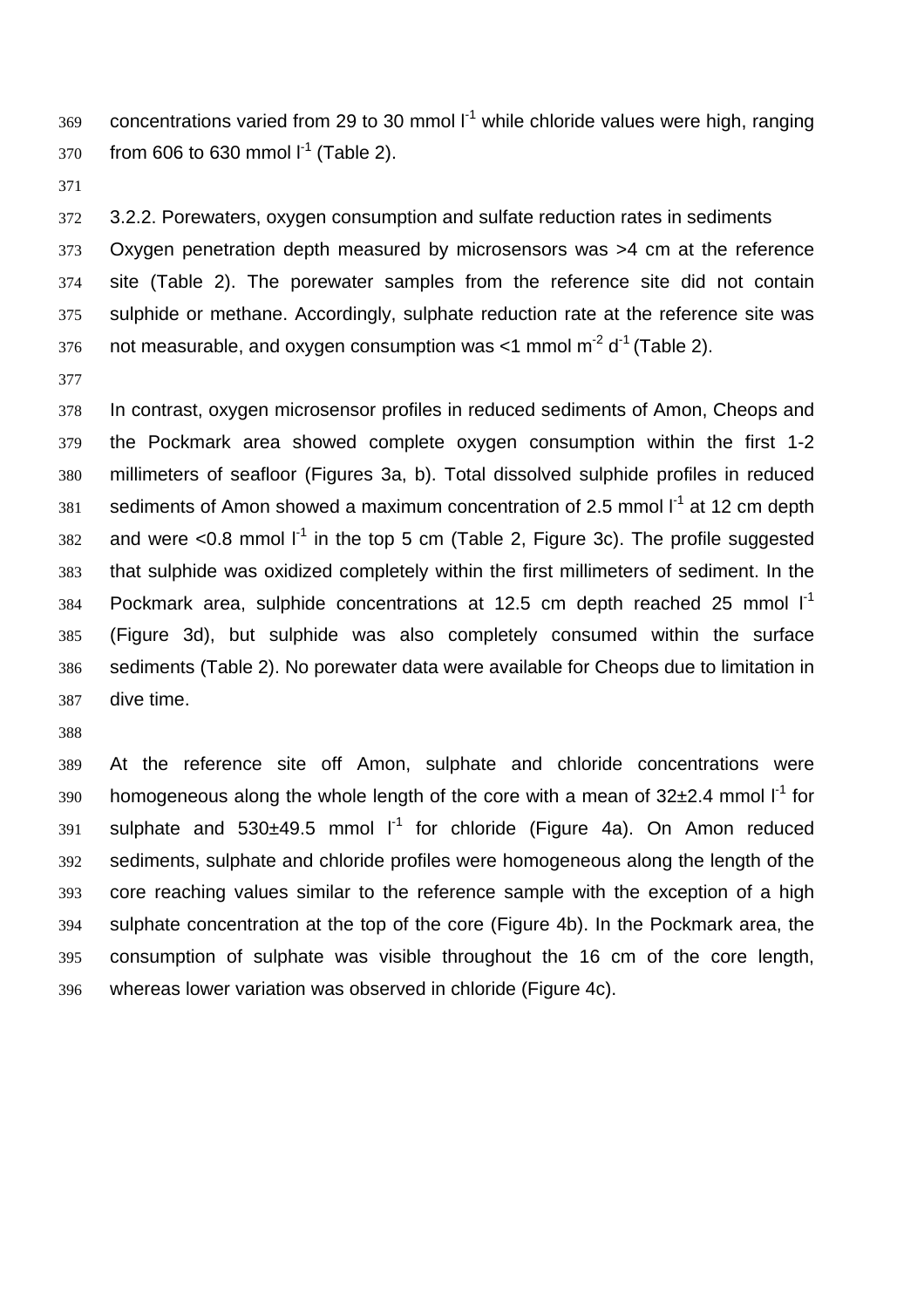concentrations varied from 29 to 30 mmol  $I<sup>1</sup>$  while chloride values were high, ranging 370 from 606 to 630 mmol  $I^1$  (Table 2).

3.2.2. Porewaters, oxygen consumption and sulfate reduction rates in sediments

Oxygen penetration depth measured by microsensors was >4 cm at the reference site (Table 2). The porewater samples from the reference site did not contain sulphide or methane. Accordingly, sulphate reduction rate at the reference site was 376 not measurable, and oxygen consumption was  $<$ 1 mmol m<sup>-2</sup> d<sup>-1</sup> (Table 2).

In contrast, oxygen microsensor profiles in reduced sediments of Amon, Cheops and the Pockmark area showed complete oxygen consumption within the first 1-2 millimeters of seafloor (Figures 3a, b). Total dissolved sulphide profiles in reduced 381 sediments of Amon showed a maximum concentration of 2.5 mmol  $I^1$  at 12 cm depth 382 and were <0.8 mmol  $I^1$  in the top 5 cm (Table 2, Figure 3c). The profile suggested that sulphide was oxidized completely within the first millimeters of sediment. In the 384 Pockmark area, sulphide concentrations at 12.5 cm depth reached 25 mmol  $I^1$ (Figure 3d), but sulphide was also completely consumed within the surface sediments (Table 2). No porewater data were available for Cheops due to limitation in dive time.

At the reference site off Amon, sulphate and chloride concentrations were 390 homogeneous along the whole length of the core with a mean of  $32\pm2.4$  mmol  $1^1$  for sulphate and  $530\pm 49.5$  mmol  $1^1$  for chloride (Figure 4a). On Amon reduced sediments, sulphate and chloride profiles were homogeneous along the length of the core reaching values similar to the reference sample with the exception of a high sulphate concentration at the top of the core (Figure 4b). In the Pockmark area, the consumption of sulphate was visible throughout the 16 cm of the core length, whereas lower variation was observed in chloride (Figure 4c).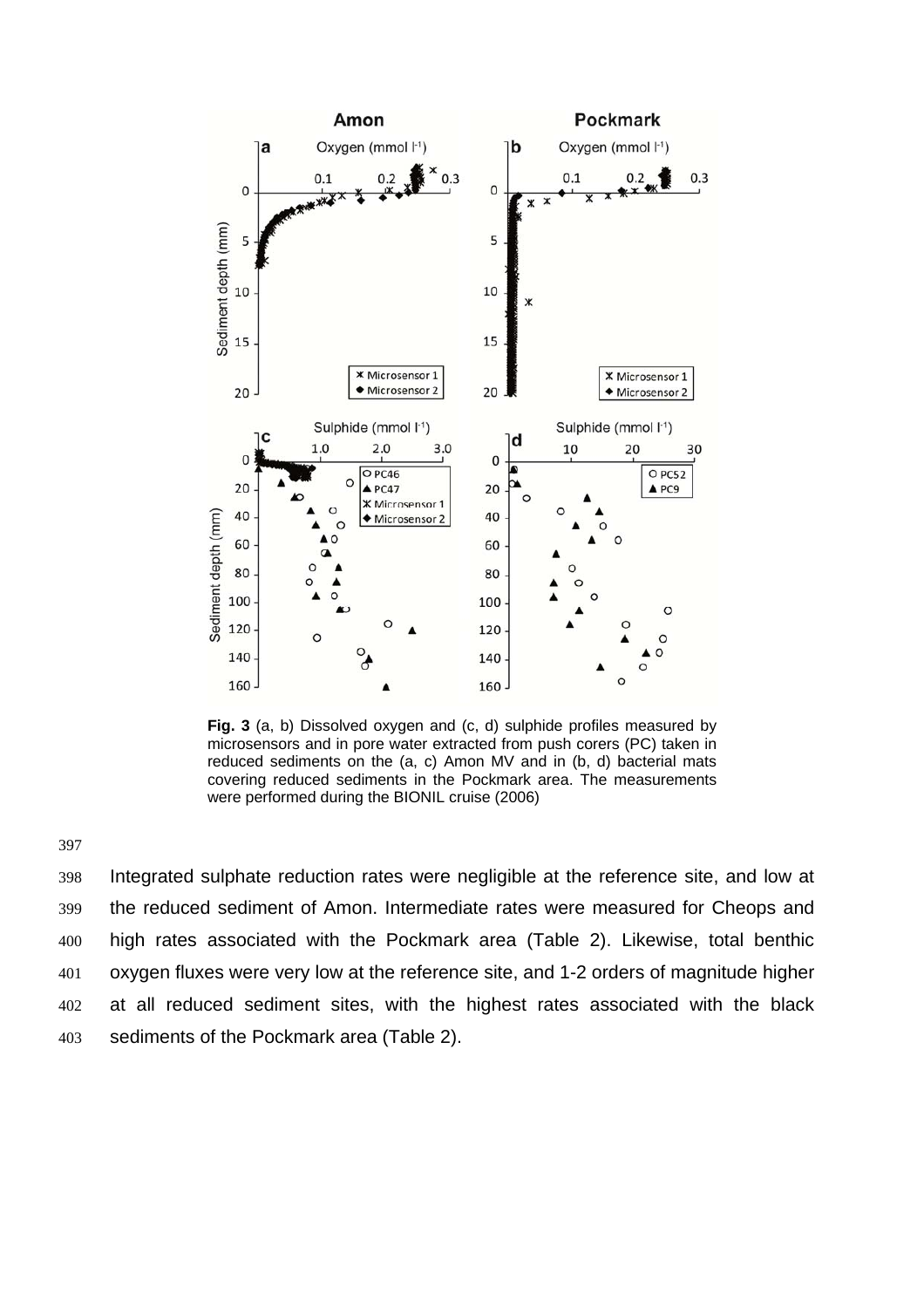

**Fig. 3** (a, b) Dissolved oxygen and (c, d) sulphide profiles measured by microsensors and in pore water extracted from push corers (PC) taken in reduced sediments on the (a, c) Amon MV and in (b, d) bacterial mats covering reduced sediments in the Pockmark area. The measurements were performed during the BIONIL cruise (2006)

397

Integrated sulphate reduction rates were negligible at the reference site, and low at the reduced sediment of Amon. Intermediate rates were measured for Cheops and high rates associated with the Pockmark area (Table 2). Likewise, total benthic oxygen fluxes were very low at the reference site, and 1-2 orders of magnitude higher at all reduced sediment sites, with the highest rates associated with the black sediments of the Pockmark area (Table 2).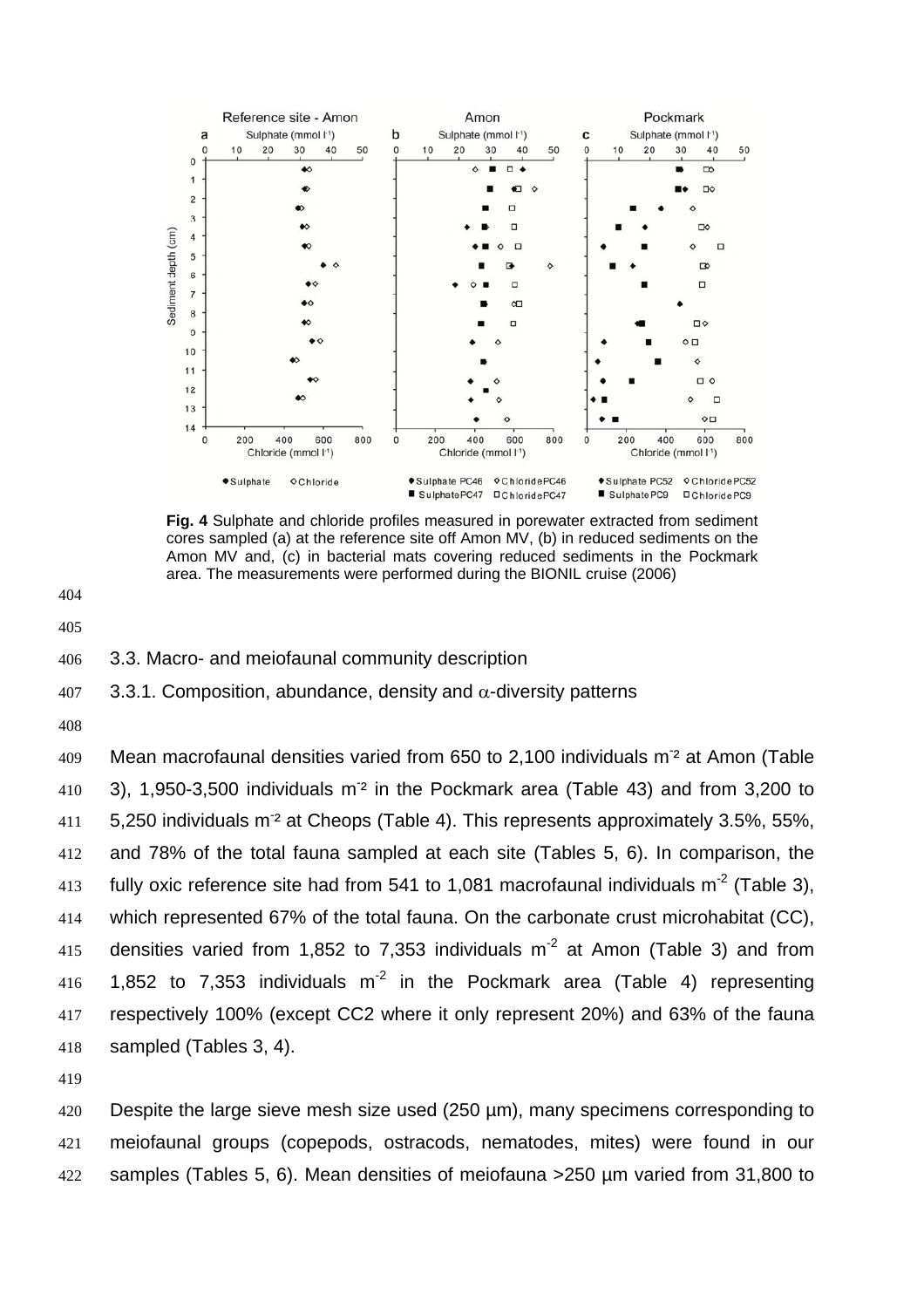

**Fig. 4** Sulphate and chloride profiles measured in porewater extracted from sediment cores sampled (a) at the reference site off Amon MV, (b) in reduced sediments on the Amon MV and, (c) in bacterial mats covering reduced sediments in the Pockmark area. The measurements were performed during the BIONIL cruise (2006)

404

- 405
- 406 3.3. Macro- and meiofaunal community description

 $407$  3.3.1. Composition, abundance, density and α-diversity patterns

408

409 Mean macrofaunal densities varied from 650 to 2,100 individuals  $m<sup>2</sup>$  at Amon (Table 410 3), 1,950-3,500 individuals  $m<sup>2</sup>$  in the Pockmark area (Table 43) and from 3,200 to 411 5,250 individuals m<sup>-2</sup> at Cheops (Table 4). This represents approximately 3.5%, 55%, 412 and 78% of the total fauna sampled at each site (Tables 5, 6). In comparison, the 413 fully oxic reference site had from 541 to 1,081 macrofaunal individuals  $m<sup>-2</sup>$  (Table 3), 414 which represented 67% of the total fauna. On the carbonate crust microhabitat (CC), 415 densities varied from 1,852 to 7,353 individuals  $m<sup>2</sup>$  at Amon (Table 3) and from 416 1.852 to 7.353 individuals  $m^2$  in the Pockmark area (Table 4) representing 417 respectively 100% (except CC2 where it only represent 20%) and 63% of the fauna 418 sampled (Tables 3, 4).

419

420 Despite the large sieve mesh size used (250 µm), many specimens corresponding to 421 meiofaunal groups (copepods, ostracods, nematodes, mites) were found in our 422 samples (Tables 5, 6). Mean densities of meiofauna >250 µm varied from 31,800 to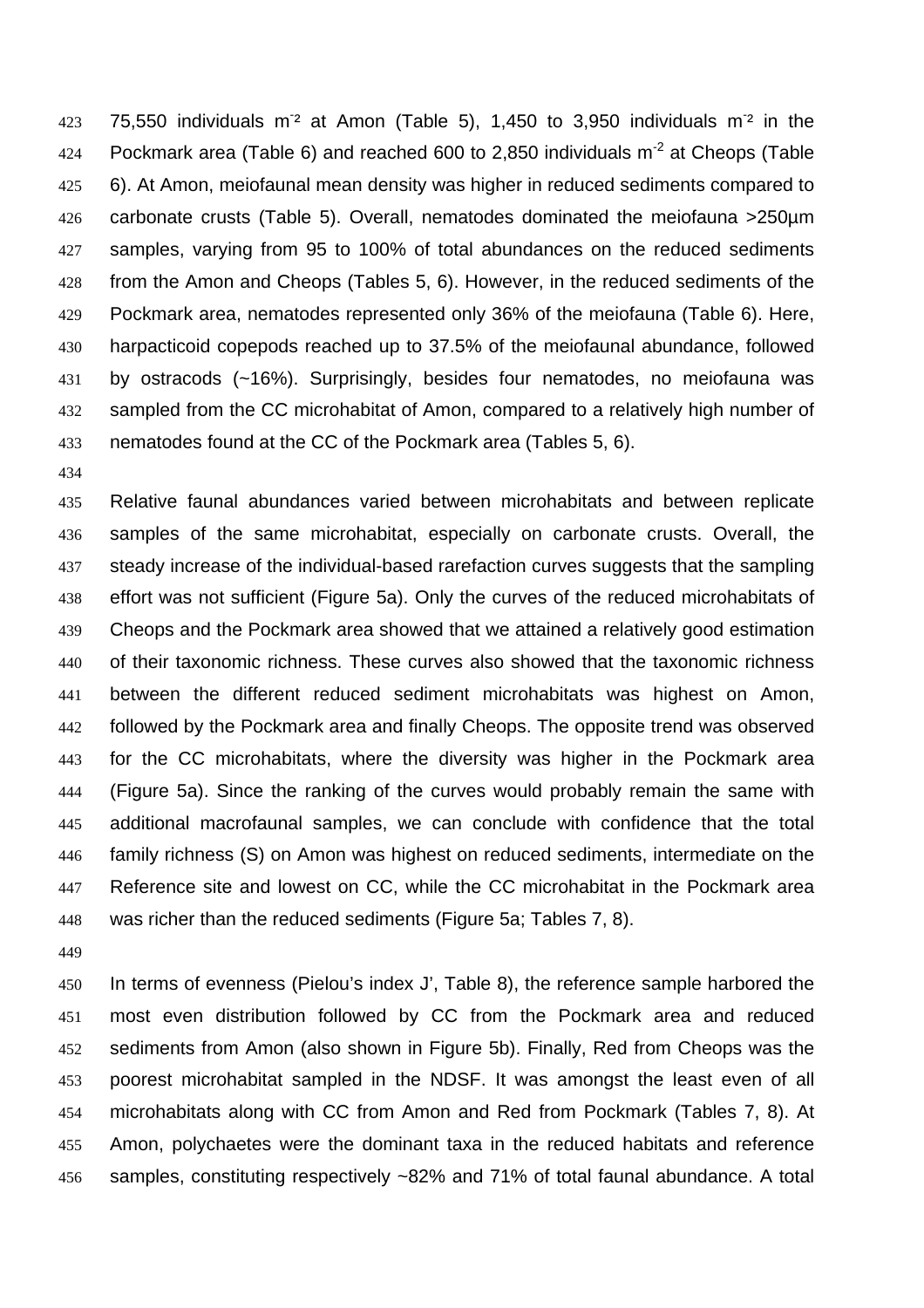423 75,550 individuals  $m^2$  at Amon (Table 5), 1,450 to 3,950 individuals  $m^2$  in the 424 Pockmark area (Table 6) and reached 600 to 2,850 individuals  $m^2$  at Cheops (Table 6). At Amon, meiofaunal mean density was higher in reduced sediments compared to carbonate crusts (Table 5). Overall, nematodes dominated the meiofauna >250µm 427 samples, varying from 95 to 100% of total abundances on the reduced sediments from the Amon and Cheops (Tables 5, 6). However, in the reduced sediments of the Pockmark area, nematodes represented only 36% of the meiofauna (Table 6). Here, harpacticoid copepods reached up to 37.5% of the meiofaunal abundance, followed by ostracods (~16%). Surprisingly, besides four nematodes, no meiofauna was sampled from the CC microhabitat of Amon, compared to a relatively high number of nematodes found at the CC of the Pockmark area (Tables 5, 6).

Relative faunal abundances varied between microhabitats and between replicate samples of the same microhabitat, especially on carbonate crusts. Overall, the 437 steady increase of the individual-based rarefaction curves suggests that the sampling effort was not sufficient (Figure 5a). Only the curves of the reduced microhabitats of Cheops and the Pockmark area showed that we attained a relatively good estimation of their taxonomic richness. These curves also showed that the taxonomic richness between the different reduced sediment microhabitats was highest on Amon, followed by the Pockmark area and finally Cheops. The opposite trend was observed for the CC microhabitats, where the diversity was higher in the Pockmark area (Figure 5a). Since the ranking of the curves would probably remain the same with additional macrofaunal samples, we can conclude with confidence that the total family richness (S) on Amon was highest on reduced sediments, intermediate on the Reference site and lowest on CC, while the CC microhabitat in the Pockmark area was richer than the reduced sediments (Figure 5a; Tables 7, 8).

In terms of evenness (Pielou's index J', Table 8), the reference sample harbored the most even distribution followed by CC from the Pockmark area and reduced sediments from Amon (also shown in Figure 5b). Finally, Red from Cheops was the poorest microhabitat sampled in the NDSF. It was amongst the least even of all microhabitats along with CC from Amon and Red from Pockmark (Tables 7, 8). At Amon, polychaetes were the dominant taxa in the reduced habitats and reference samples, constituting respectively ~82% and 71% of total faunal abundance. A total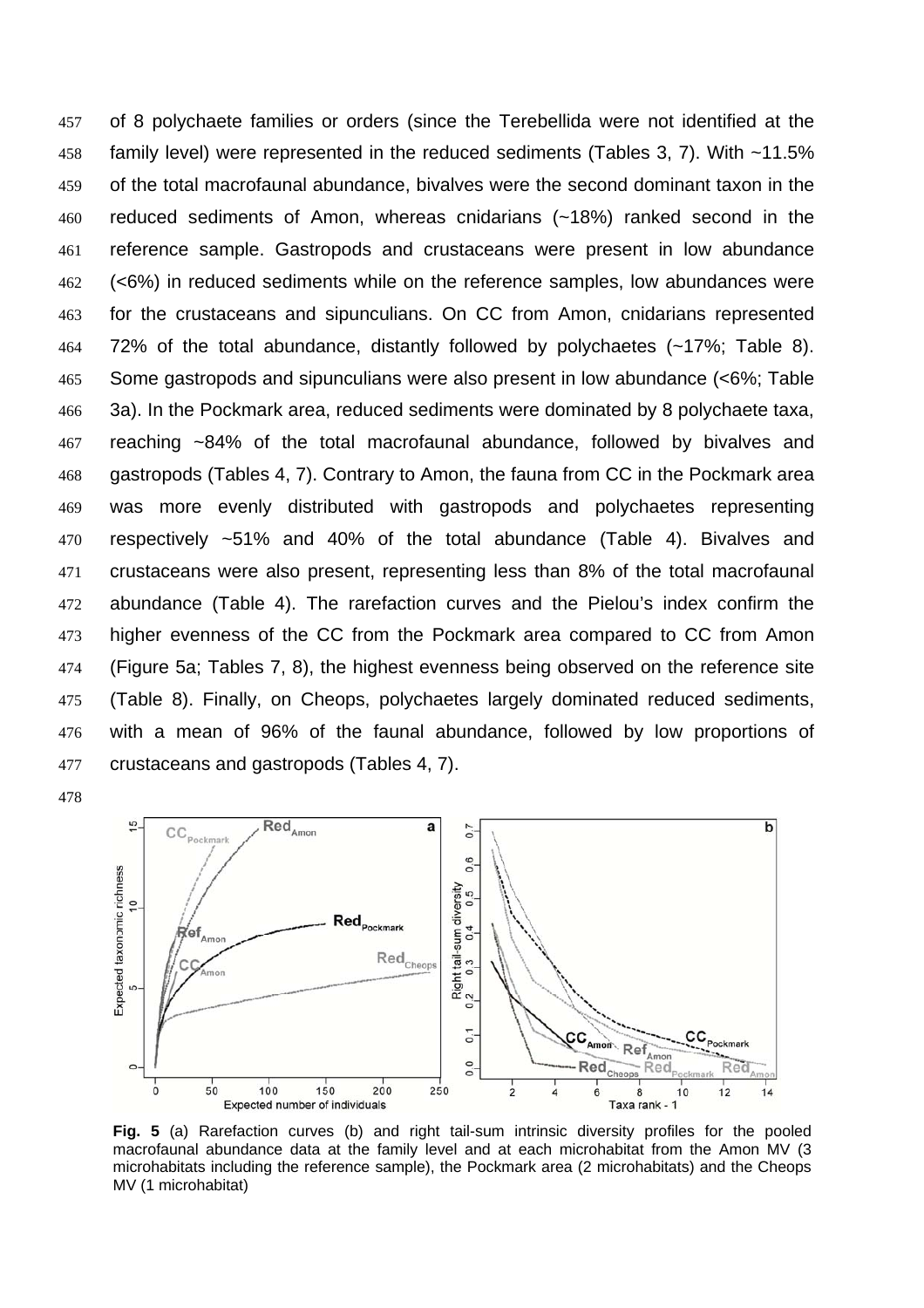of 8 polychaete families or orders (since the Terebellida were not identified at the family level) were represented in the reduced sediments (Tables 3, 7). With ~11.5% of the total macrofaunal abundance, bivalves were the second dominant taxon in the reduced sediments of Amon, whereas cnidarians (~18%) ranked second in the reference sample. Gastropods and crustaceans were present in low abundance (<6%) in reduced sediments while on the reference samples, low abundances were for the crustaceans and sipunculians. On CC from Amon, cnidarians represented 72% of the total abundance, distantly followed by polychaetes (~17%; Table 8). Some gastropods and sipunculians were also present in low abundance (<6%; Table 3a). In the Pockmark area, reduced sediments were dominated by 8 polychaete taxa, reaching ~84% of the total macrofaunal abundance, followed by bivalves and gastropods (Tables 4, 7). Contrary to Amon, the fauna from CC in the Pockmark area was more evenly distributed with gastropods and polychaetes representing respectively ~51% and 40% of the total abundance (Table 4). Bivalves and crustaceans were also present, representing less than 8% of the total macrofaunal abundance (Table 4). The rarefaction curves and the Pielou's index confirm the higher evenness of the CC from the Pockmark area compared to CC from Amon (Figure 5a; Tables 7, 8), the highest evenness being observed on the reference site (Table 8). Finally, on Cheops, polychaetes largely dominated reduced sediments, with a mean of 96% of the faunal abundance, followed by low proportions of crustaceans and gastropods (Tables 4, 7).



**Fig. 5** (a) Rarefaction curves (b) and right tail-sum intrinsic diversity profiles for the pooled macrofaunal abundance data at the family level and at each microhabitat from the Amon MV (3 microhabitats including the reference sample), the Pockmark area (2 microhabitats) and the Cheops MV (1 microhabitat)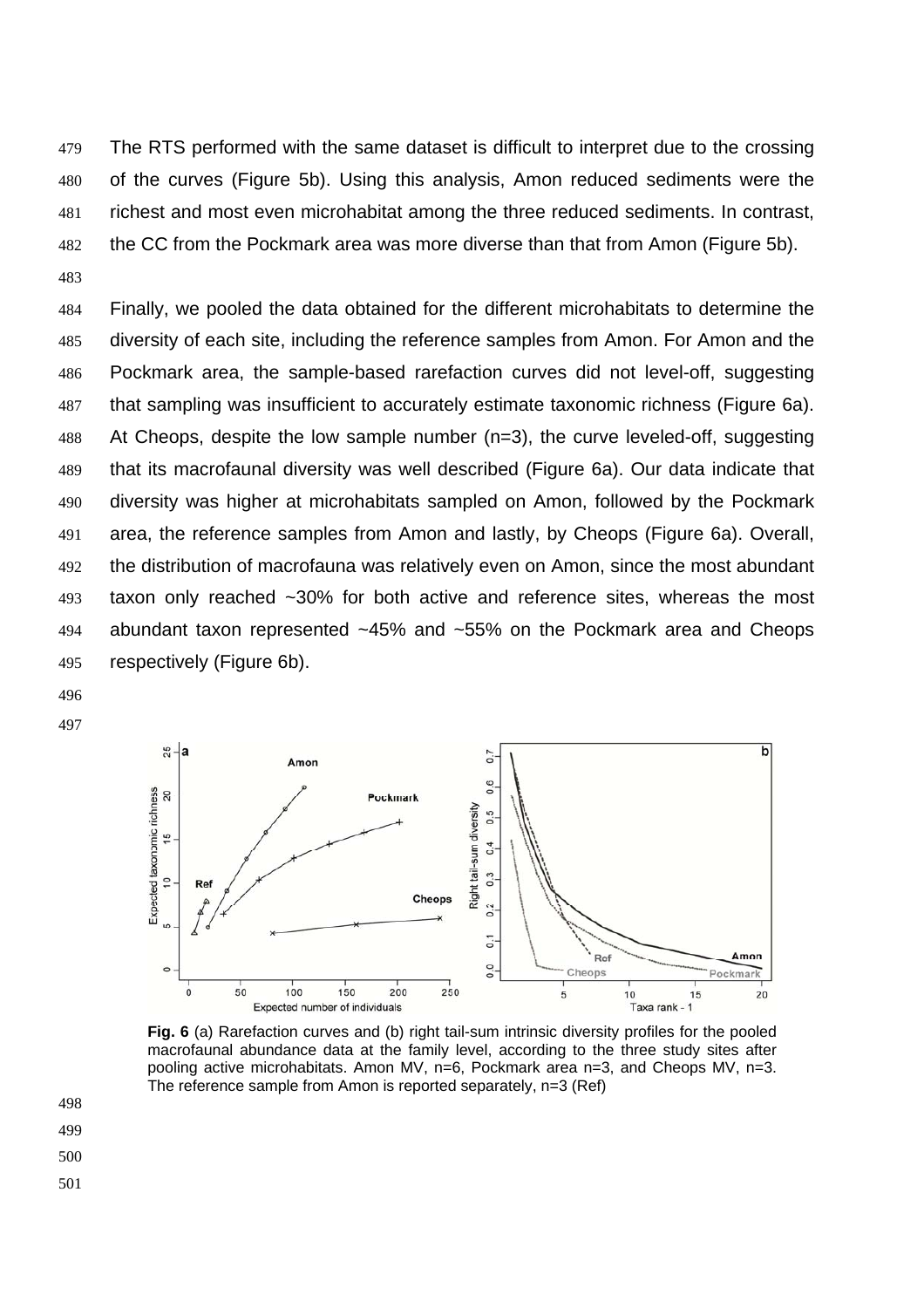The RTS performed with the same dataset is difficult to interpret due to the crossing of the curves (Figure 5b). Using this analysis, Amon reduced sediments were the richest and most even microhabitat among the three reduced sediments. In contrast, the CC from the Pockmark area was more diverse than that from Amon (Figure 5b). 

Finally, we pooled the data obtained for the different microhabitats to determine the diversity of each site, including the reference samples from Amon. For Amon and the Pockmark area, the sample-based rarefaction curves did not level-off, suggesting that sampling was insufficient to accurately estimate taxonomic richness (Figure 6a). At Cheops, despite the low sample number (n=3), the curve leveled-off, suggesting that its macrofaunal diversity was well described (Figure 6a). Our data indicate that diversity was higher at microhabitats sampled on Amon, followed by the Pockmark area, the reference samples from Amon and lastly, by Cheops (Figure 6a). Overall, the distribution of macrofauna was relatively even on Amon, since the most abundant taxon only reached ~30% for both active and reference sites, whereas the most abundant taxon represented ~45% and ~55% on the Pockmark area and Cheops respectively (Figure 6b).

- 
- 



**Fig. 6** (a) Rarefaction curves and (b) right tail-sum intrinsic diversity profiles for the pooled macrofaunal abundance data at the family level, according to the three study sites after pooling active microhabitats. Amon MV, n=6, Pockmark area n=3, and Cheops MV, n=3. The reference sample from Amon is reported separately, n=3 (Ref)

- 
-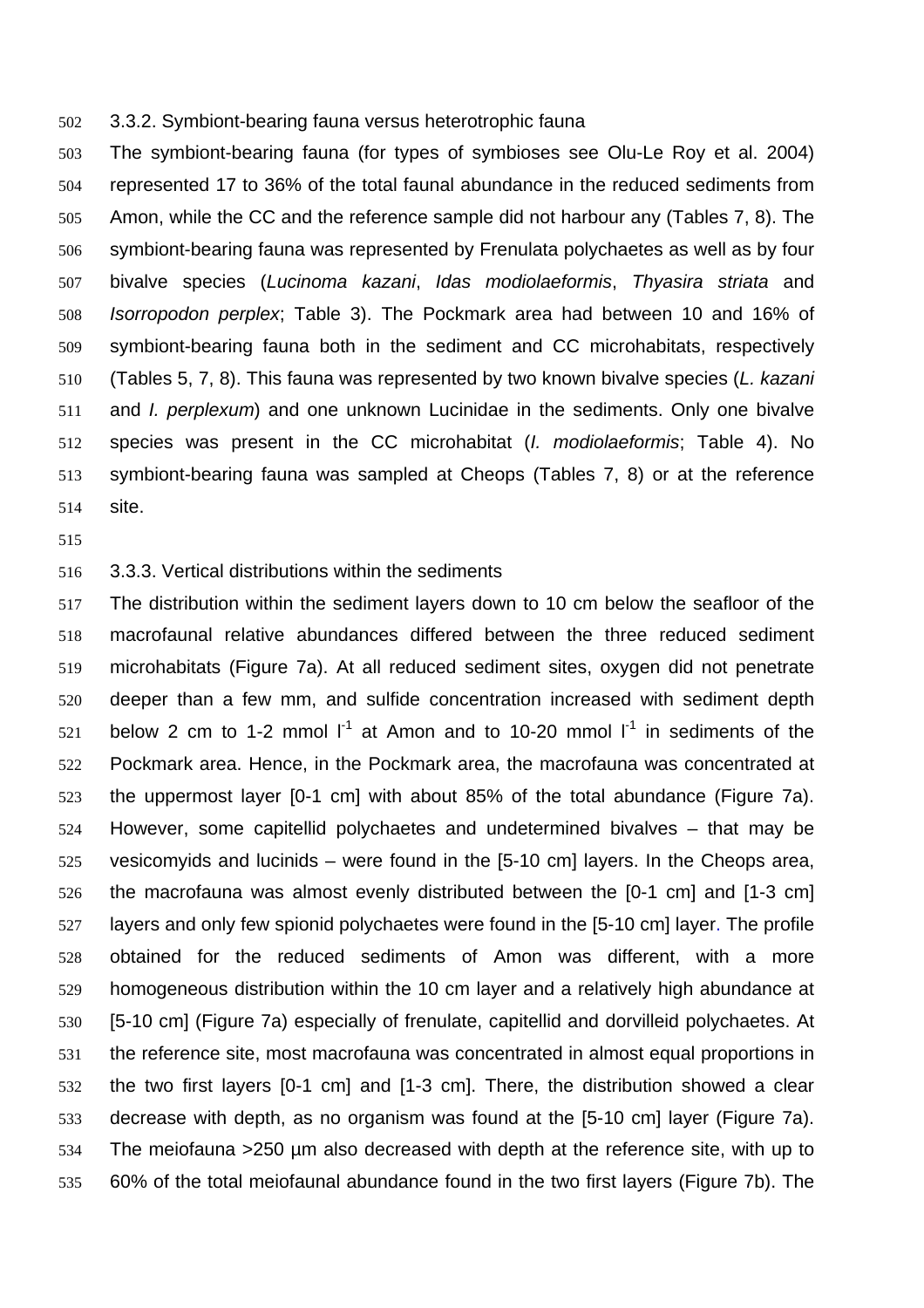3.3.2. Symbiont-bearing fauna versus heterotrophic fauna

The symbiont-bearing fauna (for types of symbioses see Olu-Le Roy et al. 2004) represented 17 to 36% of the total faunal abundance in the reduced sediments from Amon, while the CC and the reference sample did not harbour any (Tables 7, 8). The symbiont-bearing fauna was represented by Frenulata polychaetes as well as by four bivalve species (*Lucinoma kazani*, *Idas modiolaeformis*, *Thyasira striata* and *Isorropodon perplex*; Table 3). The Pockmark area had between 10 and 16% of symbiont-bearing fauna both in the sediment and CC microhabitats, respectively (Tables 5, 7, 8). This fauna was represented by two known bivalve species (*L. kazani* and *I. perplexum*) and one unknown Lucinidae in the sediments. Only one bivalve species was present in the CC microhabitat (*I. modiolaeformis*; Table 4). No symbiont-bearing fauna was sampled at Cheops (Tables 7, 8) or at the reference site.

#### 3.3.3. Vertical distributions within the sediments

The distribution within the sediment layers down to 10 cm below the seafloor of the macrofaunal relative abundances differed between the three reduced sediment microhabitats (Figure 7a). At all reduced sediment sites, oxygen did not penetrate deeper than a few mm, and sulfide concentration increased with sediment depth 521 below 2 cm to 1-2 mmol  $I^1$  at Amon and to 10-20 mmol  $I^1$  in sediments of the Pockmark area. Hence, in the Pockmark area, the macrofauna was concentrated at the uppermost layer [0-1 cm] with about 85% of the total abundance (Figure 7a). However, some capitellid polychaetes and undetermined bivalves – that may be vesicomyids and lucinids – were found in the [5-10 cm] layers. In the Cheops area, the macrofauna was almost evenly distributed between the [0-1 cm] and [1-3 cm] layers and only few spionid polychaetes were found in the [5-10 cm] layer. The profile obtained for the reduced sediments of Amon was different, with a more homogeneous distribution within the 10 cm layer and a relatively high abundance at [5-10 cm] (Figure 7a) especially of frenulate, capitellid and dorvilleid polychaetes. At the reference site, most macrofauna was concentrated in almost equal proportions in the two first layers [0-1 cm] and [1-3 cm]. There, the distribution showed a clear decrease with depth, as no organism was found at the [5-10 cm] layer (Figure 7a). The meiofauna >250 µm also decreased with depth at the reference site, with up to 60% of the total meiofaunal abundance found in the two first layers (Figure 7b). The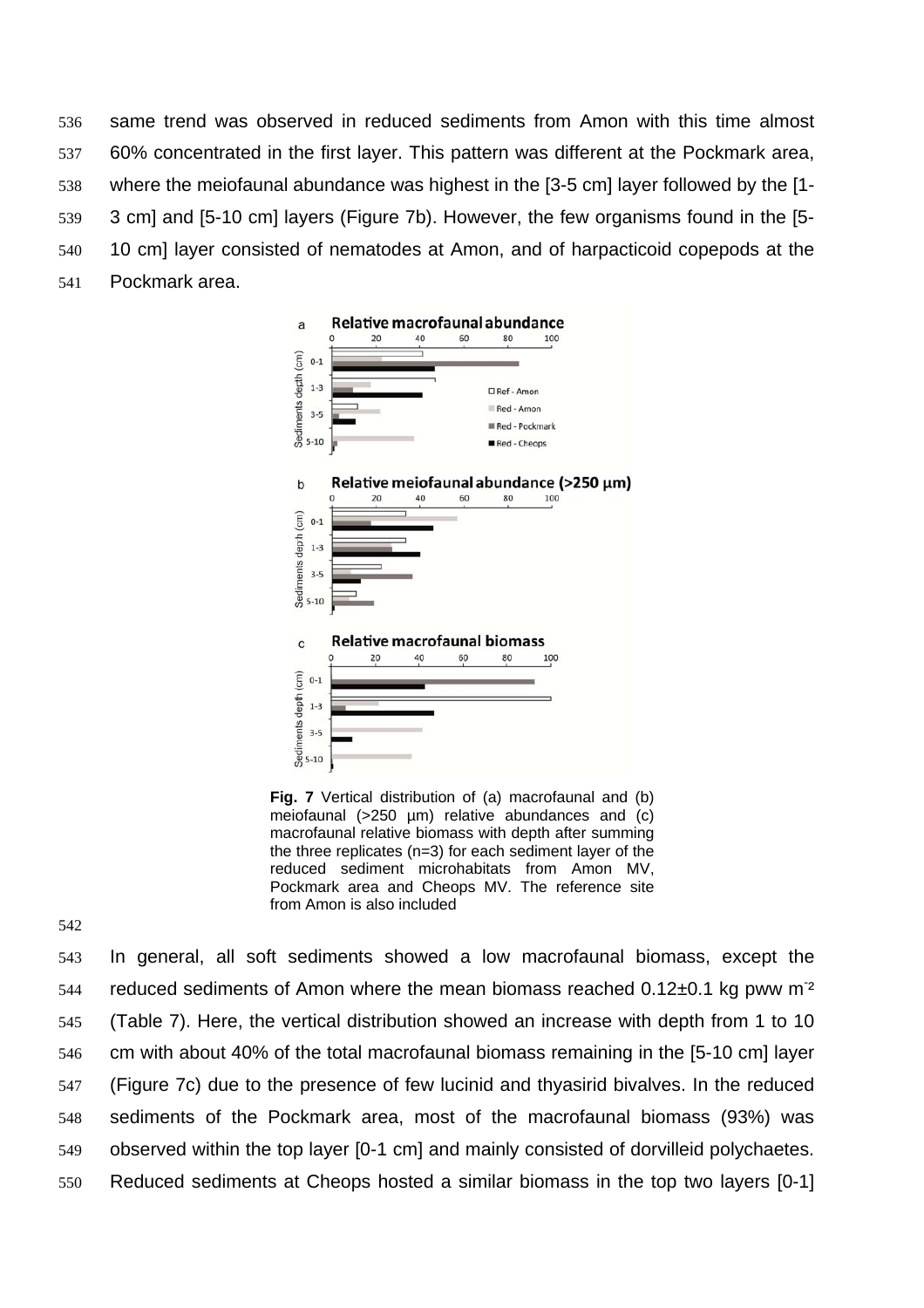same trend was observed in reduced sediments from Amon with this time almost 60% concentrated in the first layer. This pattern was different at the Pockmark area, where the meiofaunal abundance was highest in the [3-5 cm] layer followed by the [1- 3 cm] and [5-10 cm] layers (Figure 7b). However, the few organisms found in the [5- 10 cm] layer consisted of nematodes at Amon, and of harpacticoid copepods at the Pockmark area.



**Fig. 7** Vertical distribution of (a) macrofaunal and (b) meiofaunal (>250 µm) relative abundances and (c) macrofaunal relative biomass with depth after summing the three replicates (n=3) for each sediment layer of the reduced sediment microhabitats from Amon MV, Pockmark area and Cheops MV. The reference site from Amon is also included

In general, all soft sediments showed a low macrofaunal biomass, except the reduced sediments of Amon where the mean biomass reached  $0.12\pm0.1$  kg pww m<sup>-2</sup> (Table 7). Here, the vertical distribution showed an increase with depth from 1 to 10 cm with about 40% of the total macrofaunal biomass remaining in the [5-10 cm] layer (Figure 7c) due to the presence of few lucinid and thyasirid bivalves. In the reduced sediments of the Pockmark area, most of the macrofaunal biomass (93%) was observed within the top layer [0-1 cm] and mainly consisted of dorvilleid polychaetes. Reduced sediments at Cheops hosted a similar biomass in the top two layers [0-1]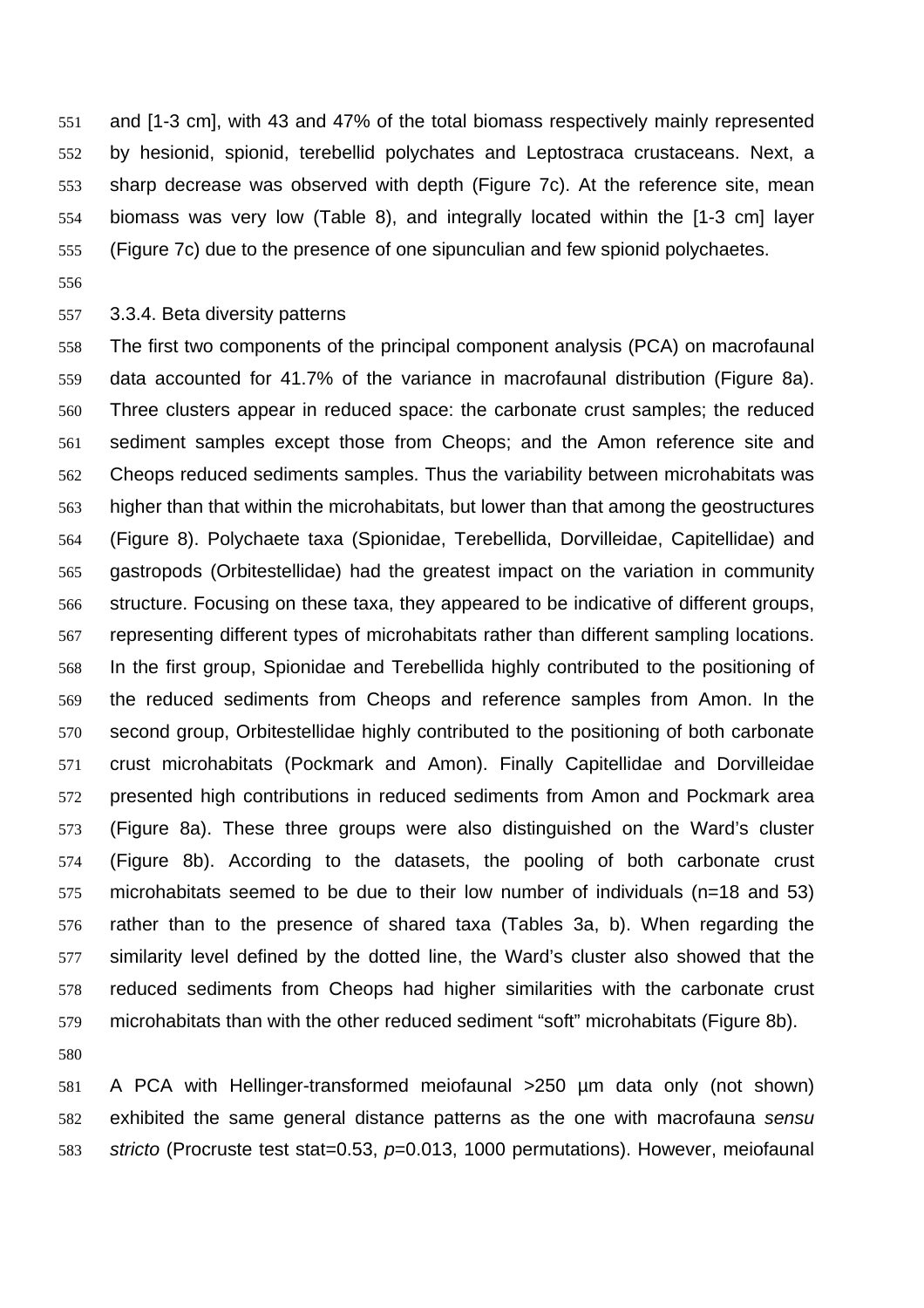and [1-3 cm], with 43 and 47% of the total biomass respectively mainly represented by hesionid, spionid, terebellid polychates and Leptostraca crustaceans. Next, a sharp decrease was observed with depth (Figure 7c). At the reference site, mean biomass was very low (Table 8), and integrally located within the [1-3 cm] layer (Figure 7c) due to the presence of one sipunculian and few spionid polychaetes.

### 3.3.4. Beta diversity patterns

The first two components of the principal component analysis (PCA) on macrofaunal data accounted for 41.7% of the variance in macrofaunal distribution (Figure 8a). Three clusters appear in reduced space: the carbonate crust samples; the reduced sediment samples except those from Cheops; and the Amon reference site and Cheops reduced sediments samples. Thus the variability between microhabitats was higher than that within the microhabitats, but lower than that among the geostructures (Figure 8). Polychaete taxa (Spionidae, Terebellida, Dorvilleidae, Capitellidae) and gastropods (Orbitestellidae) had the greatest impact on the variation in community structure. Focusing on these taxa, they appeared to be indicative of different groups, representing different types of microhabitats rather than different sampling locations. In the first group, Spionidae and Terebellida highly contributed to the positioning of the reduced sediments from Cheops and reference samples from Amon. In the second group, Orbitestellidae highly contributed to the positioning of both carbonate crust microhabitats (Pockmark and Amon). Finally Capitellidae and Dorvilleidae presented high contributions in reduced sediments from Amon and Pockmark area (Figure 8a). These three groups were also distinguished on the Ward's cluster (Figure 8b). According to the datasets, the pooling of both carbonate crust microhabitats seemed to be due to their low number of individuals (n=18 and 53) rather than to the presence of shared taxa (Tables 3a, b). When regarding the similarity level defined by the dotted line, the Ward's cluster also showed that the reduced sediments from Cheops had higher similarities with the carbonate crust microhabitats than with the other reduced sediment "soft" microhabitats (Figure 8b).

A PCA with Hellinger-transformed meiofaunal >250 µm data only (not shown) exhibited the same general distance patterns as the one with macrofauna *sensu stricto* (Procruste test stat=0.53, *p*=0.013, 1000 permutations). However, meiofaunal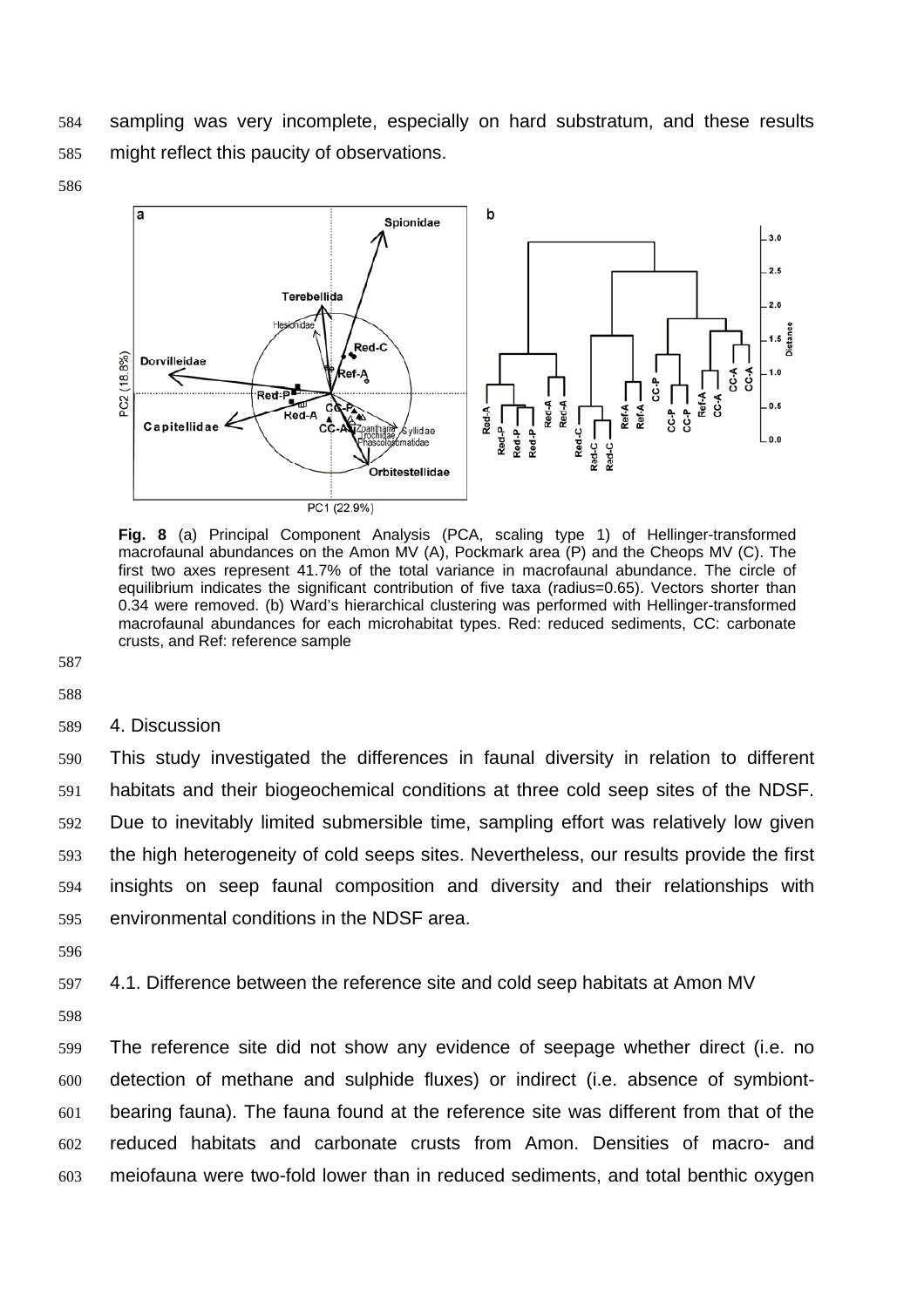sampling was very incomplete, especially on hard substratum, and these results might reflect this paucity of observations.





**Fig. 8** (a) Principal Component Analysis (PCA, scaling type 1) of Hellinger-transformed macrofaunal abundances on the Amon MV (A), Pockmark area (P) and the Cheops MV (C). The first two axes represent 41.7% of the total variance in macrofaunal abundance. The circle of equilibrium indicates the significant contribution of five taxa (radius=0.65). Vectors shorter than 0.34 were removed. (b) Ward's hierarchical clustering was performed with Hellinger-transformed macrofaunal abundances for each microhabitat types. Red: reduced sediments, CC: carbonate crusts, and Ref: reference sample

 

# 4. Discussion

This study investigated the differences in faunal diversity in relation to different habitats and their biogeochemical conditions at three cold seep sites of the NDSF. Due to inevitably limited submersible time, sampling effort was relatively low given the high heterogeneity of cold seeps sites. Nevertheless, our results provide the first insights on seep faunal composition and diversity and their relationships with environmental conditions in the NDSF area.

4.1. Difference between the reference site and cold seep habitats at Amon MV

The reference site did not show any evidence of seepage whether direct (i.e. no detection of methane and sulphide fluxes) or indirect (i.e. absence of symbiont-bearing fauna). The fauna found at the reference site was different from that of the reduced habitats and carbonate crusts from Amon. Densities of macro- and meiofauna were two-fold lower than in reduced sediments, and total benthic oxygen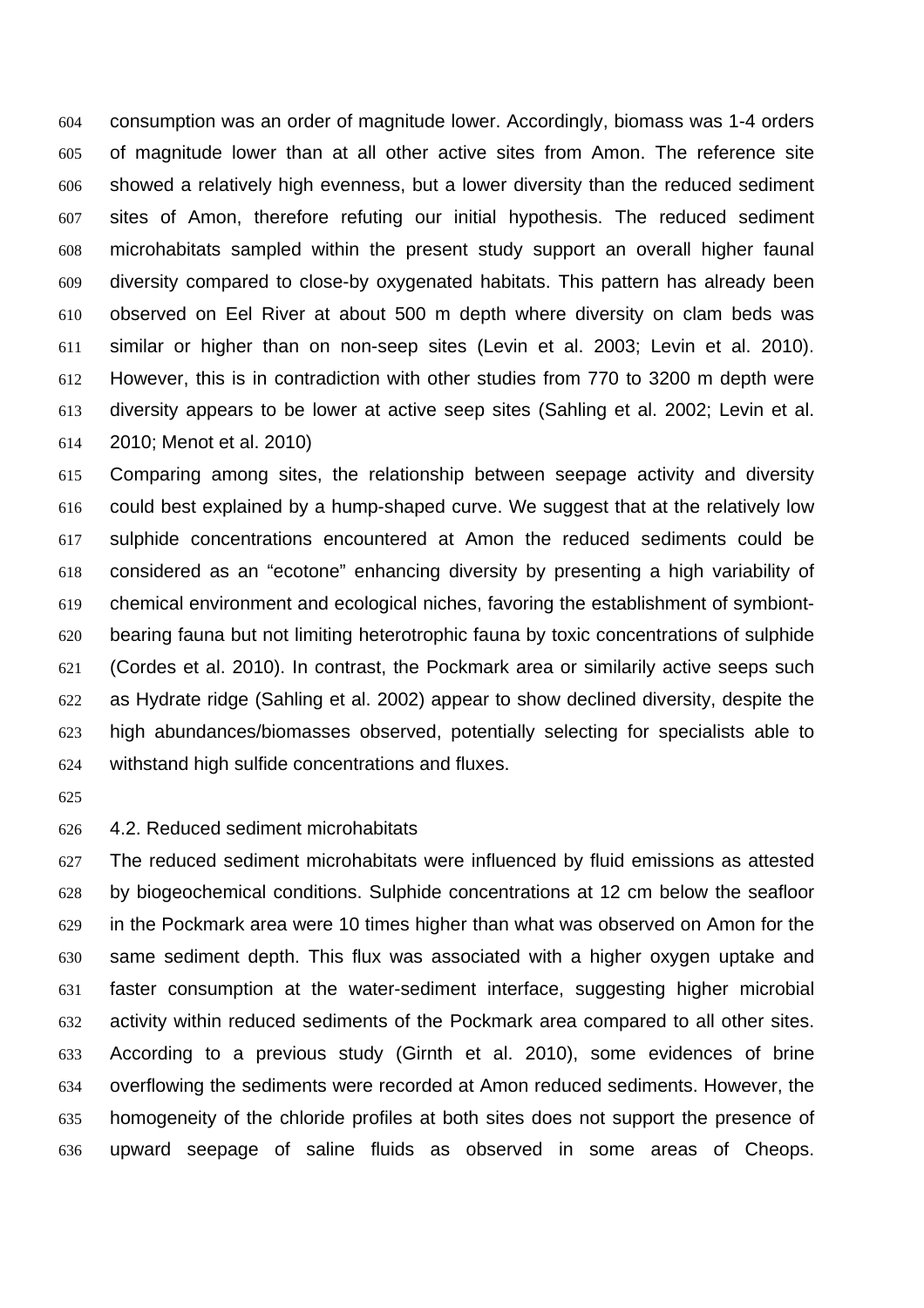consumption was an order of magnitude lower. Accordingly, biomass was 1-4 orders of magnitude lower than at all other active sites from Amon. The reference site showed a relatively high evenness, but a lower diversity than the reduced sediment sites of Amon, therefore refuting our initial hypothesis. The reduced sediment microhabitats sampled within the present study support an overall higher faunal diversity compared to close-by oxygenated habitats. This pattern has already been observed on Eel River at about 500 m depth where diversity on clam beds was similar or higher than on non-seep sites (Levin et al. 2003; Levin et al. 2010). However, this is in contradiction with other studies from 770 to 3200 m depth were diversity appears to be lower at active seep sites (Sahling et al. 2002; Levin et al. 2010; Menot et al. 2010)

Comparing among sites, the relationship between seepage activity and diversity could best explained by a hump-shaped curve. We suggest that at the relatively low sulphide concentrations encountered at Amon the reduced sediments could be considered as an "ecotone" enhancing diversity by presenting a high variability of chemical environment and ecological niches, favoring the establishment of symbiont-bearing fauna but not limiting heterotrophic fauna by toxic concentrations of sulphide (Cordes et al. 2010). In contrast, the Pockmark area or similarily active seeps such as Hydrate ridge (Sahling et al. 2002) appear to show declined diversity, despite the high abundances/biomasses observed, potentially selecting for specialists able to withstand high sulfide concentrations and fluxes.

### 4.2. Reduced sediment microhabitats

The reduced sediment microhabitats were influenced by fluid emissions as attested by biogeochemical conditions. Sulphide concentrations at 12 cm below the seafloor in the Pockmark area were 10 times higher than what was observed on Amon for the same sediment depth. This flux was associated with a higher oxygen uptake and faster consumption at the water-sediment interface, suggesting higher microbial activity within reduced sediments of the Pockmark area compared to all other sites. According to a previous study (Girnth et al. 2010), some evidences of brine overflowing the sediments were recorded at Amon reduced sediments. However, the homogeneity of the chloride profiles at both sites does not support the presence of upward seepage of saline fluids as observed in some areas of Cheops.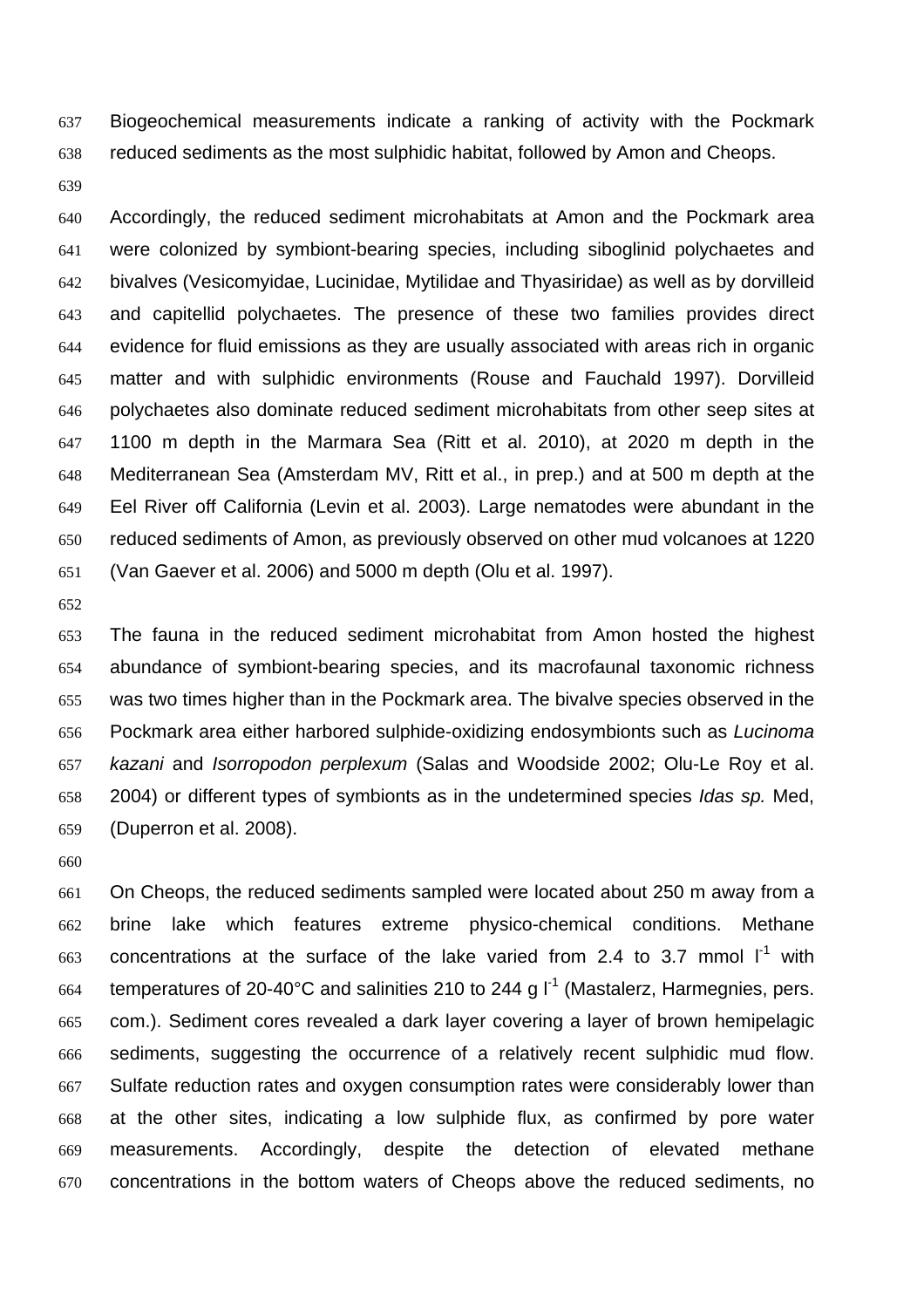Biogeochemical measurements indicate a ranking of activity with the Pockmark reduced sediments as the most sulphidic habitat, followed by Amon and Cheops.

Accordingly, the reduced sediment microhabitats at Amon and the Pockmark area were colonized by symbiont-bearing species, including siboglinid polychaetes and bivalves (Vesicomyidae, Lucinidae, Mytilidae and Thyasiridae) as well as by dorvilleid and capitellid polychaetes. The presence of these two families provides direct evidence for fluid emissions as they are usually associated with areas rich in organic matter and with sulphidic environments (Rouse and Fauchald 1997). Dorvilleid polychaetes also dominate reduced sediment microhabitats from other seep sites at 1100 m depth in the Marmara Sea (Ritt et al. 2010), at 2020 m depth in the Mediterranean Sea (Amsterdam MV, Ritt et al., in prep.) and at 500 m depth at the Eel River off California (Levin et al. 2003). Large nematodes were abundant in the reduced sediments of Amon, as previously observed on other mud volcanoes at 1220 (Van Gaever et al. 2006) and 5000 m depth (Olu et al. 1997).

The fauna in the reduced sediment microhabitat from Amon hosted the highest abundance of symbiont-bearing species, and its macrofaunal taxonomic richness was two times higher than in the Pockmark area. The bivalve species observed in the Pockmark area either harbored sulphide-oxidizing endosymbionts such as *Lucinoma kazani* and *Isorropodon perplexum* (Salas and Woodside 2002; Olu-Le Roy et al. 2004) or different types of symbionts as in the undetermined species *Idas sp.* Med, (Duperron et al. 2008).

On Cheops, the reduced sediments sampled were located about 250 m away from a brine lake which features extreme physico-chemical conditions. Methane 663 concentrations at the surface of the lake varied from 2.4 to 3.7 mmol  $I<sup>-1</sup>$  with temperatures of 20-40°C and salinities 210 to 244 g  $I^1$  (Mastalerz, Harmegnies, pers. com.). Sediment cores revealed a dark layer covering a layer of brown hemipelagic sediments, suggesting the occurrence of a relatively recent sulphidic mud flow. Sulfate reduction rates and oxygen consumption rates were considerably lower than at the other sites, indicating a low sulphide flux, as confirmed by pore water measurements. Accordingly, despite the detection of elevated methane concentrations in the bottom waters of Cheops above the reduced sediments, no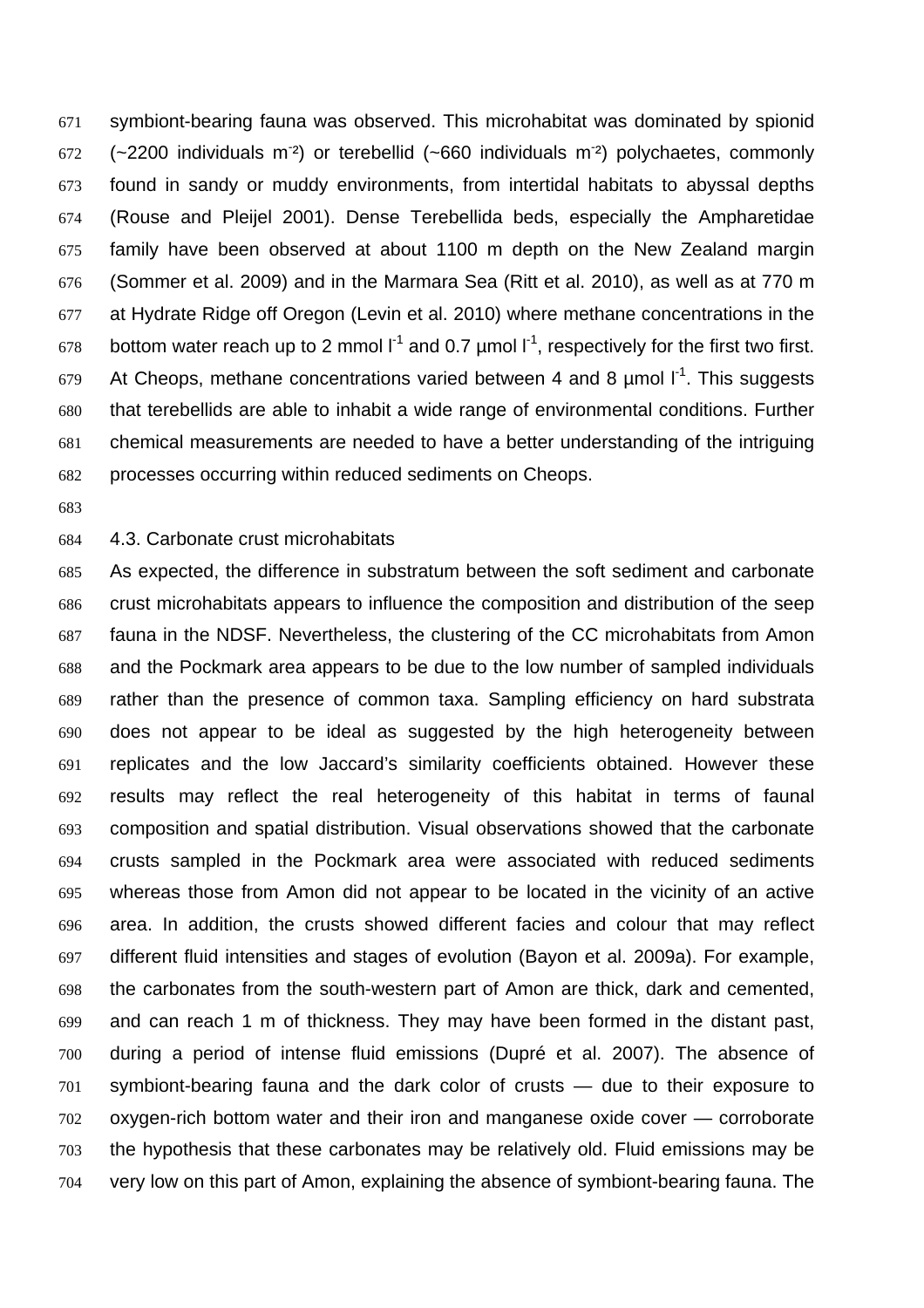symbiont-bearing fauna was observed. This microhabitat was dominated by spionid (~2200 individuals m<sup>-2</sup>) or terebellid (~660 individuals m<sup>-2</sup>) polychaetes, commonly found in sandy or muddy environments, from intertidal habitats to abyssal depths (Rouse and Pleijel 2001). Dense Terebellida beds, especially the Ampharetidae family have been observed at about 1100 m depth on the New Zealand margin (Sommer et al. 2009) and in the Marmara Sea (Ritt et al. 2010), as well as at 770 m at Hydrate Ridge off Oregon (Levin et al. 2010) where methane concentrations in the 678 bottom water reach up to 2 mmol  $I^1$  and 0.7 µmol  $I^1$ , respectively for the first two first. At Cheops, methane concentrations varied between 4 and 8  $\mu$ mol  $I^1$ . This suggests that terebellids are able to inhabit a wide range of environmental conditions. Further chemical measurements are needed to have a better understanding of the intriguing processes occurring within reduced sediments on Cheops.

#### 4.3. Carbonate crust microhabitats

As expected, the difference in substratum between the soft sediment and carbonate crust microhabitats appears to influence the composition and distribution of the seep fauna in the NDSF. Nevertheless, the clustering of the CC microhabitats from Amon and the Pockmark area appears to be due to the low number of sampled individuals rather than the presence of common taxa. Sampling efficiency on hard substrata does not appear to be ideal as suggested by the high heterogeneity between replicates and the low Jaccard's similarity coefficients obtained. However these results may reflect the real heterogeneity of this habitat in terms of faunal composition and spatial distribution. Visual observations showed that the carbonate crusts sampled in the Pockmark area were associated with reduced sediments whereas those from Amon did not appear to be located in the vicinity of an active area. In addition, the crusts showed different facies and colour that may reflect different fluid intensities and stages of evolution (Bayon et al. 2009a). For example, the carbonates from the south-western part of Amon are thick, dark and cemented, and can reach 1 m of thickness. They may have been formed in the distant past, during a period of intense fluid emissions (Dupré et al. 2007). The absence of symbiont-bearing fauna and the dark color of crusts — due to their exposure to oxygen-rich bottom water and their iron and manganese oxide cover — corroborate the hypothesis that these carbonates may be relatively old. Fluid emissions may be very low on this part of Amon, explaining the absence of symbiont-bearing fauna. The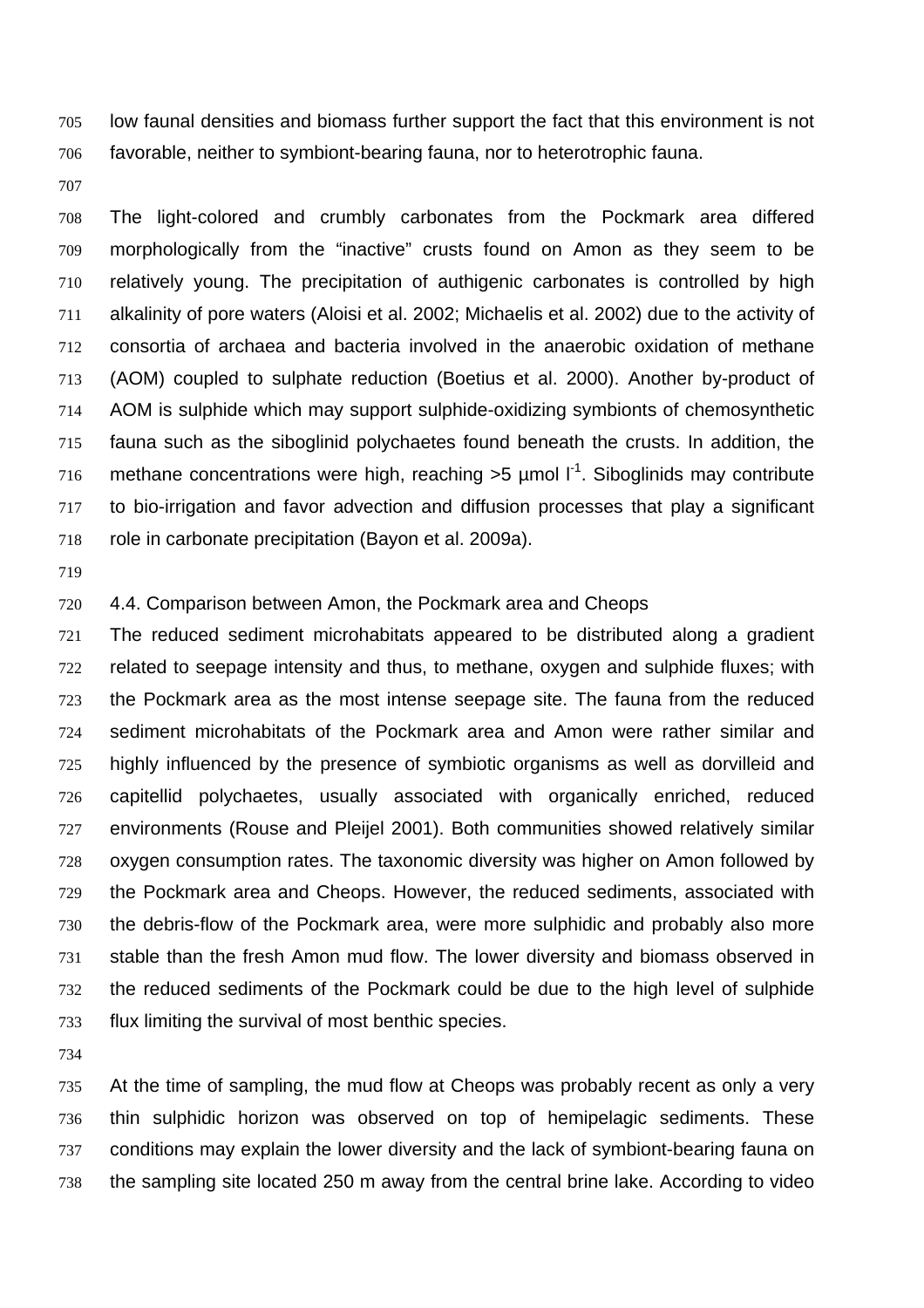low faunal densities and biomass further support the fact that this environment is not favorable, neither to symbiont-bearing fauna, nor to heterotrophic fauna.

The light-colored and crumbly carbonates from the Pockmark area differed morphologically from the "inactive" crusts found on Amon as they seem to be relatively young. The precipitation of authigenic carbonates is controlled by high alkalinity of pore waters (Aloisi et al. 2002; Michaelis et al. 2002) due to the activity of consortia of archaea and bacteria involved in the anaerobic oxidation of methane (AOM) coupled to sulphate reduction (Boetius et al. 2000). Another by-product of AOM is sulphide which may support sulphide-oxidizing symbionts of chemosynthetic fauna such as the siboglinid polychaetes found beneath the crusts. In addition, the 716 methane concentrations were high, reaching  $>5$  µmol  $I<sup>-1</sup>$ . Siboglinids may contribute to bio-irrigation and favor advection and diffusion processes that play a significant role in carbonate precipitation (Bayon et al. 2009a).

4.4. Comparison between Amon, the Pockmark area and Cheops

The reduced sediment microhabitats appeared to be distributed along a gradient related to seepage intensity and thus, to methane, oxygen and sulphide fluxes; with the Pockmark area as the most intense seepage site. The fauna from the reduced sediment microhabitats of the Pockmark area and Amon were rather similar and highly influenced by the presence of symbiotic organisms as well as dorvilleid and capitellid polychaetes, usually associated with organically enriched, reduced environments (Rouse and Pleijel 2001). Both communities showed relatively similar oxygen consumption rates. The taxonomic diversity was higher on Amon followed by the Pockmark area and Cheops. However, the reduced sediments, associated with the debris-flow of the Pockmark area, were more sulphidic and probably also more stable than the fresh Amon mud flow. The lower diversity and biomass observed in the reduced sediments of the Pockmark could be due to the high level of sulphide flux limiting the survival of most benthic species.

At the time of sampling, the mud flow at Cheops was probably recent as only a very thin sulphidic horizon was observed on top of hemipelagic sediments. These conditions may explain the lower diversity and the lack of symbiont-bearing fauna on the sampling site located 250 m away from the central brine lake. According to video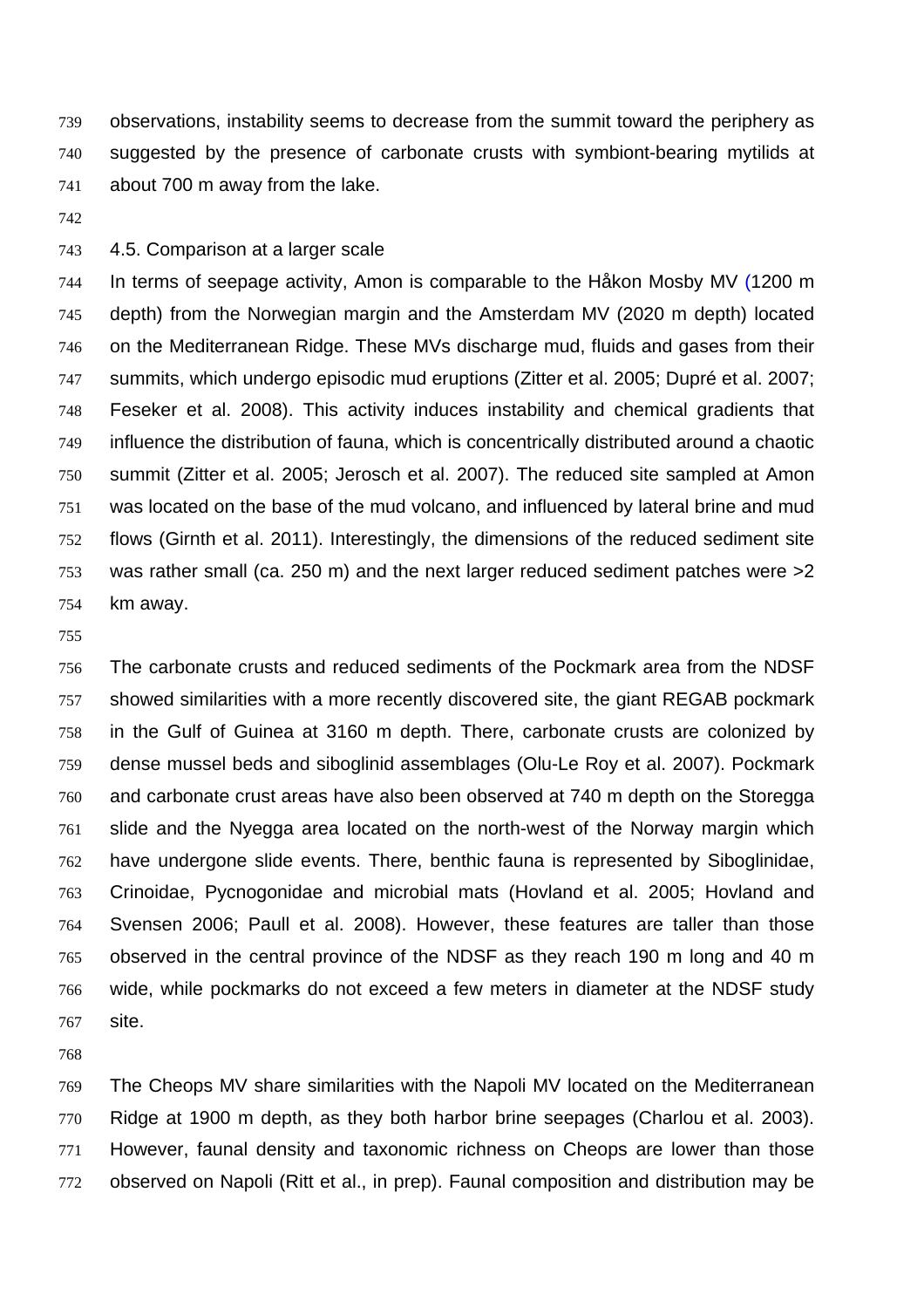observations, instability seems to decrease from the summit toward the periphery as suggested by the presence of carbonate crusts with symbiont-bearing mytilids at about 700 m away from the lake.

4.5. Comparison at a larger scale

In terms of seepage activity, Amon is comparable to the Håkon Mosby MV (1200 m depth) from the Norwegian margin and the Amsterdam MV (2020 m depth) located on the Mediterranean Ridge. These MVs discharge mud, fluids and gases from their summits, which undergo episodic mud eruptions (Zitter et al. 2005; Dupré et al. 2007; Feseker et al. 2008). This activity induces instability and chemical gradients that influence the distribution of fauna, which is concentrically distributed around a chaotic summit (Zitter et al. 2005; Jerosch et al. 2007). The reduced site sampled at Amon was located on the base of the mud volcano, and influenced by lateral brine and mud flows (Girnth et al. 2011). Interestingly, the dimensions of the reduced sediment site was rather small (ca. 250 m) and the next larger reduced sediment patches were >2 km away.

#### 

The carbonate crusts and reduced sediments of the Pockmark area from the NDSF showed similarities with a more recently discovered site, the giant REGAB pockmark in the Gulf of Guinea at 3160 m depth. There, carbonate crusts are colonized by dense mussel beds and siboglinid assemblages (Olu-Le Roy et al. 2007). Pockmark and carbonate crust areas have also been observed at 740 m depth on the Storegga slide and the Nyegga area located on the north-west of the Norway margin which have undergone slide events. There, benthic fauna is represented by Siboglinidae, Crinoidae, Pycnogonidae and microbial mats (Hovland et al. 2005; Hovland and Svensen 2006; Paull et al. 2008). However, these features are taller than those observed in the central province of the NDSF as they reach 190 m long and 40 m wide, while pockmarks do not exceed a few meters in diameter at the NDSF study site.

The Cheops MV share similarities with the Napoli MV located on the Mediterranean Ridge at 1900 m depth, as they both harbor brine seepages (Charlou et al. 2003). However, faunal density and taxonomic richness on Cheops are lower than those observed on Napoli (Ritt et al., in prep). Faunal composition and distribution may be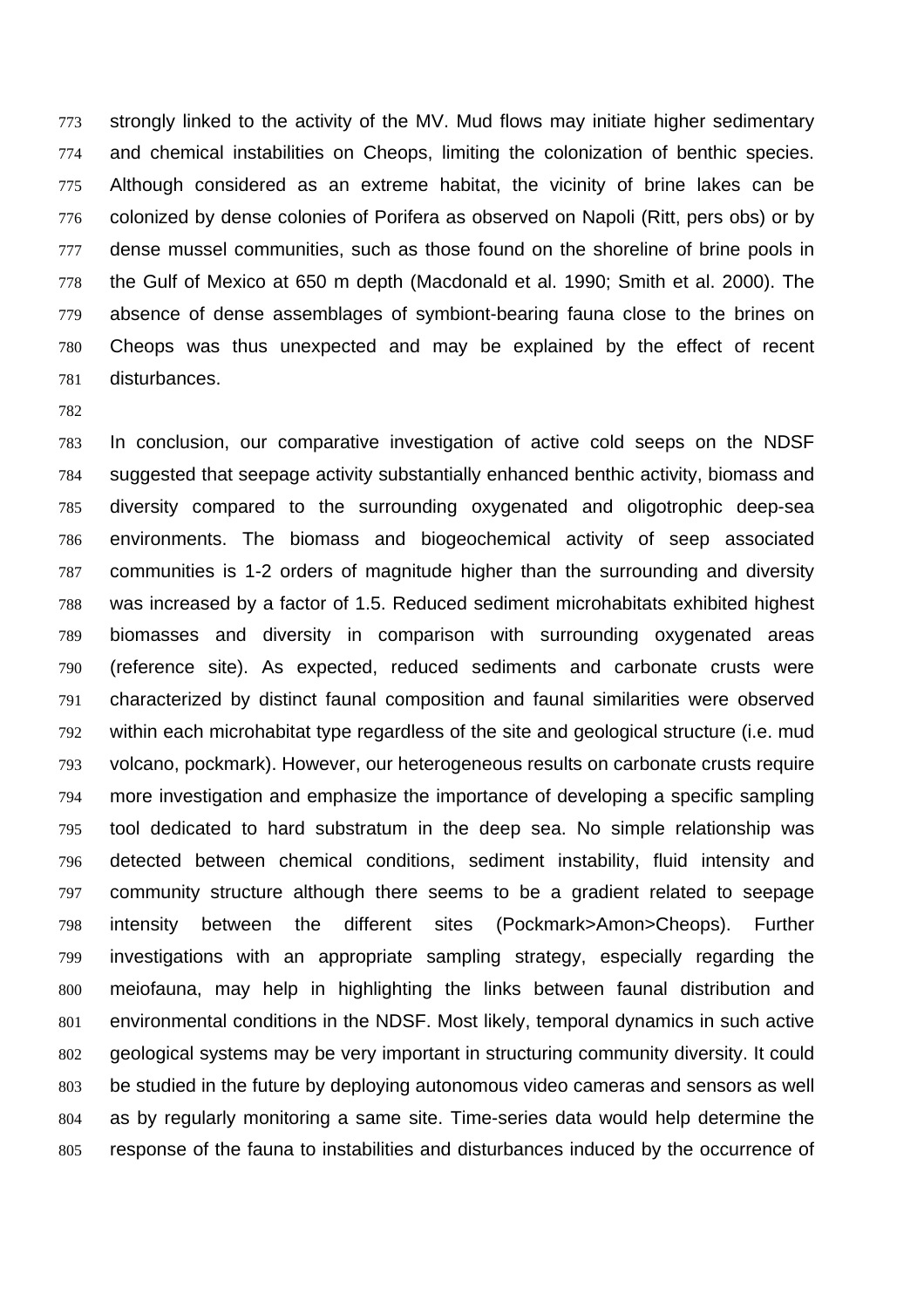strongly linked to the activity of the MV. Mud flows may initiate higher sedimentary and chemical instabilities on Cheops, limiting the colonization of benthic species. Although considered as an extreme habitat, the vicinity of brine lakes can be colonized by dense colonies of Porifera as observed on Napoli (Ritt, pers obs) or by 777 dense mussel communities, such as those found on the shoreline of brine pools in the Gulf of Mexico at 650 m depth (Macdonald et al. 1990; Smith et al. 2000). The absence of dense assemblages of symbiont-bearing fauna close to the brines on Cheops was thus unexpected and may be explained by the effect of recent disturbances.

#### 

In conclusion, our comparative investigation of active cold seeps on the NDSF suggested that seepage activity substantially enhanced benthic activity, biomass and diversity compared to the surrounding oxygenated and oligotrophic deep-sea environments. The biomass and biogeochemical activity of seep associated communities is 1-2 orders of magnitude higher than the surrounding and diversity was increased by a factor of 1.5. Reduced sediment microhabitats exhibited highest biomasses and diversity in comparison with surrounding oxygenated areas (reference site). As expected, reduced sediments and carbonate crusts were characterized by distinct faunal composition and faunal similarities were observed within each microhabitat type regardless of the site and geological structure (i.e. mud volcano, pockmark). However, our heterogeneous results on carbonate crusts require more investigation and emphasize the importance of developing a specific sampling tool dedicated to hard substratum in the deep sea. No simple relationship was detected between chemical conditions, sediment instability, fluid intensity and community structure although there seems to be a gradient related to seepage intensity between the different sites (Pockmark>Amon>Cheops). Further investigations with an appropriate sampling strategy, especially regarding the meiofauna, may help in highlighting the links between faunal distribution and environmental conditions in the NDSF. Most likely, temporal dynamics in such active geological systems may be very important in structuring community diversity. It could be studied in the future by deploying autonomous video cameras and sensors as well as by regularly monitoring a same site. Time-series data would help determine the response of the fauna to instabilities and disturbances induced by the occurrence of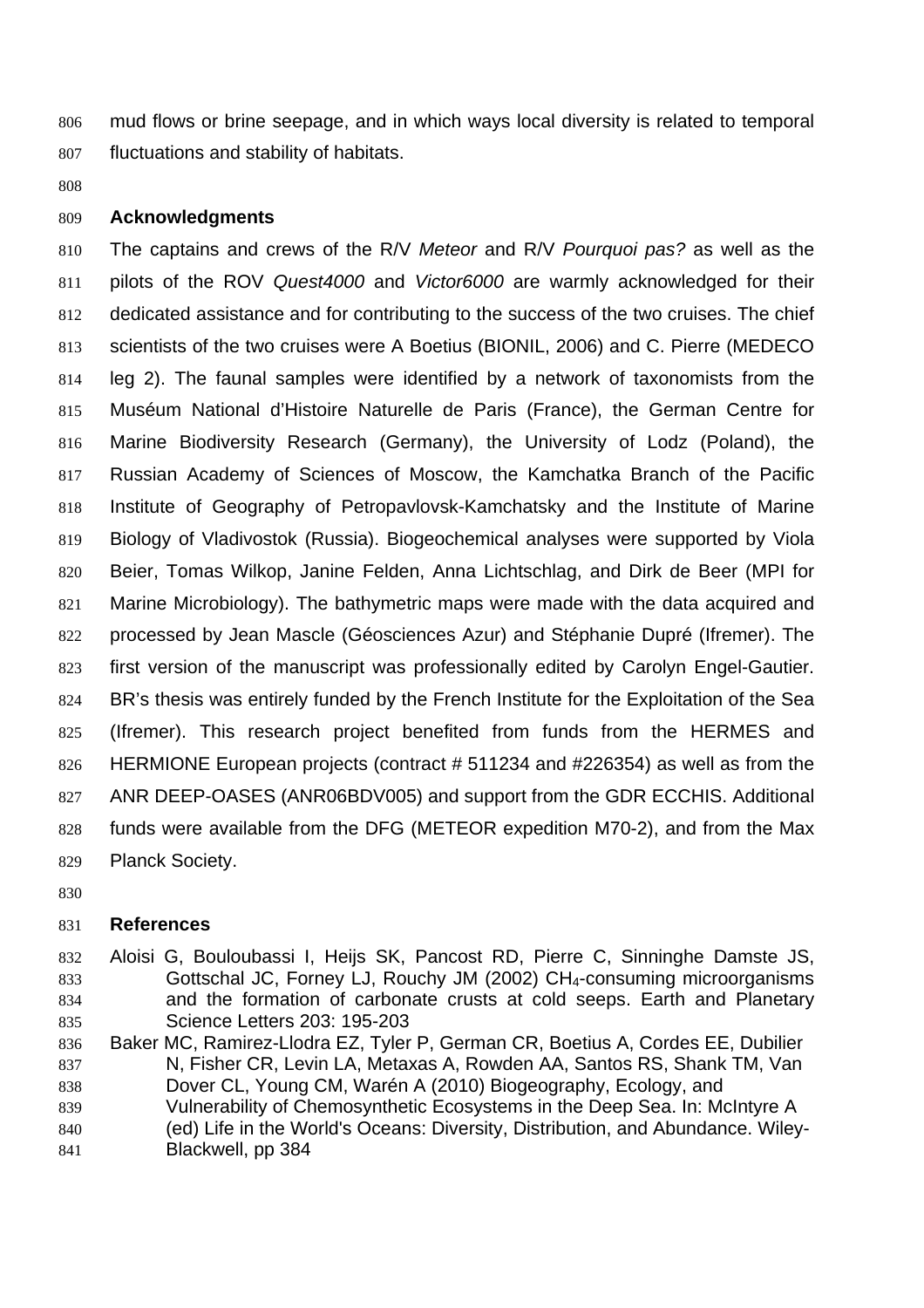mud flows or brine seepage, and in which ways local diversity is related to temporal fluctuations and stability of habitats.

## **Acknowledgments**

The captains and crews of the R/V *Meteor* and R/V *Pourquoi pas?* as well as the pilots of the ROV *Quest4000* and *Victor6000* are warmly acknowledged for their dedicated assistance and for contributing to the success of the two cruises. The chief scientists of the two cruises were A Boetius (BIONIL, 2006) and C. Pierre (MEDECO leg 2). The faunal samples were identified by a network of taxonomists from the Muséum National d'Histoire Naturelle de Paris (France), the German Centre for Marine Biodiversity Research (Germany), the University of Lodz (Poland), the Russian Academy of Sciences of Moscow, the Kamchatka Branch of the Pacific Institute of Geography of Petropavlovsk-Kamchatsky and the Institute of Marine Biology of Vladivostok (Russia). Biogeochemical analyses were supported by Viola Beier, Tomas Wilkop, Janine Felden, Anna Lichtschlag, and Dirk de Beer (MPI for Marine Microbiology). The bathymetric maps were made with the data acquired and processed by Jean Mascle (Géosciences Azur) and Stéphanie Dupré (Ifremer). The first version of the manuscript was professionally edited by Carolyn Engel-Gautier. 824 BR's thesis was entirely funded by the French Institute for the Exploitation of the Sea (Ifremer). This research project benefited from funds from the HERMES and HERMIONE European projects (contract # 511234 and #226354) as well as from the ANR DEEP-OASES (ANR06BDV005) and support from the GDR ECCHIS. Additional funds were available from the DFG (METEOR expedition M70-2), and from the Max Planck Society.

# **References**

- Aloisi G, Bouloubassi I, Heijs SK, Pancost RD, Pierre C, Sinninghe Damste JS, Gottschal JC, Forney LJ, Rouchy JM (2002) CH4-consuming microorganisms and the formation of carbonate crusts at cold seeps. Earth and Planetary Science Letters 203: 195-203
- Baker MC, Ramirez-Llodra EZ, Tyler P, German CR, Boetius A, Cordes EE, Dubilier N, Fisher CR, Levin LA, Metaxas A, Rowden AA, Santos RS, Shank TM, Van Dover CL, Young CM, Warén A (2010) Biogeography, Ecology, and Vulnerability of Chemosynthetic Ecosystems in the Deep Sea. In: McIntyre A (ed) Life in the World's Oceans: Diversity, Distribution, and Abundance. Wiley-Blackwell, pp 384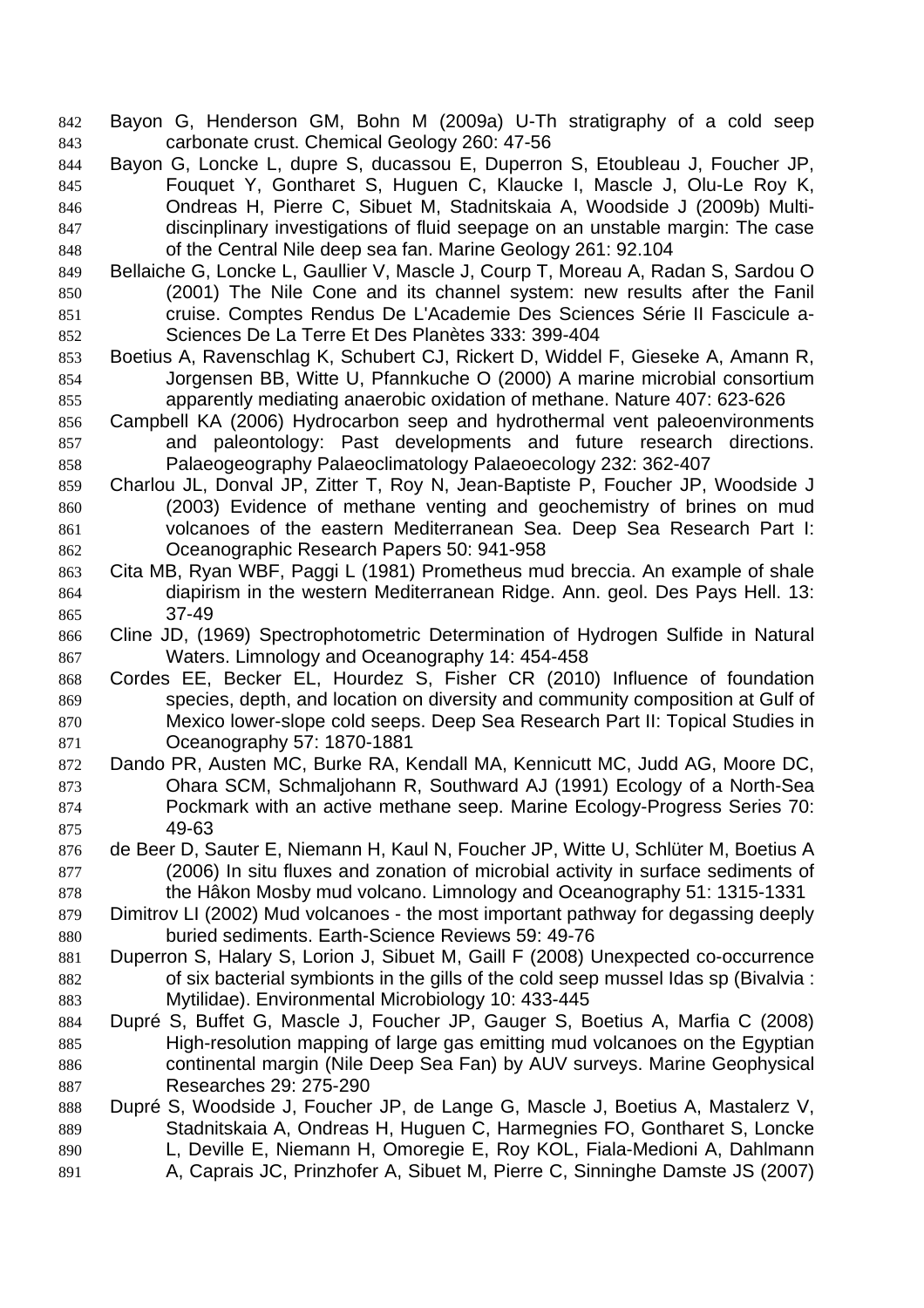- Bayon G, Henderson GM, Bohn M (2009a) U-Th stratigraphy of a cold seep carbonate crust. Chemical Geology 260: 47-56
- Bayon G, Loncke L, dupre S, ducassou E, Duperron S, Etoubleau J, Foucher JP, Fouquet Y, Gontharet S, Huguen C, Klaucke I, Mascle J, Olu-Le Roy K, Ondreas H, Pierre C, Sibuet M, Stadnitskaia A, Woodside J (2009b) Multi-discinplinary investigations of fluid seepage on an unstable margin: The case of the Central Nile deep sea fan. Marine Geology 261: 92.104
- Bellaiche G, Loncke L, Gaullier V, Mascle J, Courp T, Moreau A, Radan S, Sardou O (2001) The Nile Cone and its channel system: new results after the Fanil cruise. Comptes Rendus De L'Academie Des Sciences Série II Fascicule a-Sciences De La Terre Et Des Planètes 333: 399-404
- Boetius A, Ravenschlag K, Schubert CJ, Rickert D, Widdel F, Gieseke A, Amann R, Jorgensen BB, Witte U, Pfannkuche O (2000) A marine microbial consortium apparently mediating anaerobic oxidation of methane. Nature 407: 623-626
- Campbell KA (2006) Hydrocarbon seep and hydrothermal vent paleoenvironments and paleontology: Past developments and future research directions. Palaeogeography Palaeoclimatology Palaeoecology 232: 362-407
- Charlou JL, Donval JP, Zitter T, Roy N, Jean-Baptiste P, Foucher JP, Woodside J (2003) Evidence of methane venting and geochemistry of brines on mud volcanoes of the eastern Mediterranean Sea. Deep Sea Research Part I: Oceanographic Research Papers 50: 941-958
- Cita MB, Ryan WBF, Paggi L (1981) Prometheus mud breccia. An example of shale diapirism in the western Mediterranean Ridge. Ann. geol. Des Pays Hell. 13: 37-49
- Cline JD, (1969) Spectrophotometric Determination of Hydrogen Sulfide in Natural Waters. Limnology and Oceanography 14: 454-458
- Cordes EE, Becker EL, Hourdez S, Fisher CR (2010) Influence of foundation species, depth, and location on diversity and community composition at Gulf of Mexico lower-slope cold seeps. Deep Sea Research Part II: Topical Studies in Oceanography 57: 1870-1881
- Dando PR, Austen MC, Burke RA, Kendall MA, Kennicutt MC, Judd AG, Moore DC, Ohara SCM, Schmaljohann R, Southward AJ (1991) Ecology of a North-Sea Pockmark with an active methane seep. Marine Ecology-Progress Series 70: 49-63
- de Beer D, Sauter E, Niemann H, Kaul N, Foucher JP, Witte U, Schlüter M, Boetius A (2006) In situ fluxes and zonation of microbial activity in surface sediments of the Hâkon Mosby mud volcano. Limnology and Oceanography 51: 1315-1331
- Dimitrov LI (2002) Mud volcanoes the most important pathway for degassing deeply buried sediments. Earth-Science Reviews 59: 49-76
- Duperron S, Halary S, Lorion J, Sibuet M, Gaill F (2008) Unexpected co-occurrence of six bacterial symbionts in the gills of the cold seep mussel Idas sp (Bivalvia : Mytilidae). Environmental Microbiology 10: 433-445
- Dupré S, Buffet G, Mascle J, Foucher JP, Gauger S, Boetius A, Marfia C (2008) High-resolution mapping of large gas emitting mud volcanoes on the Egyptian continental margin (Nile Deep Sea Fan) by AUV surveys. Marine Geophysical Researches 29: 275-290
- 888 Dupré S, Woodside J, Foucher JP, de Lange G, Mascle J, Boetius A, Mastalerz V, Stadnitskaia A, Ondreas H, Huguen C, Harmegnies FO, Gontharet S, Loncke L, Deville E, Niemann H, Omoregie E, Roy KOL, Fiala-Medioni A, Dahlmann A, Caprais JC, Prinzhofer A, Sibuet M, Pierre C, Sinninghe Damste JS (2007)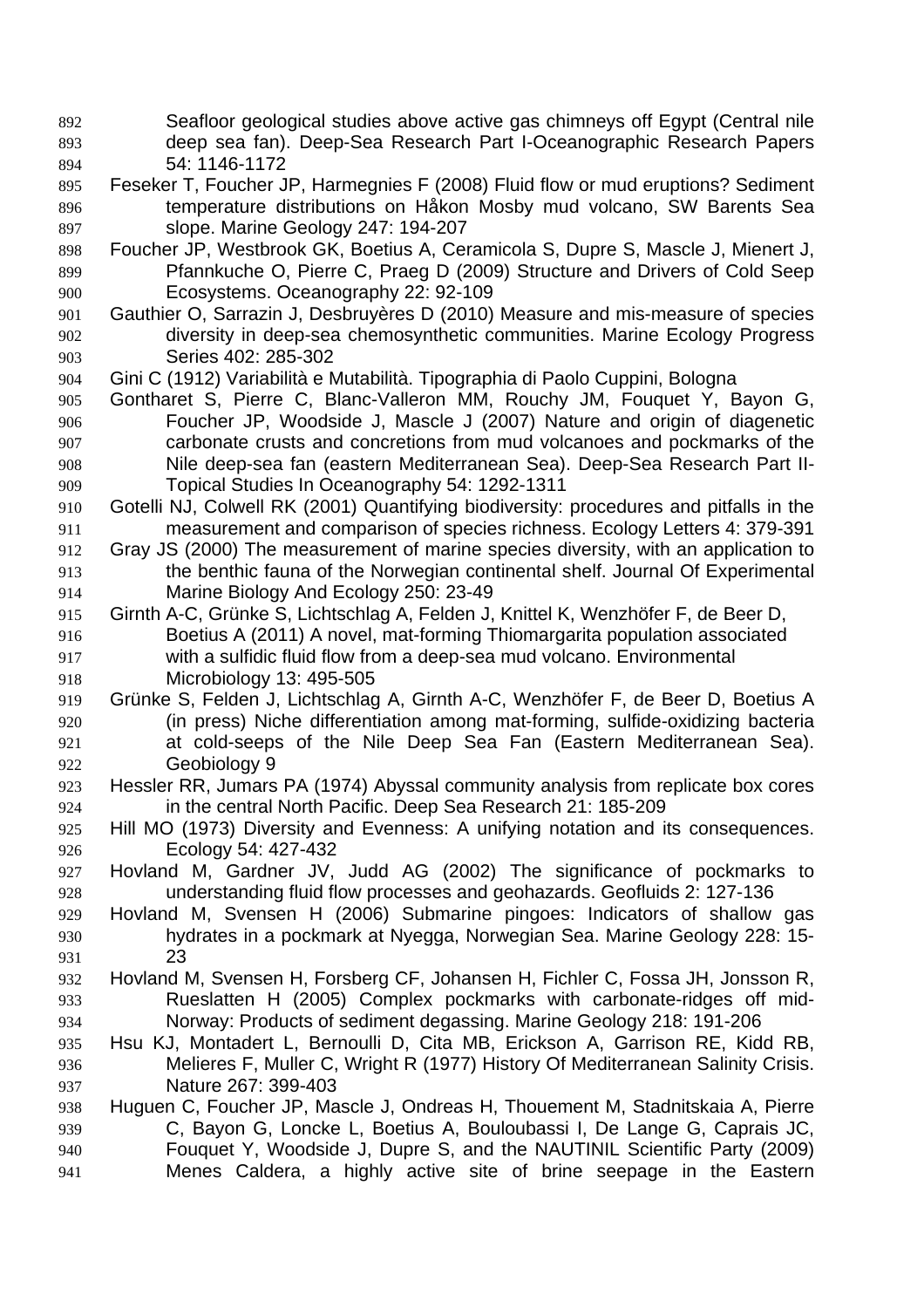- Seafloor geological studies above active gas chimneys off Egypt (Central nile deep sea fan). Deep-Sea Research Part I-Oceanographic Research Papers 54: 1146-1172 Feseker T, Foucher JP, Harmegnies F (2008) Fluid flow or mud eruptions? Sediment temperature distributions on Håkon Mosby mud volcano, SW Barents Sea slope. Marine Geology 247: 194-207
- Foucher JP, Westbrook GK, Boetius A, Ceramicola S, Dupre S, Mascle J, Mienert J, Pfannkuche O, Pierre C, Praeg D (2009) Structure and Drivers of Cold Seep Ecosystems. Oceanography 22: 92-109
- Gauthier O, Sarrazin J, Desbruyères D (2010) Measure and mis-measure of species diversity in deep-sea chemosynthetic communities. Marine Ecology Progress Series 402: 285-302
- Gini C (1912) Variabilità e Mutabilità. Tipographia di Paolo Cuppini, Bologna
- Gontharet S, Pierre C, Blanc-Valleron MM, Rouchy JM, Fouquet Y, Bayon G, Foucher JP, Woodside J, Mascle J (2007) Nature and origin of diagenetic carbonate crusts and concretions from mud volcanoes and pockmarks of the Nile deep-sea fan (eastern Mediterranean Sea). Deep-Sea Research Part II-Topical Studies In Oceanography 54: 1292-1311
- Gotelli NJ, Colwell RK (2001) Quantifying biodiversity: procedures and pitfalls in the measurement and comparison of species richness. Ecology Letters 4: 379-391
- Gray JS (2000) The measurement of marine species diversity, with an application to the benthic fauna of the Norwegian continental shelf. Journal Of Experimental Marine Biology And Ecology 250: 23-49
- Girnth A-C, Grünke S, Lichtschlag A, Felden J, Knittel K, Wenzhöfer F, de Beer D, Boetius A (2011) A novel, mat-forming Thiomargarita population associated with a sulfidic fluid flow from a deep-sea mud volcano. Environmental Microbiology 13: 495-505
- Grünke S, Felden J, Lichtschlag A, Girnth A-C, Wenzhöfer F, de Beer D, Boetius A (in press) Niche differentiation among mat-forming, sulfide-oxidizing bacteria at cold-seeps of the Nile Deep Sea Fan (Eastern Mediterranean Sea). Geobiology 9
- Hessler RR, Jumars PA (1974) Abyssal community analysis from replicate box cores in the central North Pacific. Deep Sea Research 21: 185-209
- Hill MO (1973) Diversity and Evenness: A unifying notation and its consequences. Ecology 54: 427-432
- Hovland M, Gardner JV, Judd AG (2002) The significance of pockmarks to understanding fluid flow processes and geohazards. Geofluids 2: 127-136
- Hovland M, Svensen H (2006) Submarine pingoes: Indicators of shallow gas hydrates in a pockmark at Nyegga, Norwegian Sea. Marine Geology 228: 15- 23
- Hovland M, Svensen H, Forsberg CF, Johansen H, Fichler C, Fossa JH, Jonsson R, Rueslatten H (2005) Complex pockmarks with carbonate-ridges off mid-Norway: Products of sediment degassing. Marine Geology 218: 191-206
- Hsu KJ, Montadert L, Bernoulli D, Cita MB, Erickson A, Garrison RE, Kidd RB, Melieres F, Muller C, Wright R (1977) History Of Mediterranean Salinity Crisis. Nature 267: 399-403
- Huguen C, Foucher JP, Mascle J, Ondreas H, Thouement M, Stadnitskaia A, Pierre C, Bayon G, Loncke L, Boetius A, Bouloubassi I, De Lange G, Caprais JC, Fouquet Y, Woodside J, Dupre S, and the NAUTINIL Scientific Party (2009) Menes Caldera, a highly active site of brine seepage in the Eastern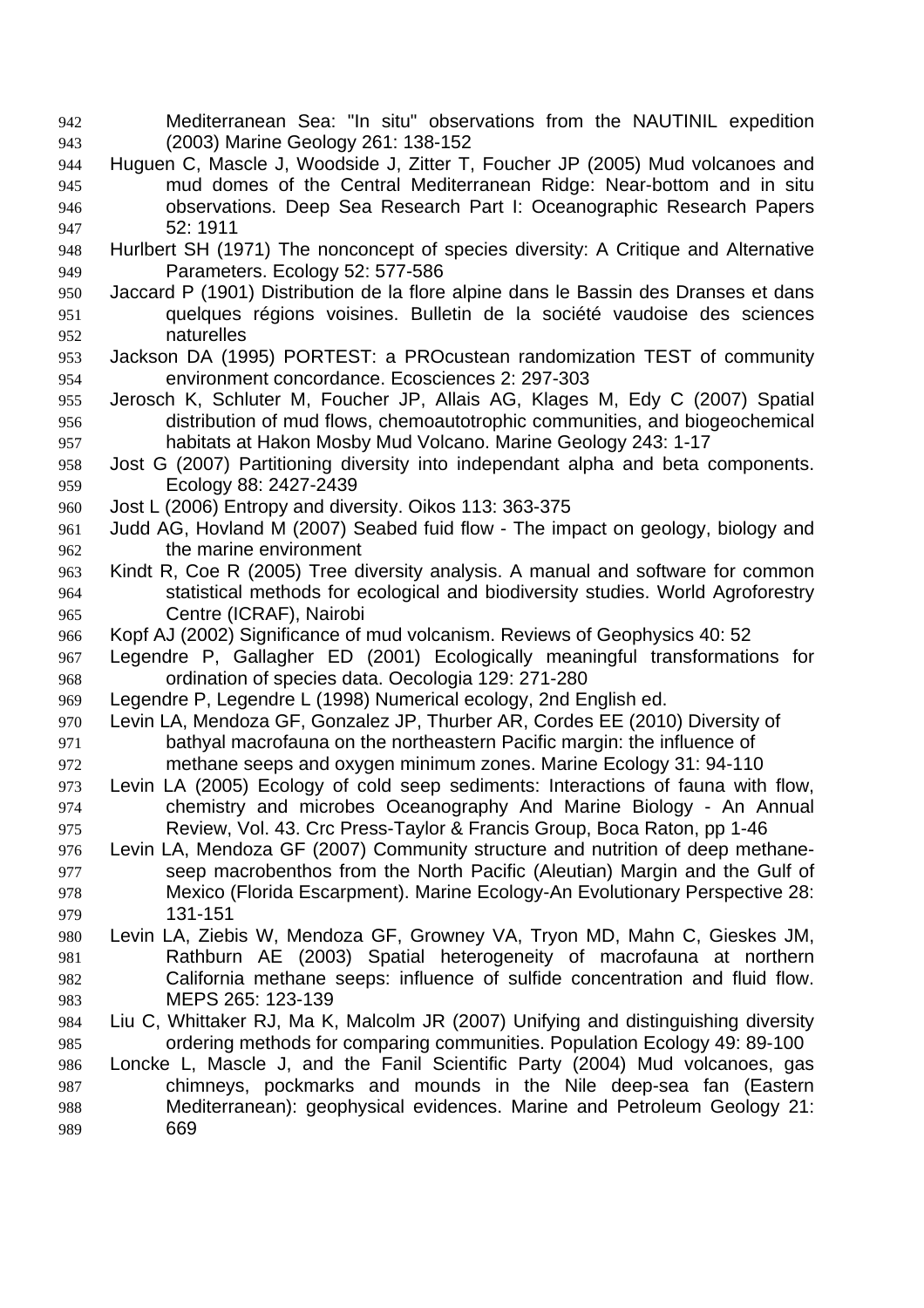- Mediterranean Sea: "In situ" observations from the NAUTINIL expedition (2003) Marine Geology 261: 138-152
- Huguen C, Mascle J, Woodside J, Zitter T, Foucher JP (2005) Mud volcanoes and mud domes of the Central Mediterranean Ridge: Near-bottom and in situ observations. Deep Sea Research Part I: Oceanographic Research Papers 52: 1911
- Hurlbert SH (1971) The nonconcept of species diversity: A Critique and Alternative Parameters. Ecology 52: 577-586
- Jaccard P (1901) Distribution de la flore alpine dans le Bassin des Dranses et dans quelques régions voisines. Bulletin de la société vaudoise des sciences naturelles
- Jackson DA (1995) PORTEST: a PROcustean randomization TEST of community environment concordance. Ecosciences 2: 297-303
- Jerosch K, Schluter M, Foucher JP, Allais AG, Klages M, Edy C (2007) Spatial distribution of mud flows, chemoautotrophic communities, and biogeochemical habitats at Hakon Mosby Mud Volcano. Marine Geology 243: 1-17
- Jost G (2007) Partitioning diversity into independant alpha and beta components. Ecology 88: 2427-2439
- Jost L (2006) Entropy and diversity. Oikos 113: 363-375
- Judd AG, Hovland M (2007) Seabed fuid flow The impact on geology, biology and the marine environment
- Kindt R, Coe R (2005) Tree diversity analysis. A manual and software for common statistical methods for ecological and biodiversity studies. World Agroforestry Centre (ICRAF), Nairobi
- Kopf AJ (2002) Significance of mud volcanism. Reviews of Geophysics 40: 52
- Legendre P, Gallagher ED (2001) Ecologically meaningful transformations for ordination of species data. Oecologia 129: 271-280
- Legendre P, Legendre L (1998) Numerical ecology, 2nd English ed.
- Levin LA, Mendoza GF, Gonzalez JP, Thurber AR, Cordes EE (2010) Diversity of bathyal macrofauna on the northeastern Pacific margin: the influence of methane seeps and oxygen minimum zones. Marine Ecology 31: 94-110
- Levin LA (2005) Ecology of cold seep sediments: Interactions of fauna with flow, chemistry and microbes Oceanography And Marine Biology - An Annual Review, Vol. 43. Crc Press-Taylor & Francis Group, Boca Raton, pp 1-46
- Levin LA, Mendoza GF (2007) Community structure and nutrition of deep methane-seep macrobenthos from the North Pacific (Aleutian) Margin and the Gulf of Mexico (Florida Escarpment). Marine Ecology-An Evolutionary Perspective 28: 131-151
- Levin LA, Ziebis W, Mendoza GF, Growney VA, Tryon MD, Mahn C, Gieskes JM, Rathburn AE (2003) Spatial heterogeneity of macrofauna at northern California methane seeps: influence of sulfide concentration and fluid flow. MEPS 265: 123-139
- Liu C, Whittaker RJ, Ma K, Malcolm JR (2007) Unifying and distinguishing diversity ordering methods for comparing communities. Population Ecology 49: 89-100
- Loncke L, Mascle J, and the Fanil Scientific Party (2004) Mud volcanoes, gas chimneys, pockmarks and mounds in the Nile deep-sea fan (Eastern Mediterranean): geophysical evidences. Marine and Petroleum Geology 21: 669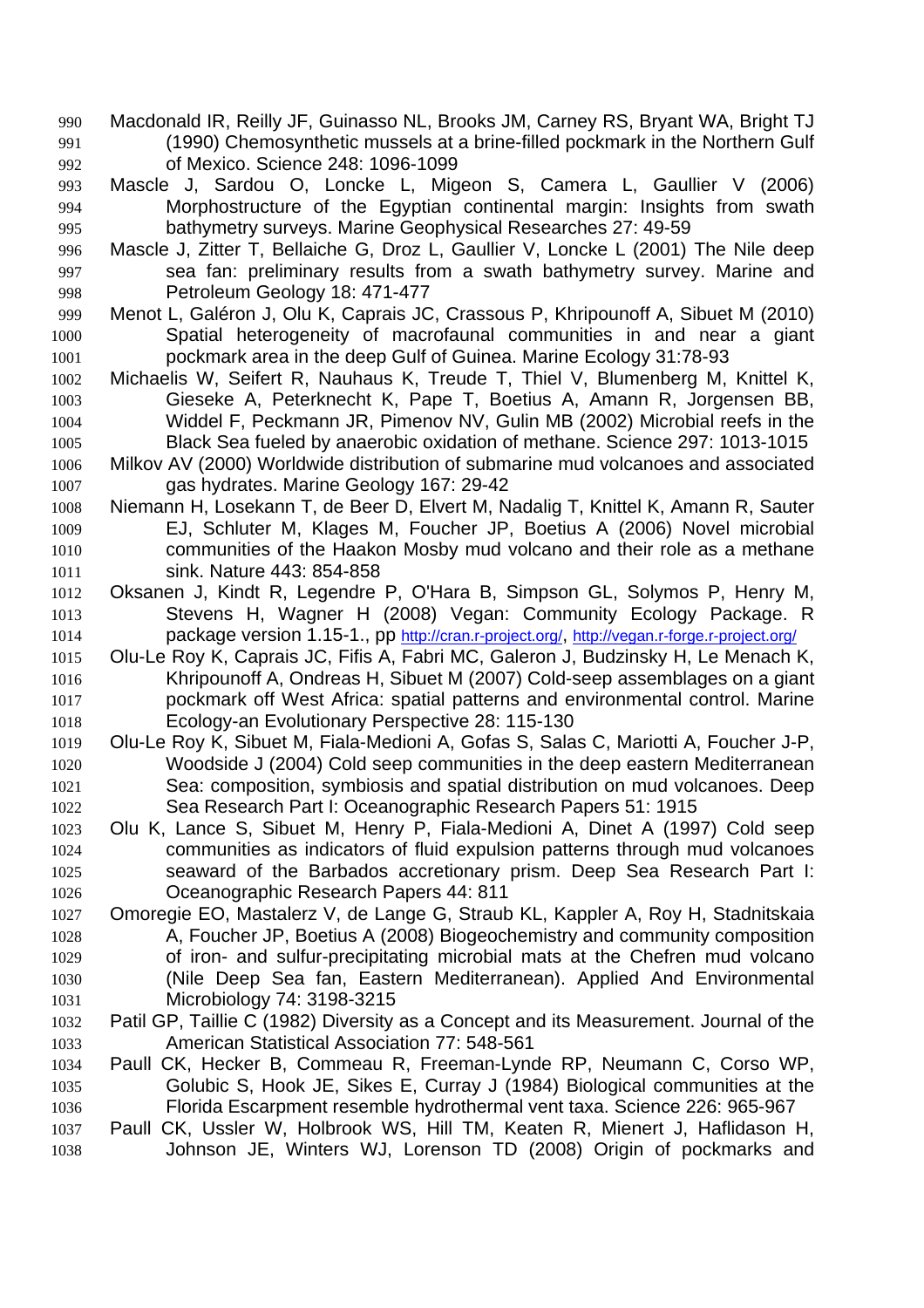- Macdonald IR, Reilly JF, Guinasso NL, Brooks JM, Carney RS, Bryant WA, Bright TJ (1990) Chemosynthetic mussels at a brine-filled pockmark in the Northern Gulf of Mexico. Science 248: 1096-1099
- Mascle J, Sardou O, Loncke L, Migeon S, Camera L, Gaullier V (2006) Morphostructure of the Egyptian continental margin: Insights from swath bathymetry surveys. Marine Geophysical Researches 27: 49-59
- Mascle J, Zitter T, Bellaiche G, Droz L, Gaullier V, Loncke L (2001) The Nile deep sea fan: preliminary results from a swath bathymetry survey. Marine and Petroleum Geology 18: 471-477
- Menot L, Galéron J, Olu K, Caprais JC, Crassous P, Khripounoff A, Sibuet M (2010) Spatial heterogeneity of macrofaunal communities in and near a giant pockmark area in the deep Gulf of Guinea. Marine Ecology 31:78-93
- Michaelis W, Seifert R, Nauhaus K, Treude T, Thiel V, Blumenberg M, Knittel K, Gieseke A, Peterknecht K, Pape T, Boetius A, Amann R, Jorgensen BB, Widdel F, Peckmann JR, Pimenov NV, Gulin MB (2002) Microbial reefs in the Black Sea fueled by anaerobic oxidation of methane. Science 297: 1013-1015
- Milkov AV (2000) Worldwide distribution of submarine mud volcanoes and associated gas hydrates. Marine Geology 167: 29-42
- Niemann H, Losekann T, de Beer D, Elvert M, Nadalig T, Knittel K, Amann R, Sauter EJ, Schluter M, Klages M, Foucher JP, Boetius A (2006) Novel microbial communities of the Haakon Mosby mud volcano and their role as a methane sink. Nature 443: 854-858
- Oksanen J, Kindt R, Legendre P, O'Hara B, Simpson GL, Solymos P, Henry M, Stevens H, Wagner H (2008) Vegan: Community Ecology Package. R package version 1.15-1., pp http://cran.r-project.org/, http://vegan.r-forge.r-project.org/
- Olu-Le Roy K, Caprais JC, Fifis A, Fabri MC, Galeron J, Budzinsky H, Le Menach K, Khripounoff A, Ondreas H, Sibuet M (2007) Cold-seep assemblages on a giant pockmark off West Africa: spatial patterns and environmental control. Marine Ecology-an Evolutionary Perspective 28: 115-130
- Olu-Le Roy K, Sibuet M, Fiala-Medioni A, Gofas S, Salas C, Mariotti A, Foucher J-P, Woodside J (2004) Cold seep communities in the deep eastern Mediterranean Sea: composition, symbiosis and spatial distribution on mud volcanoes. Deep Sea Research Part I: Oceanographic Research Papers 51: 1915
- Olu K, Lance S, Sibuet M, Henry P, Fiala-Medioni A, Dinet A (1997) Cold seep communities as indicators of fluid expulsion patterns through mud volcanoes seaward of the Barbados accretionary prism. Deep Sea Research Part I: Oceanographic Research Papers 44: 811
- Omoregie EO, Mastalerz V, de Lange G, Straub KL, Kappler A, Roy H, Stadnitskaia A, Foucher JP, Boetius A (2008) Biogeochemistry and community composition of iron- and sulfur-precipitating microbial mats at the Chefren mud volcano (Nile Deep Sea fan, Eastern Mediterranean). Applied And Environmental Microbiology 74: 3198-3215
- Patil GP, Taillie C (1982) Diversity as a Concept and its Measurement. Journal of the American Statistical Association 77: 548-561
- Paull CK, Hecker B, Commeau R, Freeman-Lynde RP, Neumann C, Corso WP, Golubic S, Hook JE, Sikes E, Curray J (1984) Biological communities at the Florida Escarpment resemble hydrothermal vent taxa. Science 226: 965-967
- Paull CK, Ussler W, Holbrook WS, Hill TM, Keaten R, Mienert J, Haflidason H, Johnson JE, Winters WJ, Lorenson TD (2008) Origin of pockmarks and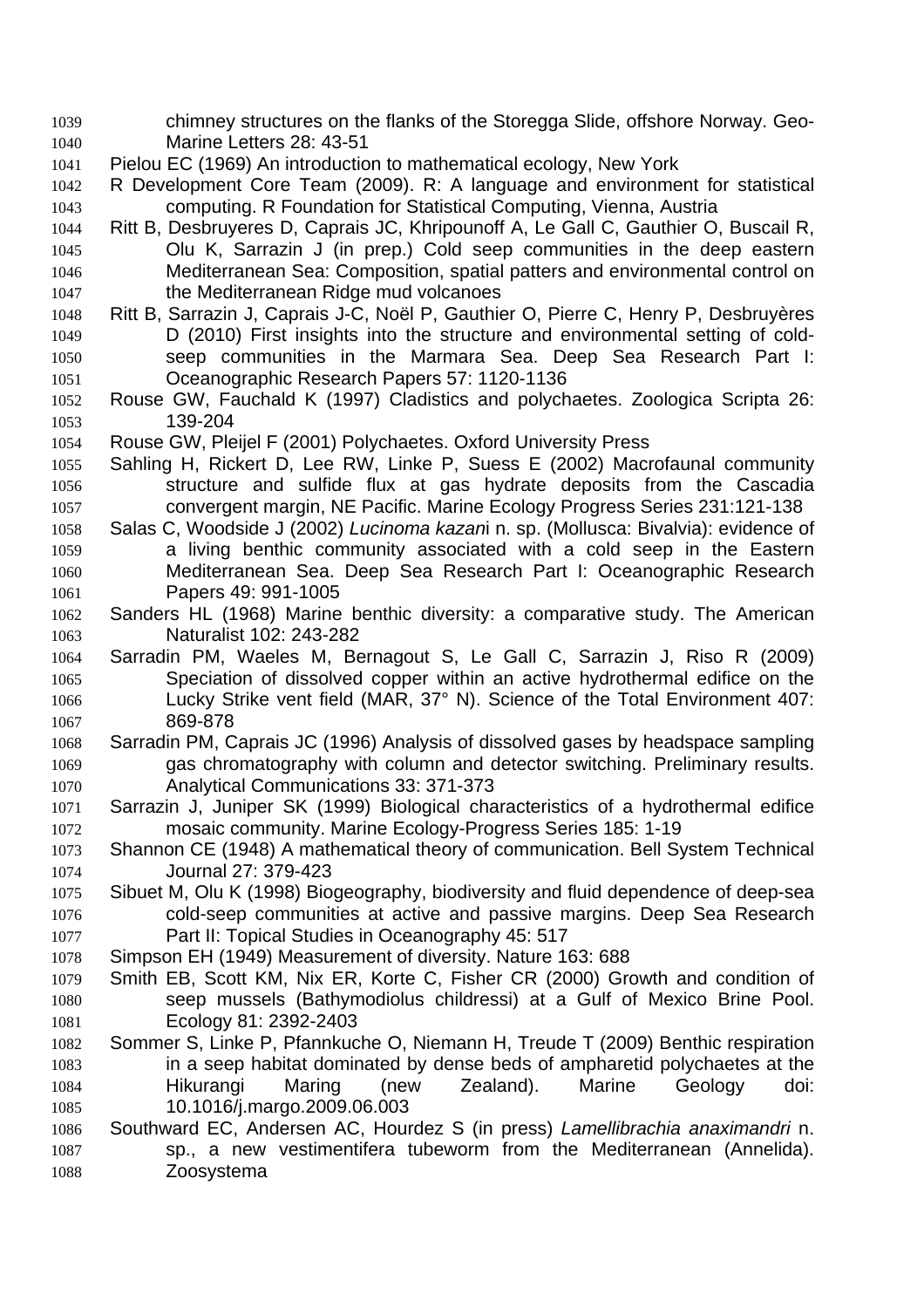- chimney structures on the flanks of the Storegga Slide, offshore Norway. Geo-Marine Letters 28: 43-51
- Pielou EC (1969) An introduction to mathematical ecology, New York
- R Development Core Team (2009). R: A language and environment for statistical computing. R Foundation for Statistical Computing, Vienna, Austria
- Ritt B, Desbruyeres D, Caprais JC, Khripounoff A, Le Gall C, Gauthier O, Buscail R, Olu K, Sarrazin J (in prep.) Cold seep communities in the deep eastern Mediterranean Sea: Composition, spatial patters and environmental control on the Mediterranean Ridge mud volcanoes
- Ritt B, Sarrazin J, Caprais J-C, Noël P, Gauthier O, Pierre C, Henry P, Desbruyères D (2010) First insights into the structure and environmental setting of cold-seep communities in the Marmara Sea. Deep Sea Research Part I: Oceanographic Research Papers 57: 1120-1136
- Rouse GW, Fauchald K (1997) Cladistics and polychaetes. Zoologica Scripta 26: 139-204
- Rouse GW, Pleijel F (2001) Polychaetes. Oxford University Press
- Sahling H, Rickert D, Lee RW, Linke P, Suess E (2002) Macrofaunal community structure and sulfide flux at gas hydrate deposits from the Cascadia convergent margin, NE Pacific. Marine Ecology Progress Series 231:121-138
- Salas C, Woodside J (2002) *Lucinoma kazan*i n. sp. (Mollusca: Bivalvia): evidence of a living benthic community associated with a cold seep in the Eastern Mediterranean Sea. Deep Sea Research Part I: Oceanographic Research Papers 49: 991-1005
- Sanders HL (1968) Marine benthic diversity: a comparative study. The American Naturalist 102: 243-282
- Sarradin PM, Waeles M, Bernagout S, Le Gall C, Sarrazin J, Riso R (2009) Speciation of dissolved copper within an active hydrothermal edifice on the Lucky Strike vent field (MAR, 37° N). Science of the Total Environment 407: 869-878
- Sarradin PM, Caprais JC (1996) Analysis of dissolved gases by headspace sampling gas chromatography with column and detector switching. Preliminary results. Analytical Communications 33: 371-373
- Sarrazin J, Juniper SK (1999) Biological characteristics of a hydrothermal edifice mosaic community. Marine Ecology-Progress Series 185: 1-19
- Shannon CE (1948) A mathematical theory of communication. Bell System Technical Journal 27: 379-423
- Sibuet M, Olu K (1998) Biogeography, biodiversity and fluid dependence of deep-sea cold-seep communities at active and passive margins. Deep Sea Research Part II: Topical Studies in Oceanography 45: 517
- Simpson EH (1949) Measurement of diversity. Nature 163: 688
- Smith EB, Scott KM, Nix ER, Korte C, Fisher CR (2000) Growth and condition of seep mussels (Bathymodiolus childressi) at a Gulf of Mexico Brine Pool. Ecology 81: 2392-2403
- Sommer S, Linke P, Pfannkuche O, Niemann H, Treude T (2009) Benthic respiration in a seep habitat dominated by dense beds of ampharetid polychaetes at the Hikurangi Maring (new Zealand). Marine Geology doi: 10.1016/j.margo.2009.06.003
- Southward EC, Andersen AC, Hourdez S (in press) *Lamellibrachia anaximandri* n. sp., a new vestimentifera tubeworm from the Mediterranean (Annelida). Zoosystema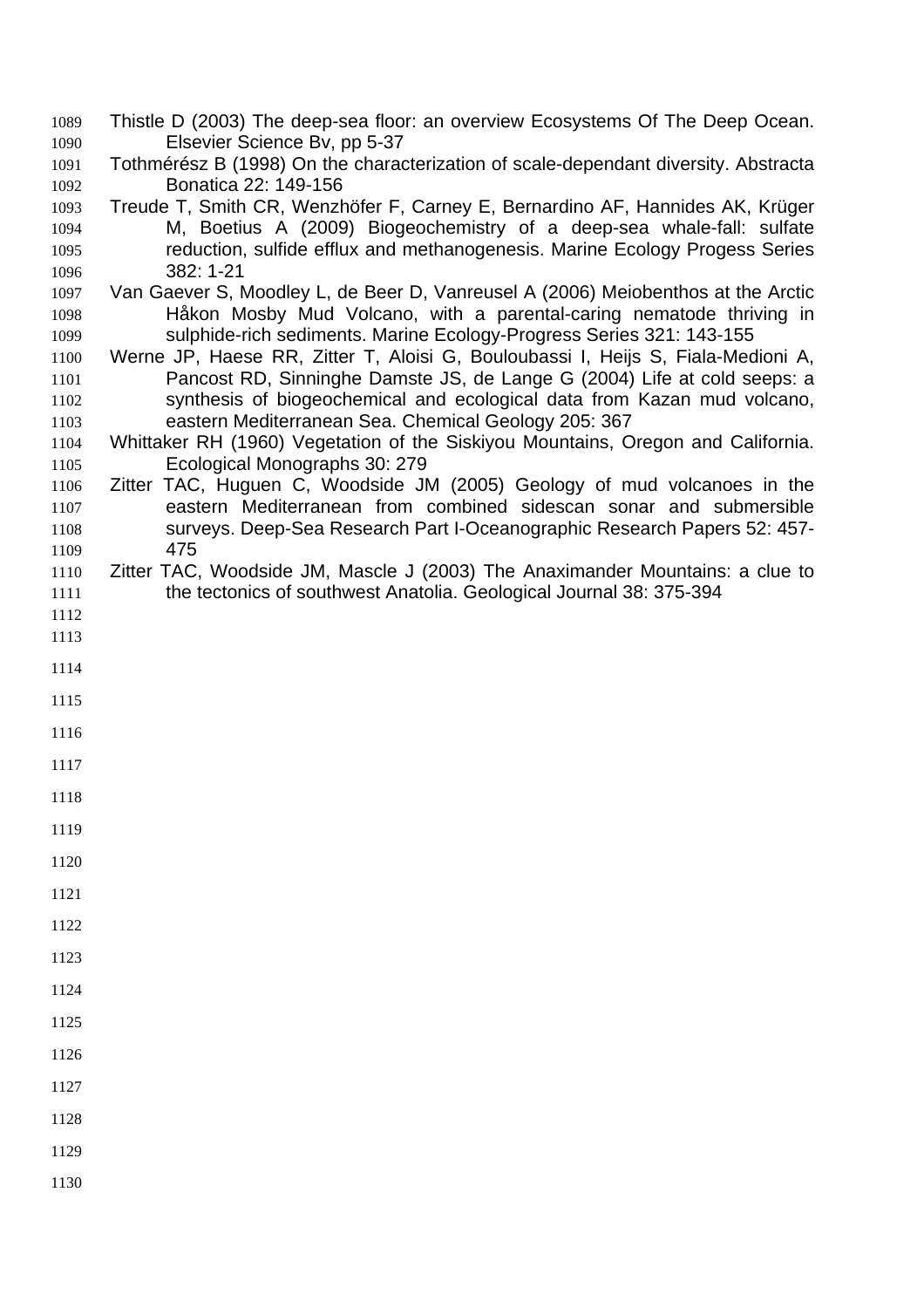- Thistle D (2003) The deep-sea floor: an overview Ecosystems Of The Deep Ocean. Elsevier Science Bv, pp 5-37
- Tothmérész B (1998) On the characterization of scale-dependant diversity. Abstracta Bonatica 22: 149-156
- Treude T, Smith CR, Wenzhöfer F, Carney E, Bernardino AF, Hannides AK, Krüger M, Boetius A (2009) Biogeochemistry of a deep-sea whale-fall: sulfate reduction, sulfide efflux and methanogenesis. Marine Ecology Progess Series 382: 1-21
- Van Gaever S, Moodley L, de Beer D, Vanreusel A (2006) Meiobenthos at the Arctic Håkon Mosby Mud Volcano, with a parental-caring nematode thriving in sulphide-rich sediments. Marine Ecology-Progress Series 321: 143-155
- Werne JP, Haese RR, Zitter T, Aloisi G, Bouloubassi I, Heijs S, Fiala-Medioni A, Pancost RD, Sinninghe Damste JS, de Lange G (2004) Life at cold seeps: a synthesis of biogeochemical and ecological data from Kazan mud volcano, eastern Mediterranean Sea. Chemical Geology 205: 367
- Whittaker RH (1960) Vegetation of the Siskiyou Mountains, Oregon and California. Ecological Monographs 30: 279
- Zitter TAC, Huguen C, Woodside JM (2005) Geology of mud volcanoes in the eastern Mediterranean from combined sidescan sonar and submersible surveys. Deep-Sea Research Part I-Oceanographic Research Papers 52: 457- 475
- Zitter TAC, Woodside JM, Mascle J (2003) The Anaximander Mountains: a clue to the tectonics of southwest Anatolia. Geological Journal 38: 375-394
- 
- 
- 
- 
- 
- 
- 
- 
- 
- 
- 
- 
- 
- 
- 
- 
- 
- 
- 
-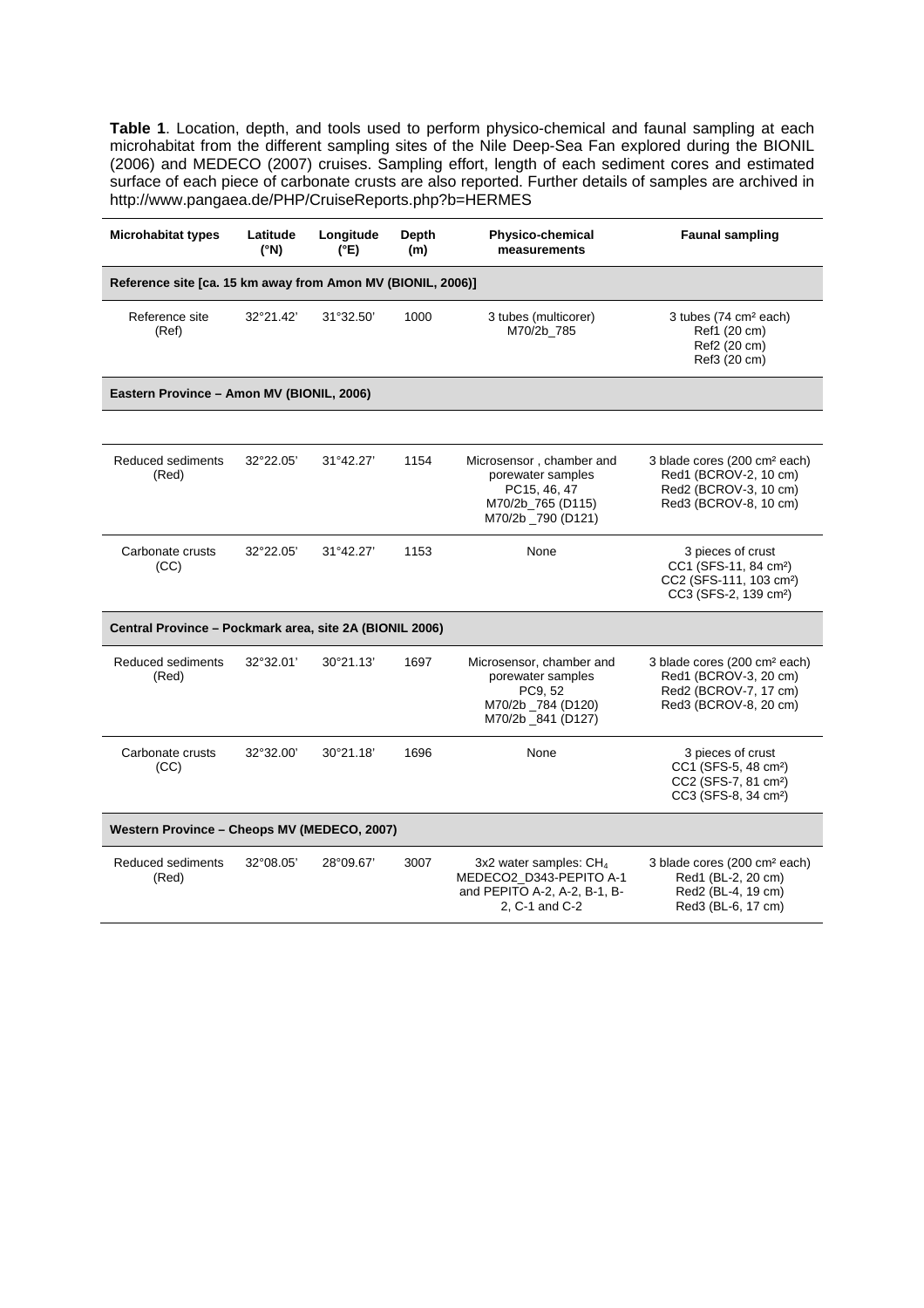**Table 1**. Location, depth, and tools used to perform physico-chemical and faunal sampling at each microhabitat from the different sampling sites of the Nile Deep-Sea Fan explored during the BIONIL (2006) and MEDECO (2007) cruises. Sampling effort, length of each sediment cores and estimated surface of each piece of carbonate crusts are also reported. Further details of samples are archived in http://www.pangaea.de/PHP/CruiseReports.php?b=HERMES

| <b>Microhabitat types</b>                                   | Latitude<br>(°N) | Longitude<br>$(^{\circ}E)$ | Depth<br>(m) | <b>Physico-chemical</b><br>measurements                                                                  | <b>Faunal sampling</b>                                                                                                             |
|-------------------------------------------------------------|------------------|----------------------------|--------------|----------------------------------------------------------------------------------------------------------|------------------------------------------------------------------------------------------------------------------------------------|
| Reference site [ca. 15 km away from Amon MV (BIONIL, 2006)] |                  |                            |              |                                                                                                          |                                                                                                                                    |
| Reference site<br>(Ref)                                     | 32°21.42'        | 31°32.50'                  | 1000         | 3 tubes (multicorer)<br>M70/2b 785                                                                       | 3 tubes (74 cm <sup>2</sup> each)<br>Ref1 (20 cm)<br>Ref2 (20 cm)<br>Ref3 (20 cm)                                                  |
| Eastern Province - Amon MV (BIONIL, 2006)                   |                  |                            |              |                                                                                                          |                                                                                                                                    |
|                                                             |                  |                            |              |                                                                                                          |                                                                                                                                    |
| Reduced sediments<br>(Red)                                  | 32°22.05'        | 31°42.27'                  | 1154         | Microsensor, chamber and<br>porewater samples<br>PC15, 46, 47<br>M70/2b 765 (D115)<br>M70/2b _790 (D121) | 3 blade cores (200 cm <sup>2</sup> each)<br>Red1 (BCROV-2, 10 cm)<br>Red2 (BCROV-3, 10 cm)<br>Red3 (BCROV-8, 10 cm)                |
| Carbonate crusts<br>(CC)                                    | 32°22.05'        | 31°42.27'                  | 1153         | None                                                                                                     | 3 pieces of crust<br>CC1 (SFS-11, 84 cm <sup>2</sup> )<br>CC2 (SFS-111, 103 cm <sup>2</sup> )<br>CC3 (SFS-2, 139 cm <sup>2</sup> ) |
| Central Province - Pockmark area, site 2A (BIONIL 2006)     |                  |                            |              |                                                                                                          |                                                                                                                                    |
| Reduced sediments<br>(Red)                                  | 32°32.01'        | 30°21.13'                  | 1697         | Microsensor, chamber and<br>porewater samples<br>PC9, 52<br>M70/2b _784 (D120)<br>M70/2b 841 (D127)      | 3 blade cores (200 cm <sup>2</sup> each)<br>Red1 (BCROV-3, 20 cm)<br>Red2 (BCROV-7, 17 cm)<br>Red3 (BCROV-8, 20 cm)                |
| Carbonate crusts<br>(CC)                                    | 32°32.00'        | 30°21.18'                  | 1696         | None                                                                                                     | 3 pieces of crust<br>CC1 (SFS-5, 48 cm <sup>2</sup> )<br>CC2 (SFS-7, 81 cm <sup>2</sup> )<br>CC3 (SFS-8, 34 cm <sup>2</sup> )      |
| Western Province - Cheops MV (MEDECO, 2007)                 |                  |                            |              |                                                                                                          |                                                                                                                                    |
| Reduced sediments<br>(Red)                                  | 32°08.05'        | 28°09.67'                  | 3007         | 3x2 water samples: $CH4$<br>MEDECO2 D343-PEPITO A-1<br>and PEPITO A-2, A-2, B-1, B-<br>2, C-1 and C-2    | 3 blade cores (200 cm <sup>2</sup> each)<br>Red1 (BL-2, 20 cm)<br>Red2 (BL-4, 19 cm)<br>Red3 (BL-6, 17 cm)                         |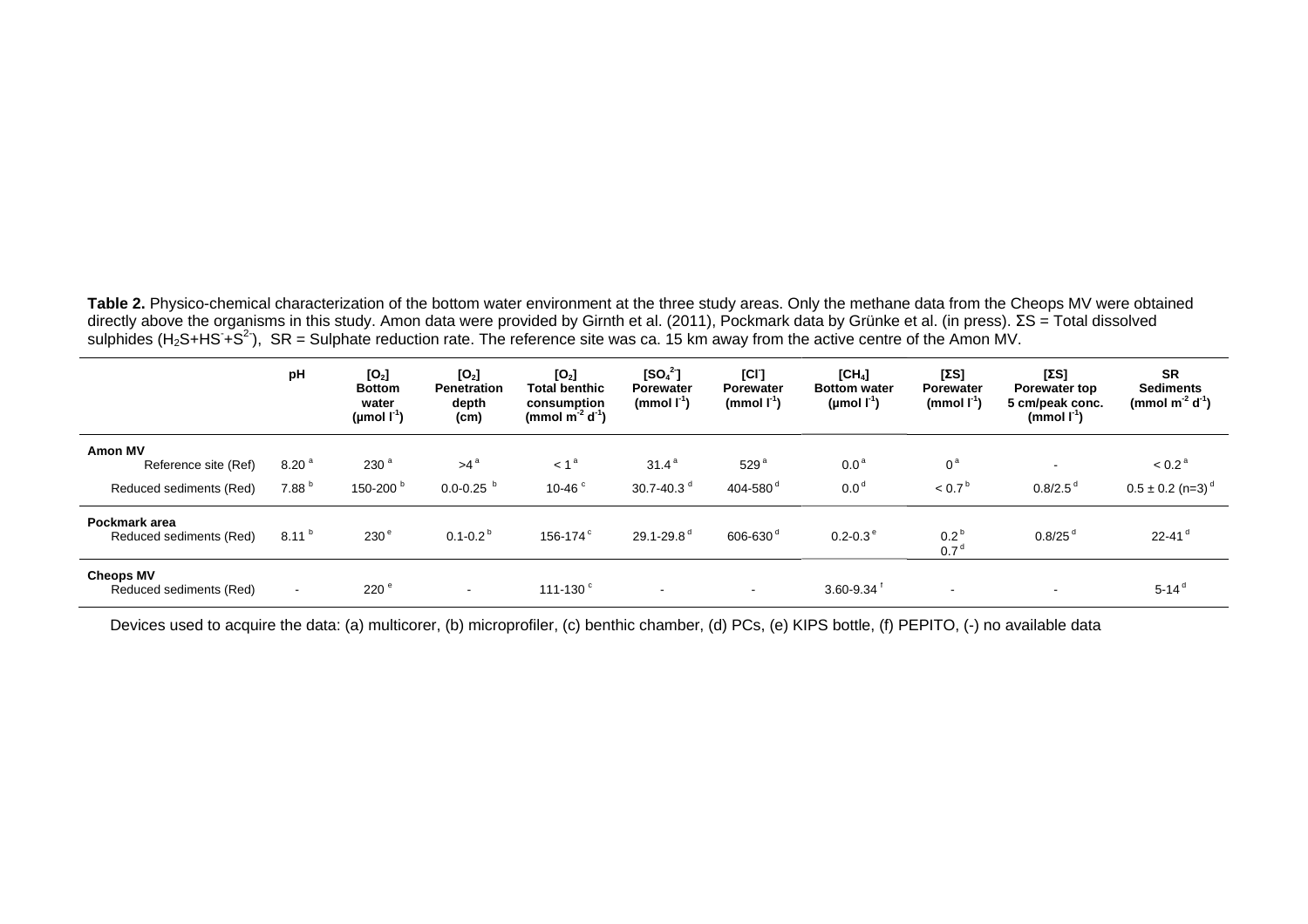Table 2. Physico-chemical characterization of the bottom water environment at the three study areas. Only the methane data from the Cheops MV were obtained directly above the organisms in this study. Amon data were provided by Girnth et al. (2011), Pockmark data by Grünke et al. (in press). ΣS = Total dissolved sulphides (H<sub>2</sub>S+HS+S<sup>2</sup>), SR = Sulphate reduction rate. The reference site was ca. 15 km away from the active centre of the Amon MV.

|                                             | pH                       | [O <sub>2</sub> ]<br><b>Bottom</b><br>water<br>(µmol $\Gamma^1$ ) | [O <sub>2</sub> ]<br><b>Penetration</b><br>depth<br>(cm) | [O <sub>2</sub> ]<br><b>Total benthic</b><br>consumption<br>(mmol $m^{-2} d^{-1}$ ) | $[SO_4^2]$<br>Porewater<br>(mmol $\mathbf{I}^1$ ) | [CI]<br>Porewater<br>(mmol $\mathsf{I}^1$ ) | [CH <sub>4</sub> ]<br><b>Bottom water</b><br>(µmol $\mathsf{I}^1$ ) | [ΣS]<br>Porewater<br>(mmol $\mathbf{I}^1$ ) | [ΣS]<br><b>Porewater top</b><br>5 cm/peak conc.<br>$(mmol I-1)$ | <b>SR</b><br><b>Sediments</b><br>(mmol $m^{-2} d^{-1}$ ) |
|---------------------------------------------|--------------------------|-------------------------------------------------------------------|----------------------------------------------------------|-------------------------------------------------------------------------------------|---------------------------------------------------|---------------------------------------------|---------------------------------------------------------------------|---------------------------------------------|-----------------------------------------------------------------|----------------------------------------------------------|
| <b>Amon MV</b><br>Reference site (Ref)      | 8.20 <sup>a</sup>        | 230 <sup>a</sup>                                                  | $>4^a$                                                   | $\leq 1^{\circ}$                                                                    | $31.4^{\circ}$                                    | 529 <sup>8</sup>                            | 0.0 <sup>a</sup>                                                    | $0^{\mathrm{a}}$                            | $\overline{\phantom{a}}$                                        | < 0.2 <sup>a</sup>                                       |
| Reduced sediments (Red)                     | 7.88 <sup>h</sup>        | 150-200 <sup>b</sup>                                              | $0.0 - 0.25$                                             | 10-46 $^{\circ}$                                                                    | 30.7-40.3 $^{\circ}$                              | 404-580 $^{\circ}$                          | 0.0 <sup>d</sup>                                                    | $< 0.7^{\circ}$                             | $0.8/2.5^{\circ}$                                               | $0.5 \pm 0.2$ (n=3) <sup>d</sup>                         |
| Pockmark area<br>Reduced sediments (Red)    | $8.11^{b}$               | 230 <sup>°</sup>                                                  | $0.1 - 0.2^{b}$                                          | 156-174 <sup>c</sup>                                                                | $29.1 - 29.8$ <sup>d</sup>                        | 606-630 <sup>d</sup>                        | $0.2 - 0.3$ <sup>e</sup>                                            | 0.2<br>0.7                                  | $0.8/25$ <sup>d</sup>                                           | $22 - 41$ <sup>d</sup>                                   |
| <b>Cheops MV</b><br>Reduced sediments (Red) | $\overline{\phantom{a}}$ | 220 <sup>e</sup>                                                  | $\sim$                                                   | 111-130 $^{\circ}$                                                                  |                                                   | $\overline{\phantom{a}}$                    | 3.60-9.34                                                           |                                             | $\overline{\phantom{a}}$                                        | $5 - 14^{d}$                                             |

Devices used to acquire the data: (a) multicorer, (b) microprofiler, (c) benthic chamber, (d) PCs, (e) KIPS bottle, (f) PEPITO, (-) no available data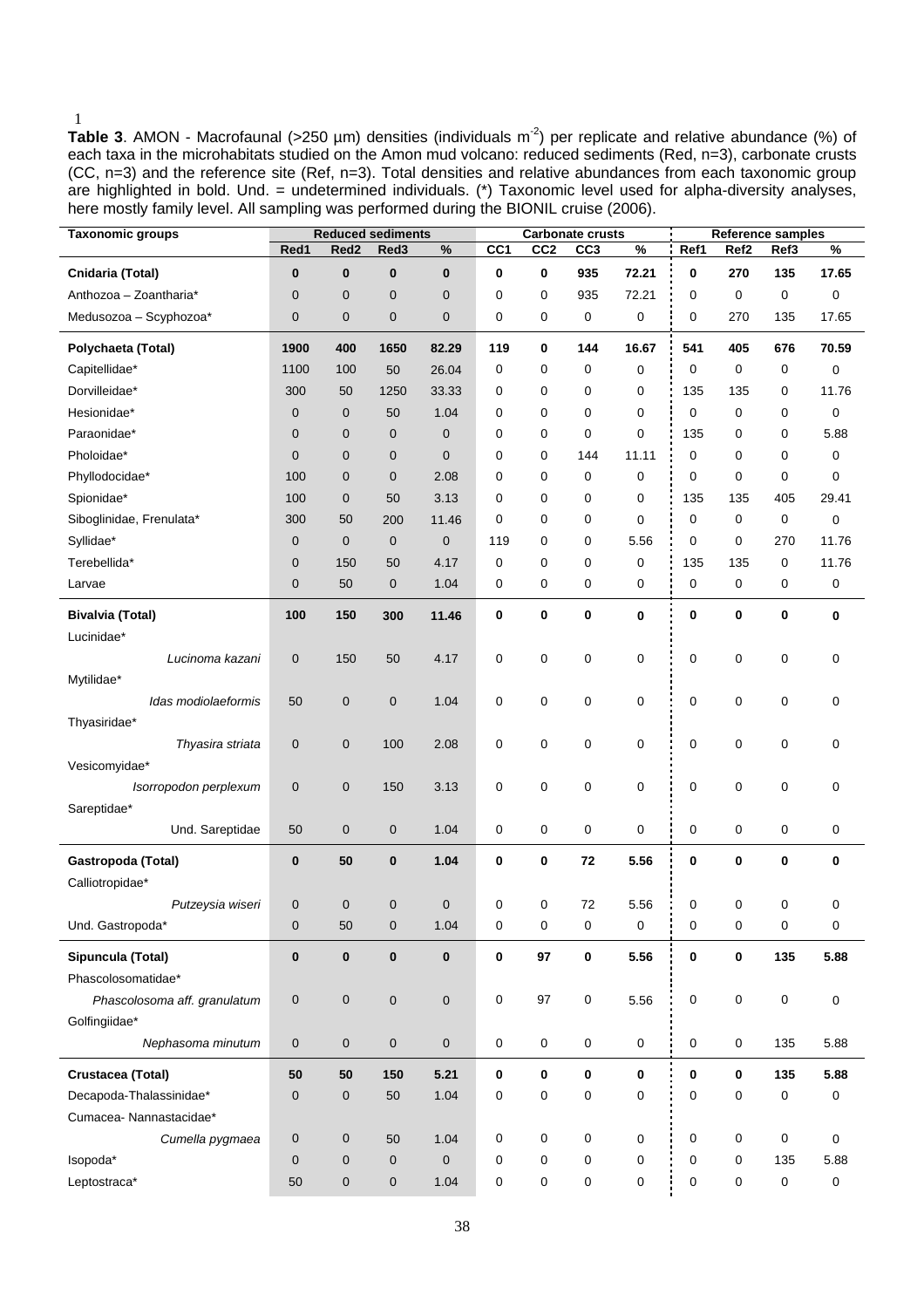Table 3. AMON - Macrofaunal (>250 µm) densities (individuals m<sup>-2</sup>) per replicate and relative abundance (%) of each taxa in the microhabitats studied on the Amon mud volcano: reduced sediments (Red, n=3), carbonate crusts (CC, n=3) and the reference site (Ref, n=3). Total densities and relative abundances from each taxonomic group are highlighted in bold. Und. = undetermined individuals. (\*) Taxonomic level used for alpha-diversity analyses, here mostly family level. All sampling was performed during the BIONIL cruise (2006).

| Taxonomic groups             |              |                     | <b>Reduced sediments</b> |              |                 |                 | <b>Carbonate crusts</b> |           | Reference samples |                     |                     |           |
|------------------------------|--------------|---------------------|--------------------------|--------------|-----------------|-----------------|-------------------------|-----------|-------------------|---------------------|---------------------|-----------|
|                              | Red1         | Red <sub>2</sub>    | Red3                     | $\%$         | CC <sub>1</sub> | CC <sub>2</sub> | CC <sub>3</sub>         | %         | Ref1              | Ref <sub>2</sub>    | Ref3                | %         |
| Cnidaria (Total)             | $\bf{0}$     | $\bf{0}$            | $\bf{0}$                 | $\bf{0}$     | 0               | 0               | 935                     | 72.21     | 0                 | 270                 | 135                 | 17.65     |
| Anthozoa - Zoantharia*       | $\mathbf{0}$ | $\mathbf 0$         | 0                        | $\mathbf{0}$ | 0               | 0               | 935                     | 72.21     | 0                 | 0                   | 0                   | 0         |
| Medusozoa - Scyphozoa*       | $\mathbf{0}$ | $\pmb{0}$           | 0                        | $\mathbf 0$  | 0               | 0               | 0                       | 0         | 0                 | 270                 | 135                 | 17.65     |
| Polychaeta (Total)           | 1900         | 400                 | 1650                     | 82.29        | 119             | 0               | 144                     | 16.67     | 541               | 405                 | 676                 | 70.59     |
| Capitellidae*                | 1100         | 100                 | 50                       | 26.04        | 0               | 0               | 0                       | 0         | 0                 | 0                   | 0                   | 0         |
| Dorvilleidae*                | 300          | 50                  | 1250                     | 33.33        | 0               | 0               | 0                       | 0         | 135               | 135                 | 0                   | 11.76     |
| Hesionidae*                  | $\mathbf 0$  | $\pmb{0}$           | 50                       | 1.04         | $\mathbf 0$     | 0               | 0                       | 0         | $\mathbf 0$       | 0                   | 0                   | 0         |
| Paraonidae*                  | $\mathbf 0$  | $\mathbf 0$         | 0                        | $\mathbf 0$  | 0               | 0               | 0                       | 0         | 135               | 0                   | 0                   | 5.88      |
| Pholoidae*                   | $\mathbf{0}$ | $\mathbf 0$         | 0                        | $\mathbf{0}$ | 0               | 0               | 144                     | 11.11     | 0                 | 0                   | 0                   | 0         |
| Phyllodocidae*               | 100          | $\mathbf 0$         | 0                        | 2.08         | $\mathbf 0$     | 0               | 0                       | 0         | 0                 | 0                   | $\mathbf 0$         | 0         |
| Spionidae*                   | 100          | $\mathbf 0$         | 50                       | 3.13         | 0               | 0               | 0                       | 0         | 135               | 135                 | 405                 | 29.41     |
| Siboglinidae, Frenulata*     | 300          | 50                  | 200                      | 11.46        | 0               | $\mathbf 0$     | 0                       | 0         | $\mathbf 0$       | 0                   | $\mathbf 0$         | 0         |
| Syllidae*                    | $\mathbf 0$  | $\mathbf 0$         | 0                        | $\mathbf 0$  | 119             | 0               | 0                       | 5.56      | 0                 | 0                   | 270                 | 11.76     |
| Terebellida*                 | $\mathbf 0$  | 150                 | 50                       | 4.17         | 0               | 0               | 0                       | 0         | 135               | 135                 | 0                   | 11.76     |
| Larvae                       | $\mathbf 0$  | 50                  | 0                        | 1.04         | 0               | 0               | 0                       | 0         | 0                 | 0                   | 0                   | 0         |
| <b>Bivalvia (Total)</b>      | 100          | 150                 | 300                      | 11.46        | 0               | 0               | 0                       | 0         | 0                 | 0                   | $\bf{0}$            | 0         |
| Lucinidae*                   |              |                     |                          |              |                 |                 |                         |           |                   |                     |                     |           |
| Lucinoma kazani              | $\mathbf 0$  | 150                 | 50                       | 4.17         | 0               | 0               | 0                       | 0         | 0                 | 0                   | $\mathbf 0$         | 0         |
| Mytilidae*                   |              |                     |                          |              |                 |                 |                         |           |                   |                     |                     |           |
| Idas modiolaeformis          | 50           | $\pmb{0}$           | 0                        | 1.04         | 0               | 0               | 0                       | 0         | 0                 | 0                   | $\mathbf 0$         | 0         |
| Thyasiridae*                 |              |                     |                          |              |                 |                 |                         |           |                   |                     |                     |           |
| Thyasira striata             | $\mathbf 0$  | $\pmb{0}$           | 100                      | 2.08         | 0               | $\mathsf 0$     | 0                       | 0         | 0                 | 0                   | $\mathbf 0$         | 0         |
| Vesicomyidae*                |              |                     |                          |              |                 |                 |                         |           |                   |                     |                     |           |
| Isorropodon perplexum        | $\mathbf 0$  | $\pmb{0}$           | 150                      | 3.13         | 0               | 0               | 0                       | 0         | 0                 | 0                   | $\pmb{0}$           | 0         |
| Sareptidae*                  |              |                     |                          |              |                 |                 |                         |           |                   |                     |                     |           |
| Und. Sareptidae              | 50           | $\pmb{0}$           | 0                        | 1.04         | 0               | 0               | 0                       | 0         | 0                 | 0                   | 0                   | 0         |
| Gastropoda (Total)           | $\bf{0}$     | 50                  | 0                        | 1.04         | 0               | $\mathbf 0$     | 72                      | 5.56      | 0                 | 0                   | 0                   | $\bf{0}$  |
| Calliotropidae*              |              |                     |                          |              |                 |                 |                         |           |                   |                     |                     |           |
| Putzeysia wiseri             | $\mathbf 0$  | $\mathbf 0$         | 0                        | $\mathbf 0$  | $\mathbf 0$     | 0               | 72                      | 5.56      | 0                 | 0                   | $\mathbf 0$         | 0         |
| Und. Gastropoda*             | $\pmb{0}$    | 50                  | $\mathsf{O}\xspace$      | 1.04         | $\pmb{0}$       | $\mathsf 0$     | 0                       | $\pmb{0}$ | $\mathsf 0$       | $\mathsf{O}\xspace$ | $\mathsf{O}\xspace$ | $\pmb{0}$ |
|                              |              |                     |                          |              |                 |                 |                         |           |                   |                     |                     |           |
| Sipuncula (Total)            | $\bf{0}$     | $\bf{0}$            | 0                        | $\bf{0}$     | $\pmb{0}$       | 97              | 0                       | 5.56      | $\pmb{0}$         | 0                   | 135                 | 5.88      |
| Phascolosomatidae*           |              |                     |                          |              |                 |                 |                         |           |                   |                     |                     |           |
| Phascolosoma aff. granulatum | $\pmb{0}$    | $\mathsf{O}\xspace$ | 0                        | $\mathbf 0$  | $\pmb{0}$       | 97              | 0                       | 5.56      | $\mathsf 0$       | 0                   | $\mathsf 0$         | 0         |
| Golfingiidae*                |              |                     |                          |              |                 |                 |                         |           |                   |                     |                     |           |
| Nephasoma minutum            | $\pmb{0}$    | $\pmb{0}$           | $\pmb{0}$                | $\mathbf 0$  | $\pmb{0}$       | 0               | 0                       | 0         | $\mathbf 0$       | $\mathbf 0$         | 135                 | 5.88      |
| Crustacea (Total)            | 50           | 50                  | 150                      | 5.21         | $\mathbf 0$     | $\mathbf 0$     | 0                       | 0         | 0                 | 0                   | 135                 | 5.88      |
| Decapoda-Thalassinidae*      | $\pmb{0}$    | $\pmb{0}$           | 50                       | 1.04         | $\pmb{0}$       | 0               | 0                       | 0         | 0                 | 0                   | $\pmb{0}$           | 0         |
| Cumacea-Nannastacidae*       |              |                     |                          |              |                 |                 |                         |           |                   |                     |                     |           |
| Cumella pygmaea              | $\mathbf 0$  | $\pmb{0}$           | 50                       | 1.04         | 0               | 0               | 0                       | 0         | 0                 | 0                   | 0                   | 0         |
| Isopoda*                     | $\mathbf 0$  | $\pmb{0}$           | 0                        | $\mathbf 0$  | 0               | 0               | 0                       | 0         | 0                 | 0                   | 135                 | 5.88      |
| Leptostraca*                 | 50           | $\pmb{0}$           | 0                        | 1.04         | $\pmb{0}$       | $\pmb{0}$       | 0                       | 0         | $\pmb{0}$         | 0                   | 0                   | 0         |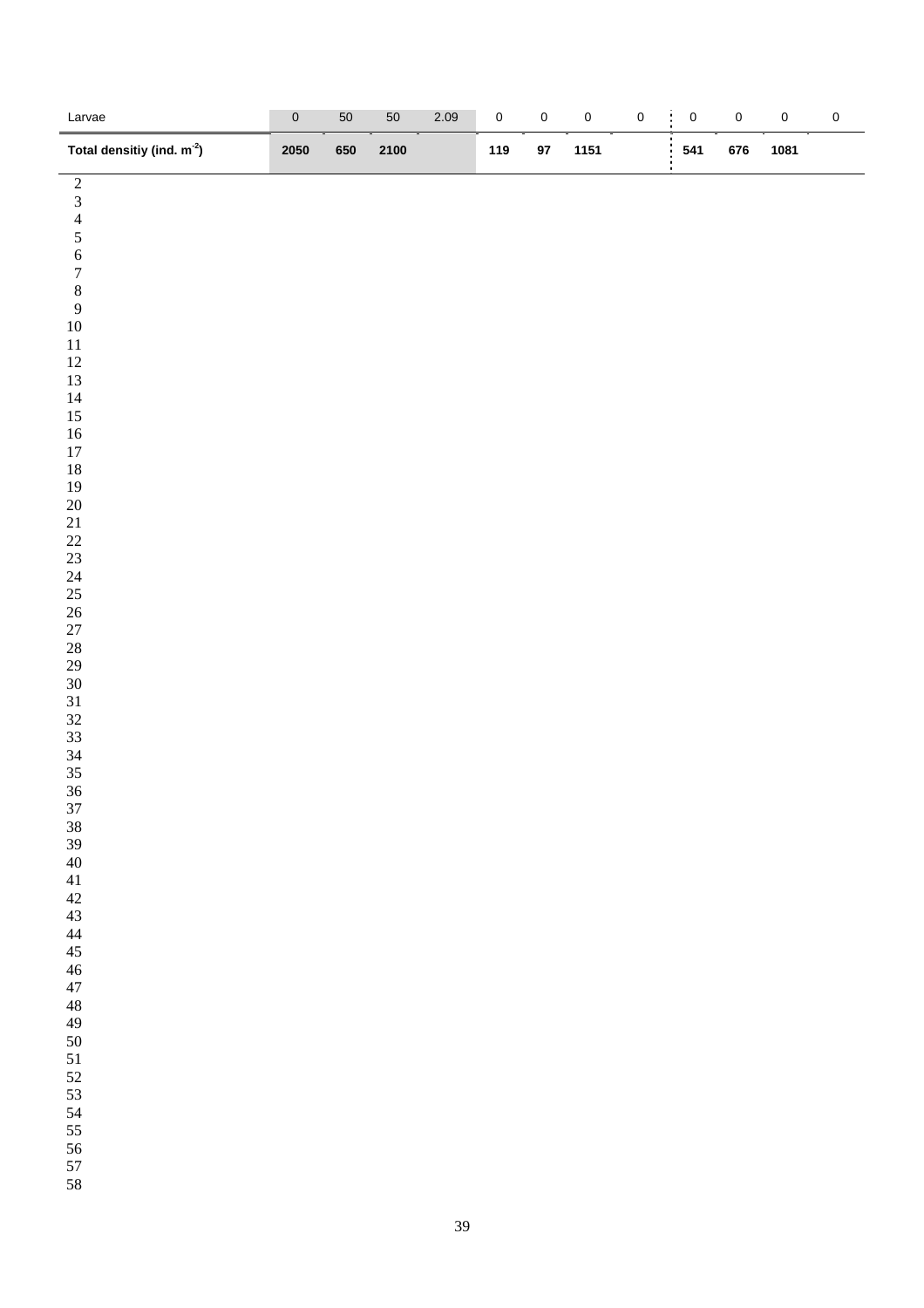| Larvae<br>$\equiv$                              | $\pmb{0}$ | $50\,$ | $50\,$ | 2.09 | $\mathbf 0$ | $\pmb{0}$ | $\mathsf{O}\xspace$ | $\pmb{0}$ | ÷<br>$\mathbf 0$ | $\mathbf 0$ | $\mathsf{O}\xspace$ | $\pmb{0}$ |
|-------------------------------------------------|-----------|--------|--------|------|-------------|-----------|---------------------|-----------|------------------|-------------|---------------------|-----------|
| Total densitiy (ind. m <sup>-2</sup> )          | 2050      | 650    | 2100   |      | 119         | $97\,$    | 1151                |           | 541              | 676         | 1081                |           |
| $\frac{2}{3}$<br>$\frac{4}{5}$<br>$\frac{6}{7}$ |           |        |        |      |             |           |                     |           |                  |             |                     |           |
|                                                 |           |        |        |      |             |           |                     |           |                  |             |                     |           |
|                                                 |           |        |        |      |             |           |                     |           |                  |             |                     |           |
|                                                 |           |        |        |      |             |           |                     |           |                  |             |                     |           |
| $\,$ 8 $\,$                                     |           |        |        |      |             |           |                     |           |                  |             |                     |           |
| $\overline{9}$                                  |           |        |        |      |             |           |                     |           |                  |             |                     |           |
| $10\,$                                          |           |        |        |      |             |           |                     |           |                  |             |                     |           |
| $11\,$                                          |           |        |        |      |             |           |                     |           |                  |             |                     |           |
| $12\,$<br>13                                    |           |        |        |      |             |           |                     |           |                  |             |                     |           |
| $14\,$                                          |           |        |        |      |             |           |                     |           |                  |             |                     |           |
| $15\,$                                          |           |        |        |      |             |           |                     |           |                  |             |                     |           |
| $16\,$                                          |           |        |        |      |             |           |                     |           |                  |             |                     |           |
| $17\,$<br>$18\,$                                |           |        |        |      |             |           |                     |           |                  |             |                     |           |
| 19                                              |           |        |        |      |             |           |                     |           |                  |             |                     |           |
| $20\,$                                          |           |        |        |      |             |           |                     |           |                  |             |                     |           |
| $21\,$<br>$22\,$                                |           |        |        |      |             |           |                     |           |                  |             |                     |           |
| $23\,$                                          |           |        |        |      |             |           |                     |           |                  |             |                     |           |
| $24\,$                                          |           |        |        |      |             |           |                     |           |                  |             |                     |           |
| 25                                              |           |        |        |      |             |           |                     |           |                  |             |                     |           |
| $26\,$<br>$27\,$                                |           |        |        |      |             |           |                     |           |                  |             |                     |           |
| $28\,$                                          |           |        |        |      |             |           |                     |           |                  |             |                     |           |
| $29\,$                                          |           |        |        |      |             |           |                     |           |                  |             |                     |           |
| $30\,$                                          |           |        |        |      |             |           |                     |           |                  |             |                     |           |
| $31\,$<br>$32\,$                                |           |        |        |      |             |           |                     |           |                  |             |                     |           |
| 33                                              |           |        |        |      |             |           |                     |           |                  |             |                     |           |
| 34                                              |           |        |        |      |             |           |                     |           |                  |             |                     |           |
| 35<br>36                                        |           |        |        |      |             |           |                     |           |                  |             |                     |           |
| $37\,$                                          |           |        |        |      |             |           |                     |           |                  |             |                     |           |
| $38\,$                                          |           |        |        |      |             |           |                     |           |                  |             |                     |           |
| 39                                              |           |        |        |      |             |           |                     |           |                  |             |                     |           |
| $40\,$<br>$41\,$                                |           |        |        |      |             |           |                     |           |                  |             |                     |           |
| $42\,$                                          |           |        |        |      |             |           |                     |           |                  |             |                     |           |
| $43\,$                                          |           |        |        |      |             |           |                     |           |                  |             |                     |           |
| $\sqrt{44}$                                     |           |        |        |      |             |           |                     |           |                  |             |                     |           |
| $45\,$<br>$46\,$                                |           |        |        |      |             |           |                     |           |                  |             |                     |           |
| $47\,$                                          |           |        |        |      |             |           |                     |           |                  |             |                     |           |
| $\sqrt{48}$                                     |           |        |        |      |             |           |                     |           |                  |             |                     |           |
| $49\,$                                          |           |        |        |      |             |           |                     |           |                  |             |                     |           |
| $50\,$<br>51                                    |           |        |        |      |             |           |                     |           |                  |             |                     |           |
| $52\,$                                          |           |        |        |      |             |           |                     |           |                  |             |                     |           |
| 53                                              |           |        |        |      |             |           |                     |           |                  |             |                     |           |
| 54<br>55                                        |           |        |        |      |             |           |                     |           |                  |             |                     |           |
| 56                                              |           |        |        |      |             |           |                     |           |                  |             |                     |           |
| 57                                              |           |        |        |      |             |           |                     |           |                  |             |                     |           |
| 58                                              |           |        |        |      |             |           |                     |           |                  |             |                     |           |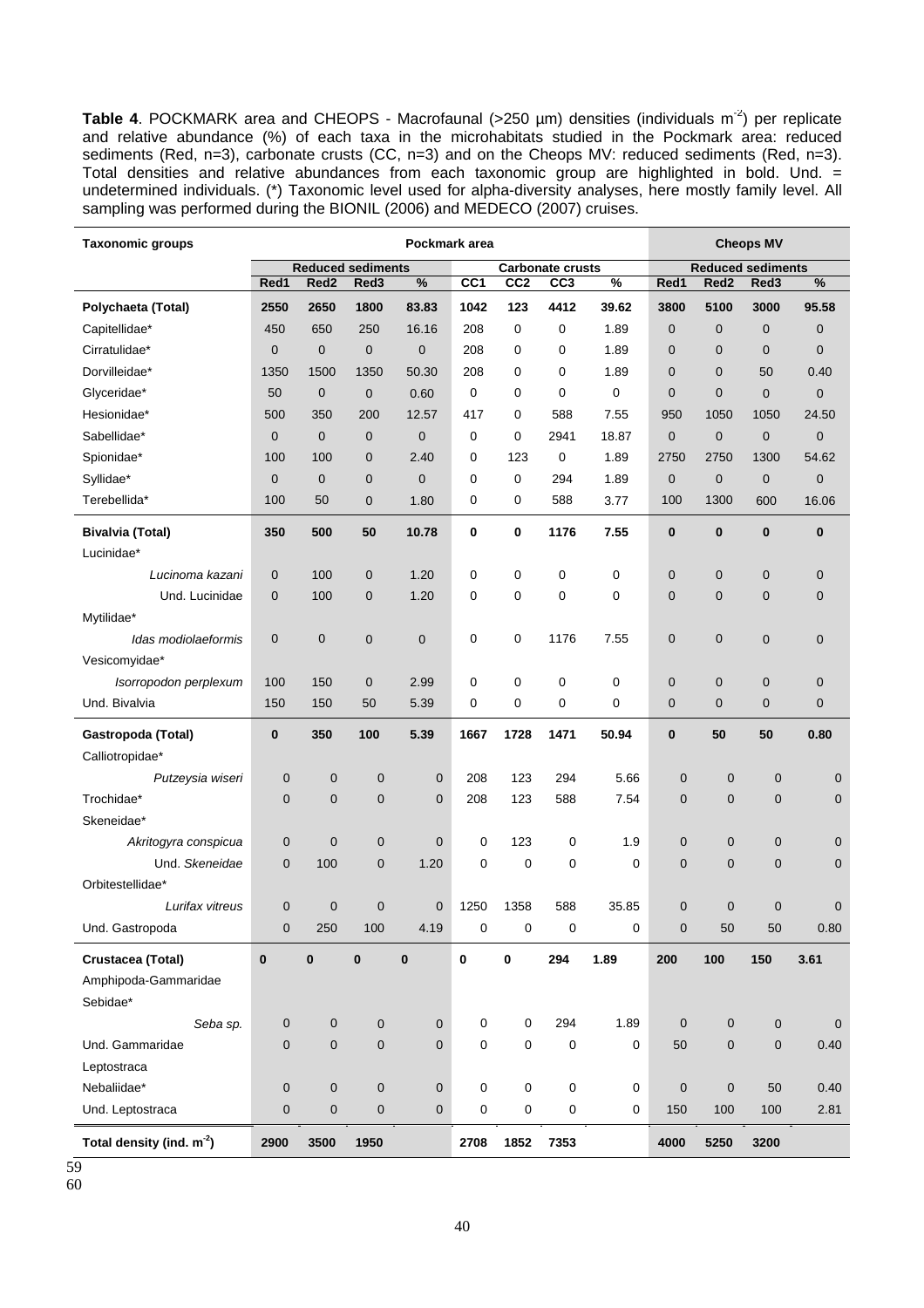Table 4. POCKMARK area and CHEOPS - Macrofaunal (>250 µm) densities (individuals m<sup>-2</sup>) per replicate and relative abundance (%) of each taxa in the microhabitats studied in the Pockmark area: reduced sediments (Red, n=3), carbonate crusts (CC, n=3) and on the Cheops MV: reduced sediments (Red, n=3). Total densities and relative abundances from each taxonomic group are highlighted in bold. Und. = undetermined individuals. (\*) Taxonomic level used for alpha-diversity analyses, here mostly family level. All sampling was performed during the BIONIL (2006) and MEDECO (2007) cruises.

| <b>Taxonomic groups</b>     | Pockmark area |                          |                |             |                 |                 |                         |       | <b>Cheops MV</b> |                          |                  |                  |
|-----------------------------|---------------|--------------------------|----------------|-------------|-----------------|-----------------|-------------------------|-------|------------------|--------------------------|------------------|------------------|
|                             |               | <b>Reduced sediments</b> |                |             |                 |                 | <b>Carbonate crusts</b> |       |                  | <b>Reduced sediments</b> |                  |                  |
|                             | Red1          | Red <sub>2</sub>         | Red3           | %           | CC <sub>1</sub> | CC <sub>2</sub> | CC <sub>3</sub>         | %     | Red1             | Red <sub>2</sub>         | Red <sub>3</sub> | %                |
| Polychaeta (Total)          | 2550          | 2650                     | 1800           | 83.83       | 1042            | 123             | 4412                    | 39.62 | 3800             | 5100                     | 3000             | 95.58            |
| Capitellidae*               | 450           | 650                      | 250            | 16.16       | 208             | $\mathbf 0$     | $\mathbf 0$             | 1.89  | $\mathbf 0$      | 0                        | 0                | $\mathbf 0$      |
| Cirratulidae*               | $\mathbf 0$   | $\mathbf 0$              | $\mathbf 0$    | $\mathbf 0$ | 208             | 0               | 0                       | 1.89  | $\overline{0}$   | 0                        | 0                | $\mathbf 0$      |
| Dorvilleidae*               | 1350          | 1500                     | 1350           | 50.30       | 208             | 0               | 0                       | 1.89  | $\mathbf{0}$     | $\overline{0}$           | 50               | 0.40             |
| Glyceridae*                 | 50            | $\mathbf 0$              | $\mathbf 0$    | 0.60        | $\mathbf 0$     | 0               | 0                       | 0     | $\mathbf 0$      | $\overline{0}$           | 0                | $\mathbf{0}$     |
| Hesionidae*                 | 500           | 350                      | 200            | 12.57       | 417             | 0               | 588                     | 7.55  | 950              | 1050                     | 1050             | 24.50            |
| Sabellidae*                 | $\mathbf 0$   | $\mathbf{0}$             | $\mathbf 0$    | $\mathbf 0$ | 0               | 0               | 2941                    | 18.87 | $\mathbf 0$      | 0                        | $\mathbf 0$      | $\mathbf 0$      |
| Spionidae*                  | 100           | 100                      | $\mathbf 0$    | 2.40        | 0               | 123             | 0                       | 1.89  | 2750             | 2750                     | 1300             | 54.62            |
| Syllidae*                   | $\mathbf 0$   | $\mathbf 0$              | $\mathbf 0$    | $\mathbf 0$ | 0               | 0               | 294                     | 1.89  | $\mathbf 0$      | $\mathbf 0$              | $\mathbf 0$      | $\mathbf 0$      |
| Terebellida*                | 100           | 50                       | 0              | 1.80        | 0               | 0               | 588                     | 3.77  | 100              | 1300                     | 600              | 16.06            |
| <b>Bivalvia (Total)</b>     | 350           | 500                      | 50             | 10.78       | 0               | 0               | 1176                    | 7.55  | $\bf{0}$         | $\bf{0}$                 | $\bf{0}$         | $\bf{0}$         |
| Lucinidae*                  |               |                          |                |             |                 |                 |                         |       |                  |                          |                  |                  |
| Lucinoma kazani             | $\mathbf 0$   | 100                      | 0              | 1.20        | 0               | 0               | $\mathbf 0$             | 0     | $\mathbf 0$      | 0                        | 0                | $\mathbf{0}$     |
| Und. Lucinidae              | $\mathbf 0$   | 100                      | 0              | 1.20        | 0               | 0               | 0                       | 0     | $\mathbf 0$      | 0                        | 0                | $\mathbf 0$      |
| Mytilidae*                  |               |                          |                |             |                 |                 |                         |       |                  |                          |                  |                  |
| Idas modiolaeformis         | $\mathbf 0$   | $\mathbf 0$              | $\pmb{0}$      | $\mathbf 0$ | 0               | 0               | 1176                    | 7.55  | $\mathbf 0$      | 0                        | $\mathbf 0$      | $\mathbf 0$      |
| Vesicomyidae*               |               |                          |                |             |                 |                 |                         |       |                  |                          |                  |                  |
| Isorropodon perplexum       | 100           | 150                      | $\mathbf 0$    | 2.99        | 0               | 0               | 0                       | 0     | $\mathbf 0$      | 0                        | 0                | $\mathbf 0$      |
| Und. Bivalvia               | 150           | 150                      | 50             | 5.39        | 0               | 0               | 0                       | 0     | $\mathbf{0}$     | $\overline{0}$           | $\overline{0}$   | $\mathbf 0$      |
| Gastropoda (Total)          | $\bf{0}$      | 350                      | 100            | 5.39        | 1667            | 1728            | 1471                    | 50.94 | $\bf{0}$         | 50                       | 50               | 0.80             |
| Calliotropidae*             |               |                          |                |             |                 |                 |                         |       |                  |                          |                  |                  |
| Putzeysia wiseri            | 0             | $\mathbf 0$              | $\mathbf 0$    | $\mathbf 0$ | 208             | 123             | 294                     | 5.66  | $\mathbf 0$      | $\mathbf 0$              | $\mathbf 0$      | 0                |
| Trochidae*                  | 0             | $\mathbf 0$              | $\mathbf 0$    | $\mathbf 0$ | 208             | 123             | 588                     | 7.54  | $\mathbf 0$      | 0                        | $\mathbf 0$      | 0                |
| Skeneidae*                  |               |                          |                |             |                 |                 |                         |       |                  |                          |                  |                  |
| Akritogyra conspicua        | 0             | $\mathbf 0$              | $\mathbf 0$    | $\mathbf 0$ | 0               | 123             | $\mathbf 0$             | 1.9   | $\mathbf 0$      | 0                        | $\mathbf 0$      | 0                |
| Und. Skeneidae              | 0             | 100                      | $\overline{0}$ | 1.20        | 0               | $\mathbf 0$     | $\mathbf 0$             | 0     | $\overline{0}$   | $\overline{0}$           | $\overline{0}$   | $\mathbf 0$      |
| Orbitestellidae*            |               |                          |                |             |                 |                 |                         |       |                  |                          |                  |                  |
| Lurifax vitreus             | 0             | $\mathbf 0$              | $\mathbf 0$    | $\mathbf 0$ | 1250            | 1358            | 588                     | 35.85 | $\overline{0}$   | $\overline{0}$           | $\overline{0}$   | $\mathbf 0$      |
| Und. Gastropoda             | 0             | 250                      | 100            | 4.19        | 0               | 0               | 0                       | 0     | $\mathbf 0$      | 50                       | 50               | 0.80             |
| Crustacea (Total)           | $\bf{0}$      | $\pmb{0}$                | $\bf{0}$       | $\bf{0}$    | 0               | 0               | 294                     | 1.89  | 200              | 100                      | 150              | 3.61             |
| Amphipoda-Gammaridae        |               |                          |                |             |                 |                 |                         |       |                  |                          |                  |                  |
| Sebidae*                    |               |                          |                |             |                 |                 |                         |       |                  |                          |                  |                  |
| Seba sp.                    | 0             | $\pmb{0}$                | $\pmb{0}$      | $\mathbf 0$ | 0               | 0               | 294                     | 1.89  | $\mathbf 0$      | 0                        | $\boldsymbol{0}$ | $\boldsymbol{0}$ |
| Und. Gammaridae             | 0             | $\mathbf 0$              | $\pmb{0}$      | $\mathbf 0$ | 0               | $\pmb{0}$       | 0                       | 0     | 50               | 0                        | $\pmb{0}$        | 0.40             |
| Leptostraca                 |               |                          |                |             |                 |                 |                         |       |                  |                          |                  |                  |
| Nebaliidae*                 | 0             | $\pmb{0}$                | $\mathbf 0$    | $\mathbf 0$ | 0               | $\mathbf 0$     | $\pmb{0}$               | 0     | $\mathbf 0$      | $\mathbf 0$              | 50               | 0.40             |
| Und. Leptostraca            | 0             | $\mathbf 0$              | $\pmb{0}$      | $\pmb{0}$   | 0               | $\mathbf 0$     | $\pmb{0}$               | 0     | 150              | 100                      | 100              | 2.81             |
| Total density (ind. $m-2$ ) | 2900          | 3500                     | 1950           |             | 2708            | 1852            | 7353                    |       | 4000             | 5250                     | 3200             |                  |

59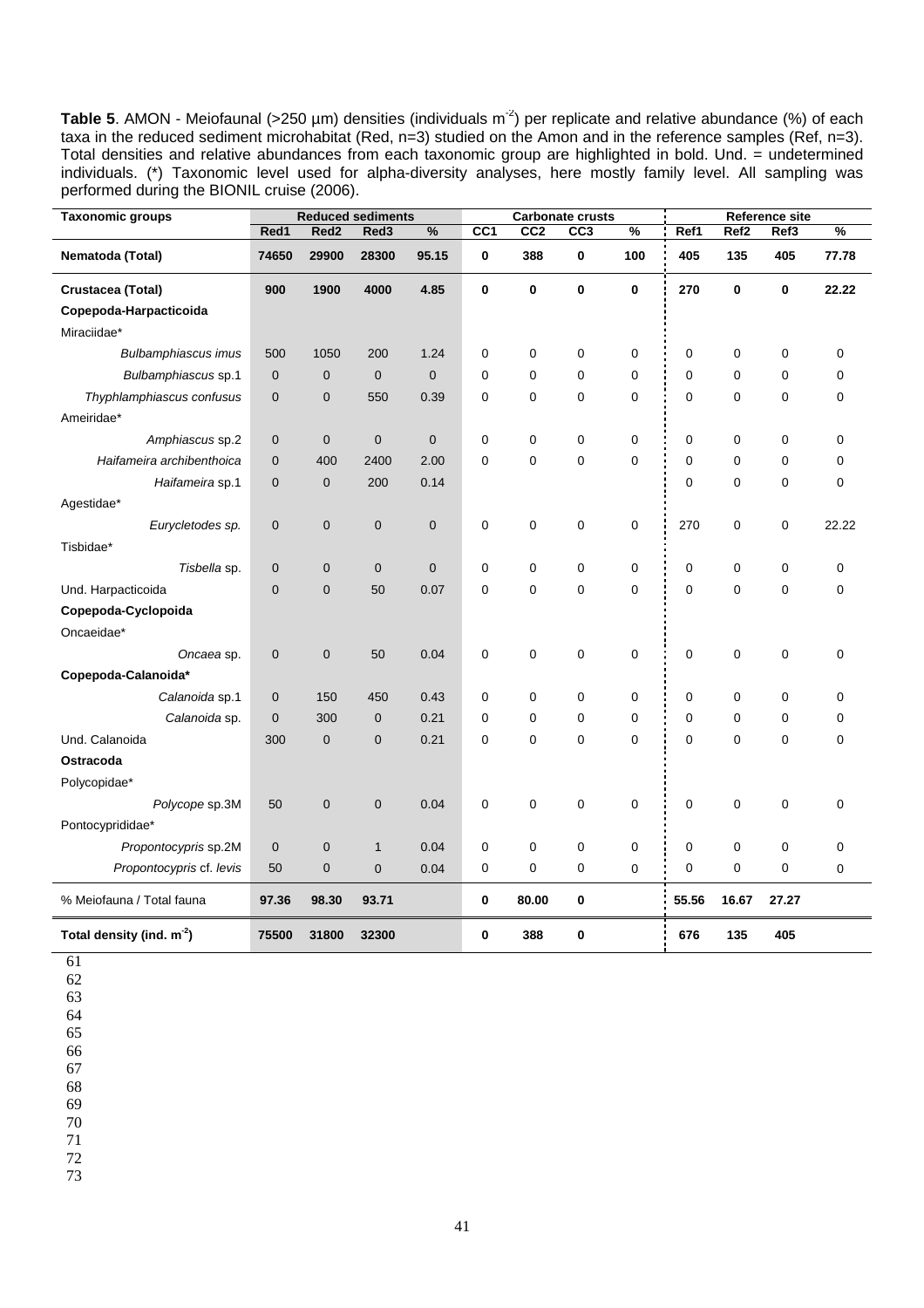Table 5. AMON - Meiofaunal (>250 µm) densities (individuals m<sup>-2</sup>) per replicate and relative abundance (%) of each taxa in the reduced sediment microhabitat (Red, n=3) studied on the Amon and in the reference samples (Ref, n=3). Total densities and relative abundances from each taxonomic group are highlighted in bold. Und. = undetermined individuals. (\*) Taxonomic level used for alpha-diversity analyses, here mostly family level. All sampling was performed during the BIONIL cruise (2006).

| <b>Taxonomic groups</b>     |             |                  | <b>Reduced sediments</b> |               |             | Carbonate crusts |     |             |             |                  | <b>Reference site</b> |               |
|-----------------------------|-------------|------------------|--------------------------|---------------|-------------|------------------|-----|-------------|-------------|------------------|-----------------------|---------------|
|                             | Red1        | Red <sub>2</sub> | Red3                     | $\frac{9}{6}$ | CC1         | CC <sub>2</sub>  | CC3 | %           | Ref1        | Ref <sub>2</sub> | Ref3                  | $\frac{9}{6}$ |
| Nematoda (Total)            | 74650       | 29900            | 28300                    | 95.15         | $\mathbf 0$ | 388              | 0   | 100         | 405         | 135              | 405                   | 77.78         |
| Crustacea (Total)           | 900         | 1900             | 4000                     | 4.85          | 0           | 0                | 0   | $\mathbf 0$ | 270         | 0                | $\bf{0}$              | 22.22         |
| Copepoda-Harpacticoida      |             |                  |                          |               |             |                  |     |             |             |                  |                       |               |
| Miraciidae*                 |             |                  |                          |               |             |                  |     |             |             |                  |                       |               |
| <b>Bulbamphiascus imus</b>  | 500         | 1050             | 200                      | 1.24          | 0           | 0                | 0   | 0           | 0           | 0                | $\mathbf 0$           | 0             |
| Bulbamphiascus sp.1         | $\mathbf 0$ | $\mathbf 0$      | $\mathbf 0$              | $\mathbf 0$   | $\mathbf 0$ | $\mathbf 0$      | 0   | $\mathbf 0$ | 0           | 0                | $\mathbf 0$           | $\mathbf 0$   |
| Thyphlamphiascus confusus   | $\pmb{0}$   | $\pmb{0}$        | 550                      | 0.39          | $\mathbf 0$ | $\mathbf 0$      | 0   | $\Omega$    | $\mathbf 0$ | 0                | $\mathbf 0$           | 0             |
| Ameiridae*                  |             |                  |                          |               |             |                  |     |             |             |                  |                       |               |
| Amphiascus sp.2             | $\mathbf 0$ | $\mathbf 0$      | $\mathbf 0$              | $\mathbf 0$   | $\mathbf 0$ | 0                | 0   | 0           | $\mathbf 0$ | 0                | $\mathbf 0$           | $\mathbf 0$   |
| Haifameira archibenthoica   | $\mathbf 0$ | 400              | 2400                     | 2.00          | $\mathbf 0$ | $\mathbf 0$      | 0   | $\mathbf 0$ | $\mathbf 0$ | 0                | $\mathbf 0$           | 0             |
| Haifameira sp.1             | 0           | $\mathbf 0$      | 200                      | 0.14          |             |                  |     |             | 0           | 0                | $\mathbf 0$           | 0             |
| Agestidae*                  |             |                  |                          |               |             |                  |     |             |             |                  |                       |               |
| Eurycletodes sp.            | 0           | $\pmb{0}$        | $\pmb{0}$                | $\pmb{0}$     | 0           | 0                | 0   | 0           | 270         | 0                | $\pmb{0}$             | 22.22         |
| Tisbidae*                   |             |                  |                          |               |             |                  |     |             |             |                  |                       |               |
| Tisbella sp.                | $\mathbf 0$ | $\mathbf 0$      | $\mathbf 0$              | $\mathbf 0$   | $\mathbf 0$ | 0                | 0   | 0           | $\pmb{0}$   | 0                | $\pmb{0}$             | 0             |
| Und. Harpacticoida          | $\mathbf 0$ | $\mathbf 0$      | 50                       | 0.07          | $\mathbf 0$ | $\mathbf 0$      | 0   | $\mathbf 0$ | $\pmb{0}$   | $\mathbf 0$      | $\mathbf 0$           | 0             |
| Copepoda-Cyclopoida         |             |                  |                          |               |             |                  |     |             |             |                  |                       |               |
| Oncaeidae*                  |             |                  |                          |               |             |                  |     |             |             |                  |                       |               |
| Oncaea sp.                  | $\pmb{0}$   | $\mathbf 0$      | 50                       | 0.04          | 0           | $\mathbf 0$      | 0   | 0           | $\pmb{0}$   | $\pmb{0}$        | $\mathbf 0$           | 0             |
| Copepoda-Calanoida*         |             |                  |                          |               |             |                  |     |             |             |                  |                       |               |
| Calanoida sp.1              | 0           | 150              | 450                      | 0.43          | 0           | 0                | 0   | 0           | 0           | 0                | $\mathbf 0$           | 0             |
| Calanoida sp.               | $\mathbf 0$ | 300              | $\mathbf 0$              | 0.21          | $\mathbf 0$ | 0                | 0   | 0           | 0           | 0                | $\mathbf 0$           | 0             |
| Und. Calanoida              | 300         | $\mathbf 0$      | $\mathbf 0$              | 0.21          | $\mathbf 0$ | 0                | 0   | $\mathbf 0$ | $\pmb{0}$   | 0                | $\mathbf 0$           | 0             |
| Ostracoda                   |             |                  |                          |               |             |                  |     |             |             |                  |                       |               |
| Polycopidae*                |             |                  |                          |               |             |                  |     |             |             |                  |                       |               |
| Polycope sp.3M              | 50          | $\pmb{0}$        | $\pmb{0}$                | 0.04          | 0           | 0                | 0   | 0           | 0           | 0                | $\pmb{0}$             | 0             |
| Pontocyprididae*            |             |                  |                          |               |             |                  |     |             |             |                  |                       |               |
| Propontocypris sp.2M        | $\pmb{0}$   | $\pmb{0}$        | $\mathbf{1}$             | 0.04          | $\mathbf 0$ | 0                | 0   | 0           | $\pmb{0}$   | 0                | $\mathbf 0$           | 0             |
| Propontocypris cf. levis    | 50          | $\pmb{0}$        | $\mathbf 0$              | 0.04          | 0           | 0                | 0   | 0           | 0           | 0                | 0                     | 0             |
| % Meiofauna / Total fauna   | 97.36       | 98.30            | 93.71                    |               | $\bf{0}$    | 80.00            | 0   |             | 55.56       | 16.67            | 27.27                 |               |
| Total density (ind. $m-2$ ) | 75500       | 31800            | 32300                    |               | 0           | 388              | 0   |             | 676         | 135              | 405                   |               |

- 61
- 62 63
- 64
- 65 66

67

68

69

70

71

72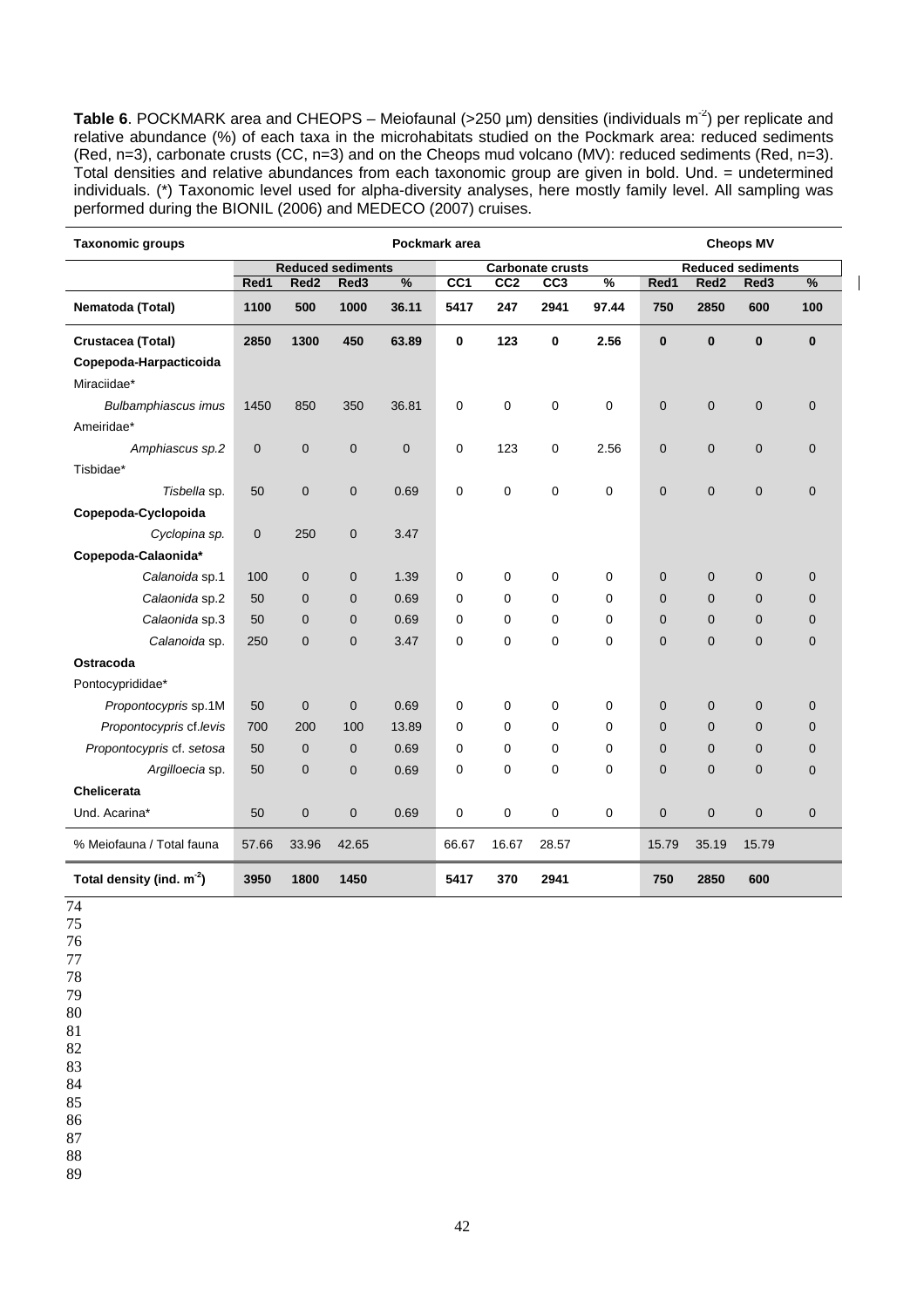Table 6. POCKMARK area and CHEOPS – Meiofaunal (>250 µm) densities (individuals m<sup>-2</sup>) per replicate and relative abundance (%) of each taxa in the microhabitats studied on the Pockmark area: reduced sediments (Red, n=3), carbonate crusts (CC, n=3) and on the Cheops mud volcano (MV): reduced sediments (Red, n=3). Total densities and relative abundances from each taxonomic group are given in bold. Und. = undetermined individuals. (\*) Taxonomic level used for alpha-diversity analyses, here mostly family level. All sampling was performed during the BIONIL (2006) and MEDECO (2007) cruises.

 $\overline{\phantom{a}}$ 

| <b>Taxonomic groups</b>     | Pockmark area |                  |                          |             |                 |                 | <b>Cheops MV</b>        |               |                |                  |                          |              |
|-----------------------------|---------------|------------------|--------------------------|-------------|-----------------|-----------------|-------------------------|---------------|----------------|------------------|--------------------------|--------------|
|                             |               |                  | <b>Reduced sediments</b> |             |                 |                 | <b>Carbonate crusts</b> |               |                |                  | <b>Reduced sediments</b> |              |
|                             | Red1          | Red <sub>2</sub> | Red <sub>3</sub>         | $\%$        | CC <sub>1</sub> | CC <sub>2</sub> | CC <sub>3</sub>         | $\frac{0}{6}$ | Red1           | Red <sub>2</sub> | Red3                     | $\%$         |
| Nematoda (Total)            | 1100          | 500              | 1000                     | 36.11       | 5417            | 247             | 2941                    | 97.44         | 750            | 2850             | 600                      | 100          |
| Crustacea (Total)           | 2850          | 1300             | 450                      | 63.89       | 0               | 123             | 0                       | 2.56          | $\bf{0}$       | $\bf{0}$         | $\bf{0}$                 | $\bf{0}$     |
| Copepoda-Harpacticoida      |               |                  |                          |             |                 |                 |                         |               |                |                  |                          |              |
| Miraciidae*                 |               |                  |                          |             |                 |                 |                         |               |                |                  |                          |              |
| Bulbamphiascus imus         | 1450          | 850              | 350                      | 36.81       | 0               | 0               | 0                       | 0             | 0              | $\pmb{0}$        | $\pmb{0}$                | $\pmb{0}$    |
| Ameiridae*                  |               |                  |                          |             |                 |                 |                         |               |                |                  |                          |              |
| Amphiascus sp.2             | $\mathbf 0$   | $\mathbf 0$      | $\mathbf 0$              | $\mathbf 0$ | 0               | 123             | 0                       | 2.56          | 0              | $\mathbf 0$      | $\mathbf 0$              | $\mathbf 0$  |
| Tisbidae*                   |               |                  |                          |             |                 |                 |                         |               |                |                  |                          |              |
| Tisbella sp.                | 50            | $\mathbf 0$      | $\mathbf 0$              | 0.69        | $\mathbf 0$     | 0               | 0                       | 0             | $\mathbf{0}$   | $\mathbf 0$      | $\mathbf 0$              | $\mathbf 0$  |
| Copepoda-Cyclopoida         |               |                  |                          |             |                 |                 |                         |               |                |                  |                          |              |
| Cyclopina sp.               | $\mathbf 0$   | 250              | $\mathbf 0$              | 3.47        |                 |                 |                         |               |                |                  |                          |              |
| Copepoda-Calaonida*         |               |                  |                          |             |                 |                 |                         |               |                |                  |                          |              |
| Calanoida sp.1              | 100           | $\mathbf 0$      | $\mathbf 0$              | 1.39        | 0               | 0               | 0                       | 0             | $\mathbf 0$    | $\mathbf 0$      | $\mathbf 0$              | $\mathbf 0$  |
| Calaonida sp.2              | 50            | $\mathbf 0$      | $\mathbf 0$              | 0.69        | $\mathbf 0$     | 0               | 0                       | $\mathbf 0$   | $\mathbf 0$    | $\mathbf 0$      | $\mathbf 0$              | $\mathbf 0$  |
| Calaonida sp.3              | 50            | $\mathbf 0$      | $\mathbf{0}$             | 0.69        | $\mathbf 0$     | 0               | 0                       | 0             | $\overline{0}$ | $\overline{0}$   | $\mathbf 0$              | $\mathbf 0$  |
| Calanoida sp.               | 250           | $\mathbf 0$      | $\mathbf{0}$             | 3.47        | $\mathbf 0$     | 0               | 0                       | 0             | $\overline{0}$ | $\overline{0}$   | $\mathbf 0$              | $\mathbf{0}$ |
| Ostracoda                   |               |                  |                          |             |                 |                 |                         |               |                |                  |                          |              |
| Pontocyprididae*            |               |                  |                          |             |                 |                 |                         |               |                |                  |                          |              |
| Propontocypris sp.1M        | 50            | $\mathbf{0}$     | $\mathbf{0}$             | 0.69        | $\mathbf 0$     | 0               | 0                       | 0             | $\overline{0}$ | $\overline{0}$   | $\overline{0}$           | $\mathbf 0$  |
| Propontocypris cf.levis     | 700           | 200              | 100                      | 13.89       | $\mathbf 0$     | 0               | 0                       | $\mathbf 0$   | $\mathbf 0$    | $\mathbf 0$      | $\mathbf 0$              | $\mathbf 0$  |
| Propontocypris cf. setosa   | 50            | $\mathbf 0$      | $\mathbf 0$              | 0.69        | 0               | 0               | 0                       | 0             | $\overline{0}$ | $\mathbf 0$      | 0                        | $\mathbf 0$  |
| Argilloecia sp.             | 50            | $\mathbf 0$      | $\mathbf 0$              | 0.69        | $\mathbf 0$     | 0               | 0                       | 0             | $\mathbf{0}$   | $\overline{0}$   | $\mathbf 0$              | $\mathbf{0}$ |
| <b>Chelicerata</b>          |               |                  |                          |             |                 |                 |                         |               |                |                  |                          |              |
| Und. Acarina*               | 50            | $\mathbf 0$      | $\mathbf 0$              | 0.69        | $\mathbf 0$     | 0               | 0                       | 0             | 0              | $\mathbf 0$      | $\mathbf 0$              | $\mathbf 0$  |
| % Meiofauna / Total fauna   | 57.66         | 33.96            | 42.65                    |             | 66.67           | 16.67           | 28.57                   |               | 15.79          | 35.19            | 15.79                    |              |
| Total density (ind. $m-2$ ) | 3950          | 1800             | 1450                     |             | 5417            | 370             | 2941                    |               | 750            | 2850             | 600                      |              |

74

75

76 77

78

79 80

81

82 83

84

85

86

87

88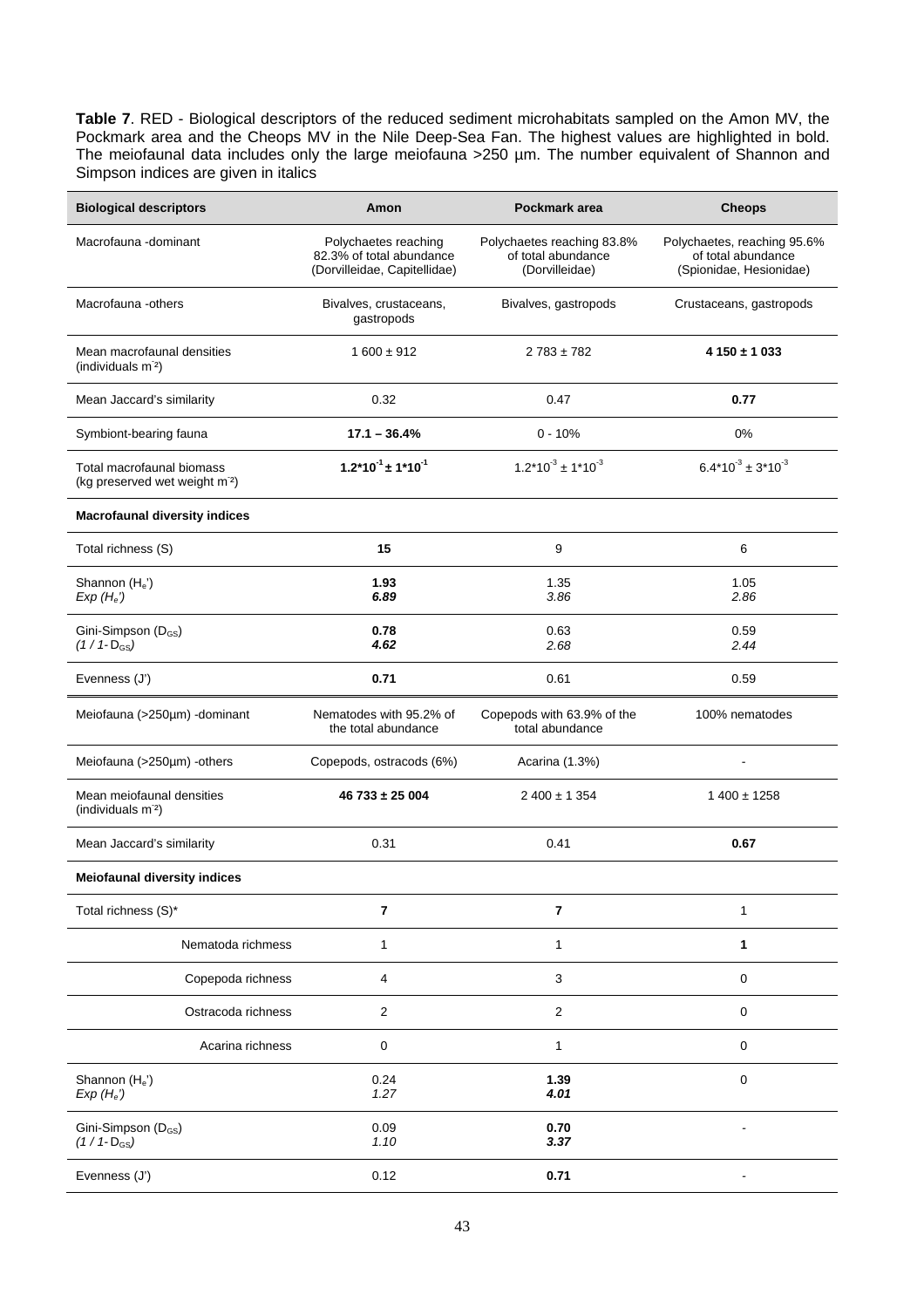**Table 7**. RED - Biological descriptors of the reduced sediment microhabitats sampled on the Amon MV, the Pockmark area and the Cheops MV in the Nile Deep-Sea Fan. The highest values are highlighted in bold. The meiofaunal data includes only the large meiofauna >250 µm. The number equivalent of Shannon and Simpson indices are given in italics

| <b>Biological descriptors</b>                                           | Amon                                                                             | Pockmark area                                                      | <b>Cheops</b>                                                                |
|-------------------------------------------------------------------------|----------------------------------------------------------------------------------|--------------------------------------------------------------------|------------------------------------------------------------------------------|
| Macrofauna -dominant                                                    | Polychaetes reaching<br>82.3% of total abundance<br>(Dorvilleidae, Capitellidae) | Polychaetes reaching 83.8%<br>of total abundance<br>(Dorvilleidae) | Polychaetes, reaching 95.6%<br>of total abundance<br>(Spionidae, Hesionidae) |
| Macrofauna -others                                                      | Bivalves, crustaceans,<br>gastropods                                             | Bivalves, gastropods                                               | Crustaceans, gastropods                                                      |
| Mean macrofaunal densities<br>(individuals m <sup>2</sup> )             | $1600 \pm 912$                                                                   | $2783 \pm 782$                                                     | $4150 \pm 1033$                                                              |
| Mean Jaccard's similarity                                               | 0.32                                                                             | 0.47                                                               | 0.77                                                                         |
| Symbiont-bearing fauna                                                  | $17.1 - 36.4%$                                                                   | $0 - 10%$                                                          | 0%                                                                           |
| Total macrofaunal biomass<br>(kg preserved wet weight m <sup>-2</sup> ) | $1.2*10^{-1} \pm 1*10^{-1}$                                                      | $1.2*10^{-3} \pm 1*10^{-3}$                                        | $6.4*10^{3} \pm 3*10^{3}$                                                    |
| <b>Macrofaunal diversity indices</b>                                    |                                                                                  |                                                                    |                                                                              |
| Total richness (S)                                                      | 15                                                                               | 9                                                                  | 6                                                                            |
| Shannon (He')<br>$Exp(H_e)$                                             | 1.93<br>6.89                                                                     | 1.35<br>3.86                                                       | 1.05<br>2.86                                                                 |
| Gini-Simpson (D <sub>GS</sub> )<br>$(1/1-D_{GS})$                       | 0.78<br>4.62                                                                     | 0.63<br>2.68                                                       | 0.59<br>2.44                                                                 |
| Evenness (J')                                                           | 0.71                                                                             | 0.61                                                               | 0.59                                                                         |
| Meiofauna (>250µm) -dominant                                            | Nematodes with 95.2% of<br>the total abundance                                   | Copepods with 63.9% of the<br>total abundance                      | 100% nematodes                                                               |
| Meiofauna (>250µm) -others                                              | Copepods, ostracods (6%)                                                         | Acarina (1.3%)                                                     |                                                                              |
| Mean meiofaunal densities<br>(individuals m <sup>-2</sup> )             | $46733 \pm 25004$                                                                | $2400 \pm 1354$                                                    | $1400 \pm 1258$                                                              |
| Mean Jaccard's similarity                                               | 0.31                                                                             | 0.41                                                               | 0.67                                                                         |
| <b>Meiofaunal diversity indices</b>                                     |                                                                                  |                                                                    |                                                                              |
| Total richness (S)*                                                     | $\overline{\mathbf{r}}$                                                          | $\overline{7}$                                                     | 1                                                                            |
| Nematoda richmess                                                       | 1                                                                                | 1                                                                  | 1                                                                            |
| Copepoda richness                                                       | 4                                                                                | 3                                                                  | $\mathbf 0$                                                                  |
| Ostracoda richness                                                      | $\sqrt{2}$                                                                       | $\overline{c}$                                                     | 0                                                                            |
| Acarina richness                                                        | $\pmb{0}$                                                                        | $\mathbf{1}$                                                       | $\mathbf 0$                                                                  |
| Shannon (He')<br>$Exp(H_e)$                                             | 0.24<br>1.27                                                                     | 1.39<br>4.01                                                       | $\mathbf 0$                                                                  |
| Gini-Simpson (D <sub>GS</sub> )<br>$(1/1-D_{GS})$                       | 0.09<br>1.10                                                                     | 0.70<br>3.37                                                       |                                                                              |
| Evenness (J')                                                           | 0.12                                                                             | 0.71                                                               |                                                                              |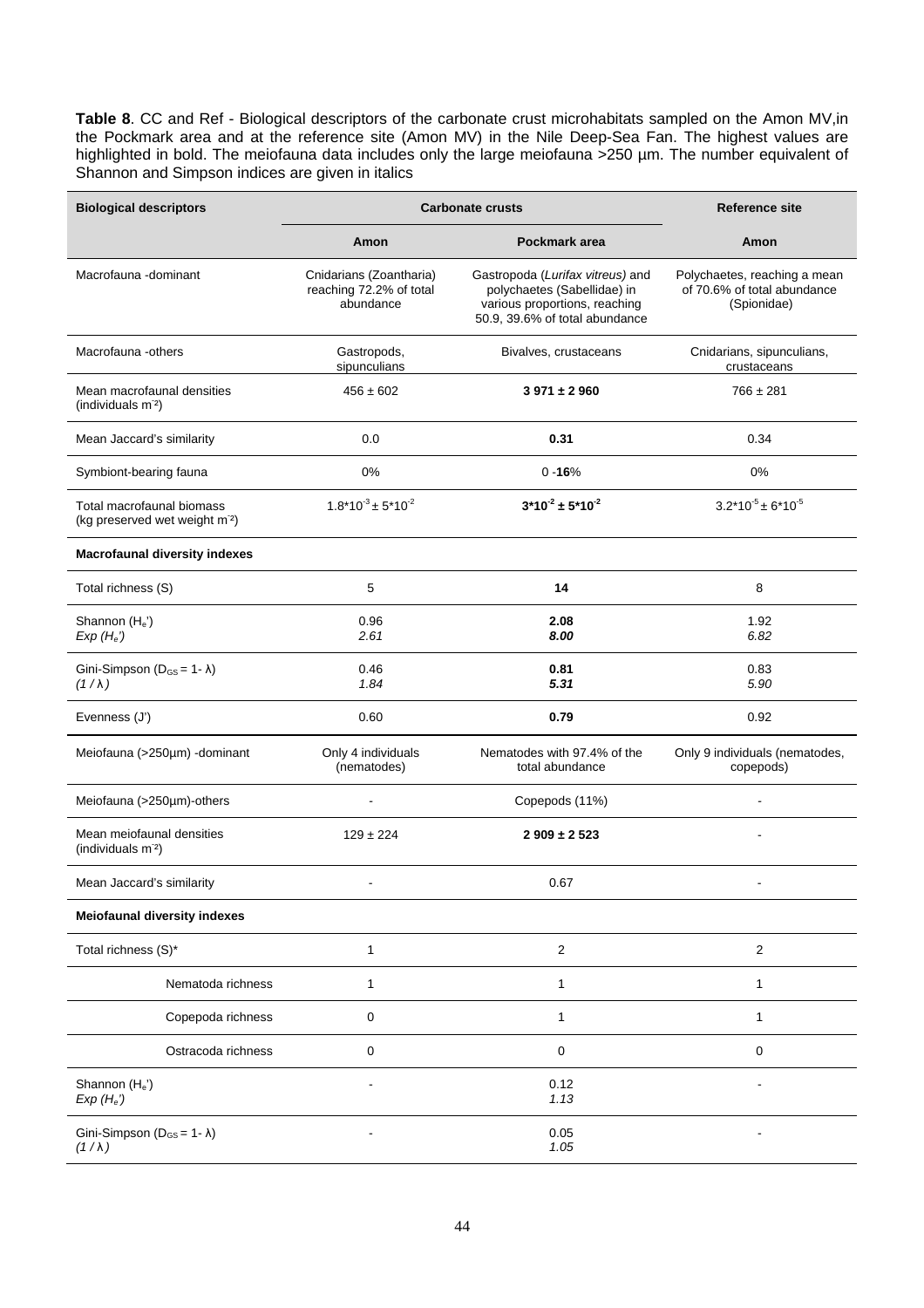**Table 8**. CC and Ref - Biological descriptors of the carbonate crust microhabitats sampled on the Amon MV,in the Pockmark area and at the reference site (Amon MV) in the Nile Deep-Sea Fan. The highest values are highlighted in bold. The meiofauna data includes only the large meiofauna >250 µm. The number equivalent of Shannon and Simpson indices are given in italics

| <b>Biological descriptors</b>                                           |                                                                 | <b>Carbonate crusts</b>                                                                                                            | <b>Reference site</b>                                                      |  |  |
|-------------------------------------------------------------------------|-----------------------------------------------------------------|------------------------------------------------------------------------------------------------------------------------------------|----------------------------------------------------------------------------|--|--|
|                                                                         | Amon                                                            | Pockmark area                                                                                                                      | Amon                                                                       |  |  |
| Macrofauna - dominant                                                   | Cnidarians (Zoantharia)<br>reaching 72.2% of total<br>abundance | Gastropoda (Lurifax vitreus) and<br>polychaetes (Sabellidae) in<br>various proportions, reaching<br>50.9, 39.6% of total abundance | Polychaetes, reaching a mean<br>of 70.6% of total abundance<br>(Spionidae) |  |  |
| Macrofauna -others                                                      | Gastropods,<br>sipunculians                                     | Bivalves, crustaceans                                                                                                              | Cnidarians, sipunculians,<br>crustaceans                                   |  |  |
| Mean macrofaunal densities<br>(individuals m <sup>-2</sup> )            | $456 \pm 602$                                                   | $3971 \pm 2960$                                                                                                                    |                                                                            |  |  |
| Mean Jaccard's similarity                                               | 0.0                                                             | 0.31                                                                                                                               | 0.34                                                                       |  |  |
| Symbiont-bearing fauna                                                  | 0%                                                              | $0 - 16%$                                                                                                                          | 0%                                                                         |  |  |
| Total macrofaunal biomass<br>(kg preserved wet weight m <sup>-2</sup> ) | $1.8*10^{3} \pm 5*10^{2}$                                       | $3*10^{2} \pm 5*10^{2}$                                                                                                            | $3.2*10^{-5} \pm 6*10^{-5}$                                                |  |  |
| <b>Macrofaunal diversity indexes</b>                                    |                                                                 |                                                                                                                                    |                                                                            |  |  |
| Total richness (S)                                                      | 5                                                               | 14                                                                                                                                 | 8                                                                          |  |  |
| Shannon (He')<br>$Exp(H_e)$                                             | 0.96<br>2.61                                                    | 2.08<br>8.00                                                                                                                       | 1.92<br>6.82                                                               |  |  |
| Gini-Simpson ( $D_{GS} = 1 - \lambda$ )<br>$(1/\lambda)$                | 0.46<br>1.84                                                    | 0.81<br>5.31                                                                                                                       | 0.83<br>5.90                                                               |  |  |
| Evenness (J')                                                           | 0.60                                                            | 0.79                                                                                                                               | 0.92                                                                       |  |  |
| Meiofauna (>250µm) -dominant                                            | Only 4 individuals<br>(nematodes)                               | Nematodes with 97.4% of the<br>total abundance                                                                                     | Only 9 individuals (nematodes,<br>copepods)                                |  |  |
| Meiofauna (>250µm)-others                                               |                                                                 | Copepods (11%)                                                                                                                     |                                                                            |  |  |
| Mean meiofaunal densities<br>(individuals m <sup>-2</sup> )             | $129 \pm 224$                                                   | $2909 \pm 2523$                                                                                                                    |                                                                            |  |  |
| Mean Jaccard's similarity                                               |                                                                 | 0.67                                                                                                                               |                                                                            |  |  |
| <b>Meiofaunal diversity indexes</b>                                     |                                                                 |                                                                                                                                    |                                                                            |  |  |
| Total richness (S)*                                                     | 1                                                               | $\overline{c}$                                                                                                                     | $\overline{c}$                                                             |  |  |
| Nematoda richness                                                       | $\mathbf{1}$                                                    | $\mathbf{1}$                                                                                                                       | 1                                                                          |  |  |
| Copepoda richness                                                       | $\pmb{0}$                                                       | $\mathbf{1}$                                                                                                                       | 1                                                                          |  |  |
| Ostracoda richness                                                      | $\mathbf 0$                                                     | $\mathbf 0$                                                                                                                        | 0                                                                          |  |  |
| Shannon (He')<br>$Exp(H_e)$                                             |                                                                 | 0.12<br>1.13                                                                                                                       | ä,                                                                         |  |  |
| Gini-Simpson ( $D_{GS} = 1 - \lambda$ )<br>$(1/\lambda)$                |                                                                 | 0.05<br>1.05                                                                                                                       |                                                                            |  |  |